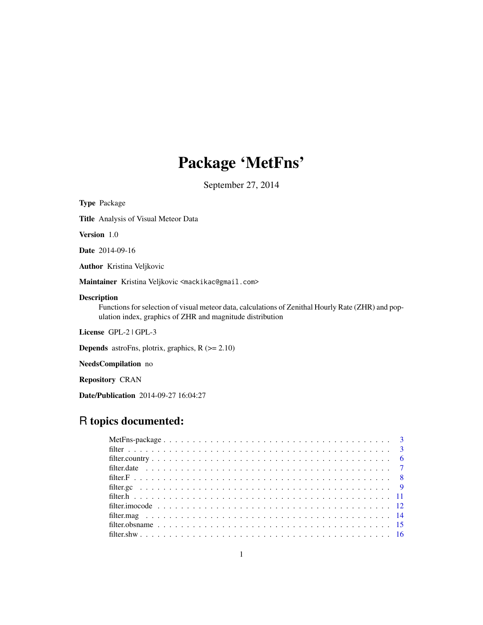# Package 'MetFns'

September 27, 2014

Type Package Title Analysis of Visual Meteor Data Version 1.0 Date 2014-09-16 Author Kristina Veljkovic Maintainer Kristina Veljkovic <mackikac@gmail.com> Description Functions for selection of visual meteor data, calculations of Zenithal Hourly Rate (ZHR) and population index, graphics of ZHR and magnitude distribution License GPL-2 | GPL-3 **Depends** astroFns, plotrix, graphics,  $R$  ( $>= 2.10$ ) NeedsCompilation no Repository CRAN

Date/Publication 2014-09-27 16:04:27

## R topics documented: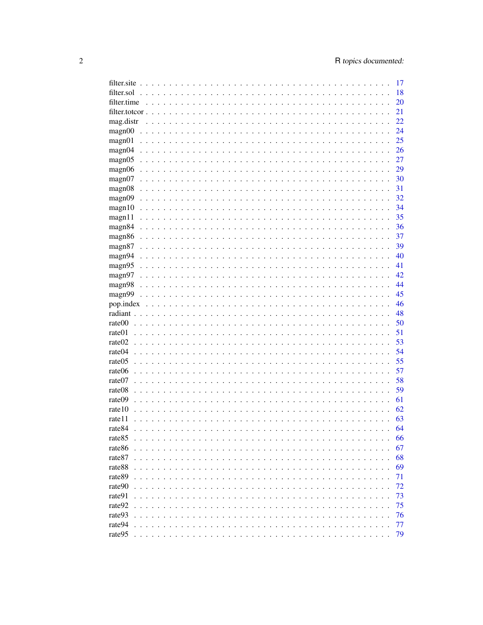|                                                                                                                                                      | 17 |
|------------------------------------------------------------------------------------------------------------------------------------------------------|----|
| filter.sol<br>.<br>$\sim$ $\sim$<br>$\mathbb{R}^2$                                                                                                   | 18 |
| filter.time                                                                                                                                          | 20 |
| filter.totcor<br>$\ddot{\phantom{0}}$                                                                                                                | 21 |
| mag.distr<br>.<br>$\cdot \cdot \cdot$<br>$\ddot{\phantom{a}}$                                                                                        | 22 |
| magn00<br>$\sim$ $\sim$<br>$\overline{a}$<br>$\ddotsc$<br>.<br>$\ddot{\phantom{a}}$<br>$\ddot{\phantom{a}}$                                          | 24 |
| magn01<br>$\ddot{\phantom{a}}$<br>$\ddot{\phantom{a}}$<br>$\ddot{\phantom{a}}$                                                                       | 25 |
| magn04<br>.<br>$\ddot{\phantom{a}}$<br>$\ddot{\phantom{a}}$<br>$\ddot{\phantom{a}}$                                                                  | 26 |
| magn05<br>$\ddot{\phantom{a}}$<br>$\ddot{\phantom{a}}$                                                                                               | 27 |
| magn06<br>$\ddot{\phantom{a}}$<br>$\ddot{\phantom{a}}$<br>$\sim$ $\sim$                                                                              | 29 |
| magn07<br>$\ddot{\phantom{a}}$<br>$\ddot{\phantom{0}}$<br>$\ddotsc$                                                                                  | 30 |
| magn08<br>$\cdot$ $\cdot$ $\cdot$ $\cdot$                                                                                                            | 31 |
| magn09                                                                                                                                               | 32 |
|                                                                                                                                                      | 34 |
| magn10                                                                                                                                               | 35 |
| magn11                                                                                                                                               |    |
| magn <sub>84</sub>                                                                                                                                   | 36 |
| magn86                                                                                                                                               | 37 |
| magn <sub>87</sub>                                                                                                                                   | 39 |
| magn94                                                                                                                                               | 40 |
| magn95                                                                                                                                               | 41 |
| magn97                                                                                                                                               | 42 |
| magn98                                                                                                                                               | 44 |
| magn99                                                                                                                                               | 45 |
| pop.index                                                                                                                                            | 46 |
| radiant.<br>$\sim$                                                                                                                                   | 48 |
| rate00<br>$\mathbf{r}$                                                                                                                               | 50 |
| rate01                                                                                                                                               | 51 |
| rate02<br>$\mathbb{R}^n$<br>$\mathbf{r}$                                                                                                             | 53 |
| rate04                                                                                                                                               | 54 |
| rate05                                                                                                                                               | 55 |
| rate06<br>$\sim$                                                                                                                                     | 57 |
| rate07<br>$\overline{a}$<br>$\mathbf{r}$                                                                                                             | 58 |
| rate08<br>$\mathbf{L}$<br>$\mathbf{r}$<br><u>and a straight and a straight and</u><br>$\ddot{\phantom{0}}$<br>$\ddot{\phantom{0}}$<br>$\mathbb{R}^n$ | 59 |
| rate <sub>09</sub><br>$\ddot{\phantom{a}}$<br>$\overline{a}$<br>$\ddot{\phantom{0}}$<br>$\mathbf{r}$<br>$\ddot{\phantom{a}}$<br>$\mathbf{r}$         | 61 |
| rate10<br>$\mathbf{r}$<br>$\mathbf{L}$<br>$\overline{a}$                                                                                             | 62 |
| rate11<br>$\mathbf{L}$<br>$\overline{a}$<br>$\mathbf{r}$                                                                                             | 63 |
| rate84                                                                                                                                               | 64 |
| rate85<br>$\mathbf{1}$ $\mathbf{1}$ $\mathbf{1}$ $\mathbf{1}$                                                                                        | 66 |
| rate86                                                                                                                                               | 67 |
| rate87<br>$\mathbf{r}$                                                                                                                               | 68 |
| $\overline{a}$<br>$\overline{a}$<br>rate88                                                                                                           | 69 |
| rate89                                                                                                                                               | 71 |
|                                                                                                                                                      |    |
| rate90<br>$\overline{a}$                                                                                                                             | 72 |
| rate91<br>$\mathbf{r}$                                                                                                                               | 73 |
| rate92<br>$\overline{\phantom{a}}$<br>$\sim$<br>$\mathcal{L}$                                                                                        | 75 |
| rate93<br>$\ddot{\phantom{0}}$<br>$\sim$<br>s.                                                                                                       | 76 |
| rate94<br>2.1212<br>$\sim$                                                                                                                           | 77 |
| rate95<br>.                                                                                                                                          | 79 |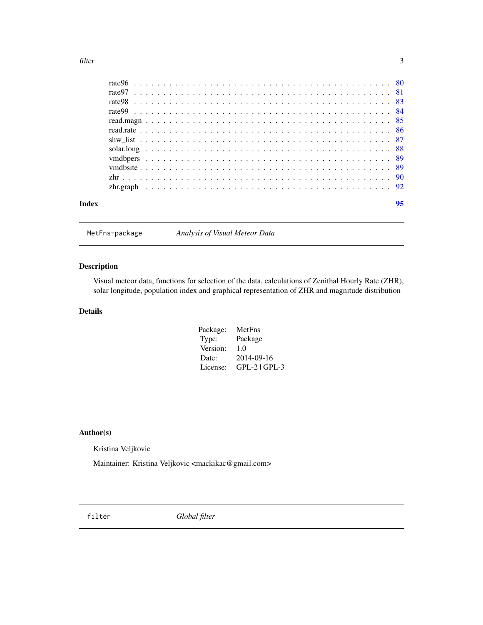<span id="page-2-0"></span>filter 3

| Index |  |  |  |  |  |  |  |  |  |  |  |  |  |  |  |  |  |  |  |  |  |  | 95 |
|-------|--|--|--|--|--|--|--|--|--|--|--|--|--|--|--|--|--|--|--|--|--|--|----|

MetFns-package *Analysis of Visual Meteor Data*

## Description

Visual meteor data, functions for selection of the data, calculations of Zenithal Hourly Rate (ZHR), solar longitude, population index and graphical representation of ZHR and magnitude distribution

## Details

| Package: | MetFns            |
|----------|-------------------|
| Type:    | Package           |
| Version: | 1.0               |
| Date:    | 2014-09-16        |
| License: | $GPL-2$   $GPL-3$ |

## Author(s)

Kristina Veljkovic

Maintainer: Kristina Veljkovic <mackikac@gmail.com>

<span id="page-2-1"></span>filter *Global filter*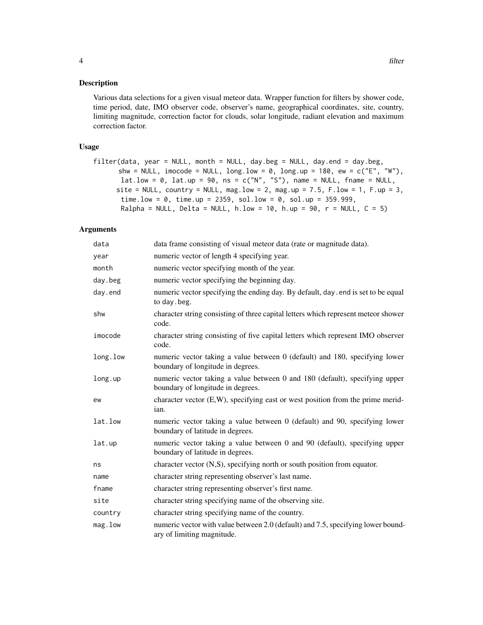## Description

Various data selections for a given visual meteor data. Wrapper function for filters by shower code, time period, date, IMO observer code, observer's name, geographical coordinates, site, country, limiting magnitude, correction factor for clouds, solar longitude, radiant elevation and maximum correction factor.

## Usage

```
filter(data, year = NULL, month = NULL, day.beg = NULL, day.end = day.beg,
      shw = NULL, imocode = NULL, long.low = 0, long.up = 180, ew = c("E", "W"),lat.low = 0, lat.up = 90, ns = c("N", "S"), name = NULL, fname = NULL,
     site = NULL, country = NULL, mag.low = 2, mag.up = 7.5, F.low = 1, F.up = 3,
       time.low = 0, time.up = 2359, sol.low = 0, sol.up = 359.999,
      Ralpha = NULL, Delta = NULL, h.low = 10, h.up = 90, r = NULL, C = 5)
```
## Arguments

| data     | data frame consisting of visual meteor data (rate or magnitude data).                                            |
|----------|------------------------------------------------------------------------------------------------------------------|
| year     | numeric vector of length 4 specifying year.                                                                      |
| month    | numeric vector specifying month of the year.                                                                     |
| day.beg  | numeric vector specifying the beginning day.                                                                     |
| day.end  | numeric vector specifying the ending day. By default, day . end is set to be equal<br>to day.beg.                |
| shw      | character string consisting of three capital letters which represent meteor shower<br>code.                      |
| imocode  | character string consisting of five capital letters which represent IMO observer<br>code.                        |
| long.low | numeric vector taking a value between 0 (default) and 180, specifying lower<br>boundary of longitude in degrees. |
| long.up  | numeric vector taking a value between 0 and 180 (default), specifying upper<br>boundary of longitude in degrees. |
| ew       | character vector $(E, W)$ , specifying east or west position from the prime merid-<br>ian.                       |
| lat.low  | numeric vector taking a value between 0 (default) and 90, specifying lower<br>boundary of latitude in degrees.   |
| lat.up   | numeric vector taking a value between 0 and 90 (default), specifying upper<br>boundary of latitude in degrees.   |
| ns       | character vector (N,S), specifying north or south position from equator.                                         |
| name     | character string representing observer's last name.                                                              |
| fname    | character string representing observer's first name.                                                             |
| site     | character string specifying name of the observing site.                                                          |
| country  | character string specifying name of the country.                                                                 |
| mag.low  | numeric vector with value between 2.0 (default) and 7.5, specifying lower bound-<br>ary of limiting magnitude.   |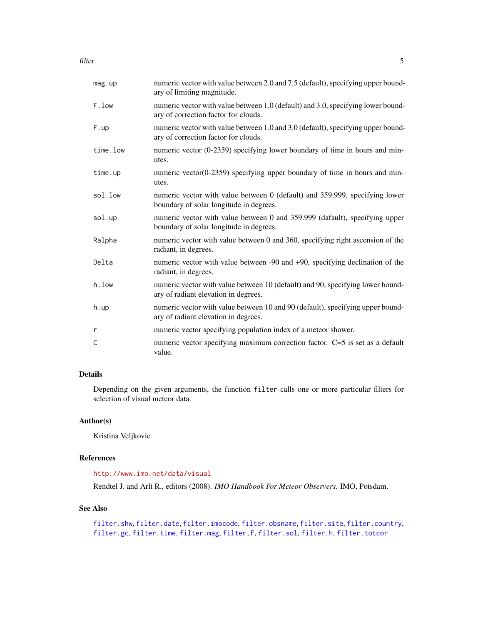filter 5

| mag.up   | numeric vector with value between 2.0 and 7.5 (default), specifying upper bound-<br>ary of limiting magnitude.           |
|----------|--------------------------------------------------------------------------------------------------------------------------|
| F.low    | numeric vector with value between 1.0 (default) and 3.0, specifying lower bound-<br>ary of correction factor for clouds. |
| F.up     | numeric vector with value between 1.0 and 3.0 (default), specifying upper bound-<br>ary of correction factor for clouds. |
| time.low | numeric vector (0-2359) specifying lower boundary of time in hours and min-<br>utes.                                     |
| time.up  | numeric vector $(0-2359)$ specifying upper boundary of time in hours and min-<br>utes.                                   |
| sol.low  | numeric vector with value between 0 (default) and 359.999, specifying lower<br>boundary of solar longitude in degrees.   |
| sol.up   | numeric vector with value between 0 and 359.999 (dafault), specifying upper<br>boundary of solar longitude in degrees.   |
| Ralpha   | numeric vector with value between 0 and 360, specifying right ascension of the<br>radiant, in degrees.                   |
| Delta    | numeric vector with value between -90 and +90, specifying declination of the<br>radiant, in degrees.                     |
| h.low    | numeric vector with value between 10 (default) and 90, specifying lower bound-<br>ary of radiant elevation in degrees.   |
| h.up     | numeric vector with value between 10 and 90 (default), specifying upper bound-<br>ary of radiant elevation in degrees.   |
| r        | numeric vector specifying population index of a meteor shower.                                                           |
| С        | numeric vector specifying maximum correction factor. $C=5$ is set as a default<br>value.                                 |

## Details

Depending on the given arguments, the function filter calls one or more particular filters for selection of visual meteor data.

## Author(s)

Kristina Veljkovic

## References

<http://www.imo.net/data/visual>

Rendtel J. and Arlt R., editors (2008). *IMO Handbook For Meteor Observers*. IMO, Potsdam.

## See Also

```
filter.shw, filter.date, filter.imocode, filter.obsname, filter.site, filter.country,
filter.gc, filter.time, filter.mag, filter.F, filter.sol, filter.h, filter.totcor
```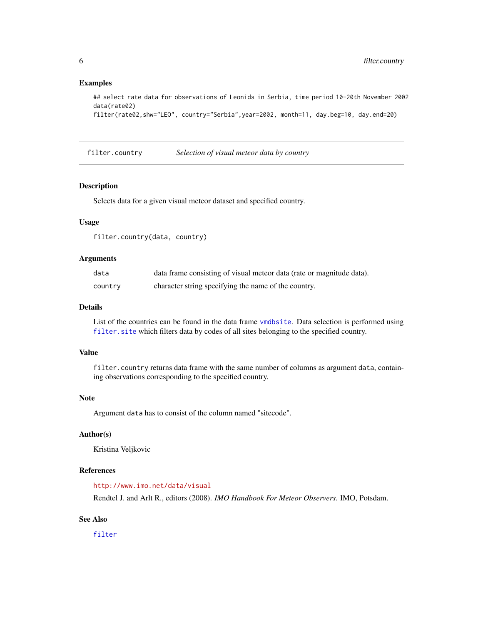## <span id="page-5-0"></span>Examples

```
## select rate data for observations of Leonids in Serbia, time period 10-20th November 2002
data(rate02)
```

```
filter(rate02,shw="LEO", country="Serbia",year=2002, month=11, day.beg=10, day.end=20)
```
<span id="page-5-1"></span>filter.country *Selection of visual meteor data by country*

## Description

Selects data for a given visual meteor dataset and specified country.

## Usage

filter.country(data, country)

## Arguments

| data    | data frame consisting of visual meteor data (rate or magnitude data). |
|---------|-----------------------------------------------------------------------|
| country | character string specifying the name of the country.                  |

## Details

List of the countries can be found in the data frame [vmdbsite](#page-88-1). Data selection is performed using [filter.site](#page-16-1) which filters data by codes of all sites belonging to the specified country.

## Value

filter.country returns data frame with the same number of columns as argument data, containing observations corresponding to the specified country.

#### Note

Argument data has to consist of the column named "sitecode".

## Author(s)

Kristina Veljkovic

#### References

<http://www.imo.net/data/visual>

Rendtel J. and Arlt R., editors (2008). *IMO Handbook For Meteor Observers*. IMO, Potsdam.

## See Also

[filter](#page-2-1)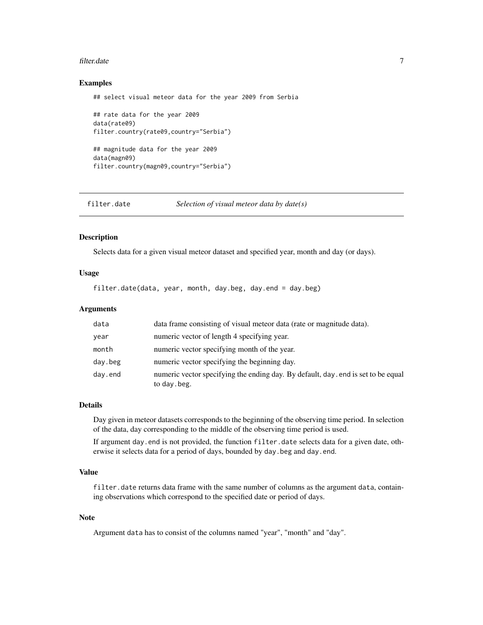#### <span id="page-6-0"></span>filter.date 7 and 7 and 7 and 7 and 7 and 7 and 7 and 7 and 7 and 7 and 7 and 7 and 7 and 7 and 7 and 7 and 7 and 7 and 7 and 7 and 7 and 7 and 7 and 7 and 7 and 7 and 7 and 7 and 7 and 7 and 7 and 7 and 7 and 7 and 7 and

## Examples

```
## select visual meteor data for the year 2009 from Serbia
## rate data for the year 2009
data(rate09)
filter.country(rate09,country="Serbia")
## magnitude data for the year 2009
data(magn09)
filter.country(magn09,country="Serbia")
```
<span id="page-6-1"></span>filter.date *Selection of visual meteor data by date(s)*

#### Description

Selects data for a given visual meteor dataset and specified year, month and day (or days).

## Usage

filter.date(data, year, month, day.beg, day.end = day.beg)

## Arguments

| data    | data frame consisting of visual meteor data (rate or magnitude data).                              |
|---------|----------------------------------------------------------------------------------------------------|
| year    | numeric vector of length 4 specifying year.                                                        |
| month   | numeric vector specifying month of the year.                                                       |
| day.beg | numeric vector specifying the beginning day.                                                       |
| day.end | numeric vector specifying the ending day. By default, day, end is set to be equal<br>to day . beg. |

## Details

Day given in meteor datasets corresponds to the beginning of the observing time period. In selection of the data, day corresponding to the middle of the observing time period is used.

If argument day.end is not provided, the function filter.date selects data for a given date, otherwise it selects data for a period of days, bounded by day.beg and day.end.

## Value

filter.date returns data frame with the same number of columns as the argument data, containing observations which correspond to the specified date or period of days.

## Note

Argument data has to consist of the columns named "year", "month" and "day".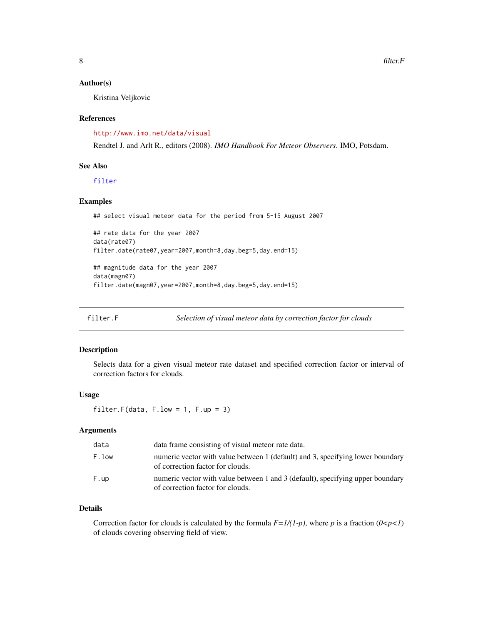#### <span id="page-7-0"></span>Author(s)

Kristina Veljkovic

### References

<http://www.imo.net/data/visual>

Rendtel J. and Arlt R., editors (2008). *IMO Handbook For Meteor Observers*. IMO, Potsdam.

## See Also

[filter](#page-2-1)

## Examples

```
## select visual meteor data for the period from 5-15 August 2007
## rate data for the year 2007
data(rate07)
filter.date(rate07,year=2007,month=8,day.beg=5,day.end=15)
## magnitude data for the year 2007
data(magn07)
filter.date(magn07,year=2007,month=8,day.beg=5,day.end=15)
```
<span id="page-7-1"></span>filter.F *Selection of visual meteor data by correction factor for clouds*

## Description

Selects data for a given visual meteor rate dataset and specified correction factor or interval of correction factors for clouds.

## Usage

filter.F(data,  $F.low = 1, F.up = 3)$ 

## Arguments

| data  | data frame consisting of visual meteor rate data.                                                                  |
|-------|--------------------------------------------------------------------------------------------------------------------|
| F.low | numeric vector with value between 1 (default) and 3, specifying lower boundary<br>of correction factor for clouds. |
| F.up  | numeric vector with value between 1 and 3 (default), specifying upper boundary<br>of correction factor for clouds. |

## Details

Correction factor for clouds is calculated by the formula  $F=1/(1-p)$ , where p is a fraction  $(0 < p < 1)$ of clouds covering observing field of view.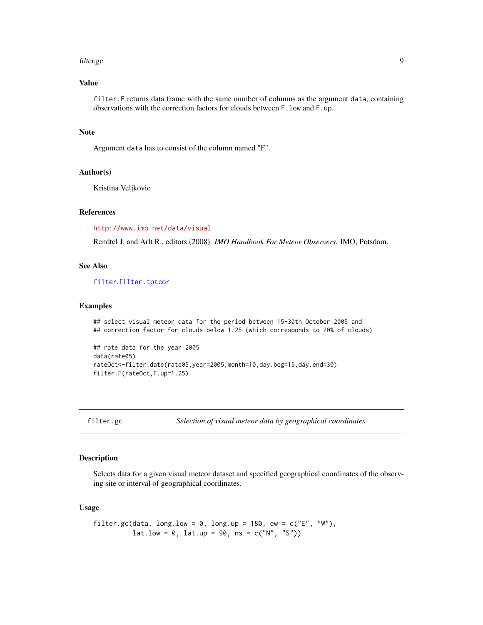#### <span id="page-8-0"></span>filter.gc 99

## Value

filter. F returns data frame with the same number of columns as the argument data, containing observations with the correction factors for clouds between F.low and F.up.

## Note

Argument data has to consist of the column named "F".

#### Author(s)

Kristina Veljkovic

## References

<http://www.imo.net/data/visual>

Rendtel J. and Arlt R., editors (2008). *IMO Handbook For Meteor Observers*. IMO, Potsdam.

### See Also

[filter](#page-2-1),[filter.totcor](#page-20-1)

#### Examples

## select visual meteor data for the period between 15-30th October 2005 and ## correction factor for clouds below 1.25 (which corresponds to 20% of clouds)

```
## rate data for the year 2005
data(rate05)
rateOct<-filter.date(rate05,year=2005,month=10,day.beg=15,day.end=30)
filter.F(rateOct,F.up=1.25)
```
<span id="page-8-1"></span>filter.gc *Selection of visual meteor data by geographical coordinates*

## Description

Selects data for a given visual meteor dataset and specified geographical coordinates of the observing site or interval of geographical coordinates.

#### Usage

```
filter.gc(data, long.low = 0, long.up = 180, ew = c("E", "W"),lat.low = 0, lat.up = 90, ns = c("N", "S"))
```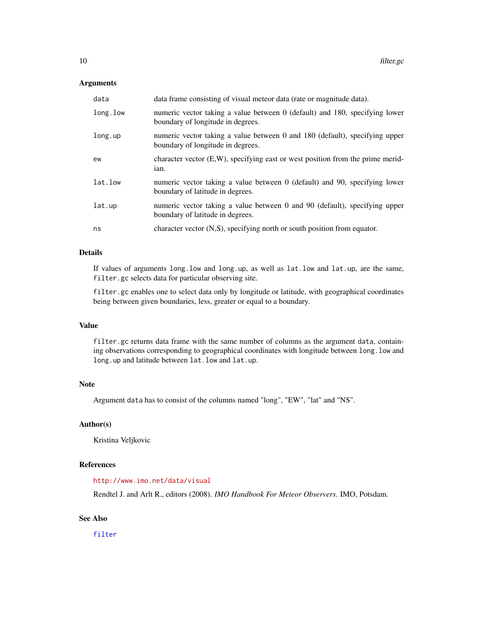#### Arguments

| data     | data frame consisting of visual meteor data (rate or magnitude data).                                            |
|----------|------------------------------------------------------------------------------------------------------------------|
| long.low | numeric vector taking a value between 0 (default) and 180, specifying lower<br>boundary of longitude in degrees. |
| long.up  | numeric vector taking a value between 0 and 180 (default), specifying upper<br>boundary of longitude in degrees. |
| ew       | character vector $(E, W)$ , specifying east or west position from the prime merid-<br>ian.                       |
| lat.low  | numeric vector taking a value between 0 (default) and 90, specifying lower<br>boundary of latitude in degrees.   |
| lat.up   | numeric vector taking a value between 0 and 90 (default), specifying upper<br>boundary of latitude in degrees.   |
| ns       | character vector (N,S), specifying north or south position from equator.                                         |

## Details

If values of arguments long.low and long.up, as well as lat.low and lat.up, are the same, filter.gc selects data for particular observing site.

filter.gc enables one to select data only by longitude or latitude, with geographical coordinates being between given boundaries, less, greater or equal to a boundary.

## Value

filter.gc returns data frame with the same number of columns as the argument data, containing observations corresponding to geographical coordinates with longitude between long. low and long.up and latitude between lat.low and lat.up.

## Note

Argument data has to consist of the columns named "long", "EW", "lat" and "NS".

## Author(s)

Kristina Veljkovic

## References

<http://www.imo.net/data/visual>

Rendtel J. and Arlt R., editors (2008). *IMO Handbook For Meteor Observers*. IMO, Potsdam.

## See Also

[filter](#page-2-1)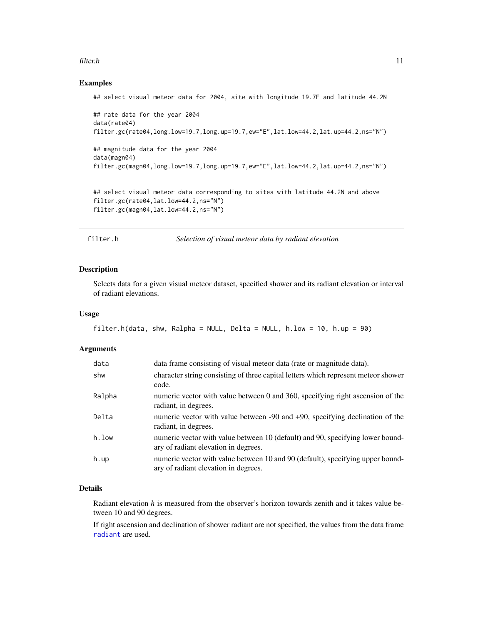#### <span id="page-10-0"></span>filter.h 11

## Examples

```
## select visual meteor data for 2004, site with longitude 19.7E and latitude 44.2N
## rate data for the year 2004
data(rate04)
filter.gc(rate04,long.low=19.7,long.up=19.7,ew="E",lat.low=44.2,lat.up=44.2,ns="N")
## magnitude data for the year 2004
data(magn04)
filter.gc(magn04,long.low=19.7,long.up=19.7,ew="E",lat.low=44.2,lat.up=44.2,ns="N")
## select visual meteor data corresponding to sites with latitude 44.2N and above
filter.gc(rate04,lat.low=44.2,ns="N")
```

```
filter.gc(magn04,lat.low=44.2,ns="N")
```
filter.h *Selection of visual meteor data by radiant elevation*

## Description

Selects data for a given visual meteor dataset, specified shower and its radiant elevation or interval of radiant elevations.

#### Usage

```
filter.h(data, shw, Ralpha = NULL, Delta = NULL, h.low = 10, h.up = 90)
```
#### Arguments

| data   | data frame consisting of visual meteor data (rate or magnitude data).                                                  |
|--------|------------------------------------------------------------------------------------------------------------------------|
| shw    | character string consisting of three capital letters which represent meteor shower<br>code.                            |
| Ralpha | numeric vector with value between 0 and 360, specifying right ascension of the<br>radiant, in degrees.                 |
| Delta  | numeric vector with value between -90 and +90, specifying declination of the<br>radiant, in degrees.                   |
| h.low  | numeric vector with value between 10 (default) and 90, specifying lower bound-<br>ary of radiant elevation in degrees. |
| h.up   | numeric vector with value between 10 and 90 (default), specifying upper bound-<br>ary of radiant elevation in degrees. |

## Details

Radiant elevation *h* is measured from the observer's horizon towards zenith and it takes value between 10 and 90 degrees.

If right ascension and declination of shower radiant are not specified, the values from the data frame [radiant](#page-47-1) are used.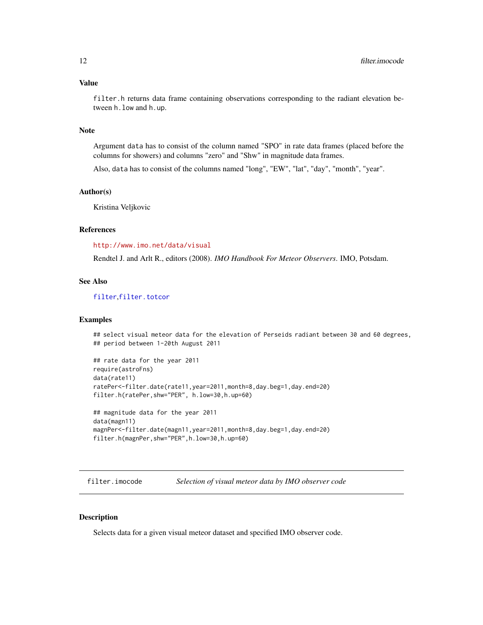## <span id="page-11-0"></span>Value

filter.h returns data frame containing observations corresponding to the radiant elevation between h.low and h.up.

## Note

Argument data has to consist of the column named "SPO" in rate data frames (placed before the columns for showers) and columns "zero" and "Shw" in magnitude data frames.

Also, data has to consist of the columns named "long", "EW", "lat", "day", "month", "year".

## Author(s)

Kristina Veljkovic

## References

<http://www.imo.net/data/visual>

Rendtel J. and Arlt R., editors (2008). *IMO Handbook For Meteor Observers*. IMO, Potsdam.

## See Also

[filter](#page-2-1),[filter.totcor](#page-20-1)

### Examples

## select visual meteor data for the elevation of Perseids radiant between 30 and 60 degrees, ## period between 1-20th August 2011

```
## rate data for the year 2011
require(astroFns)
data(rate11)
ratePer<-filter.date(rate11,year=2011,month=8,day.beg=1,day.end=20)
filter.h(ratePer,shw="PER", h.low=30,h.up=60)
## magnitude data for the year 2011
data(magn11)
magnPer<-filter.date(magn11,year=2011,month=8,day.beg=1,day.end=20)
filter.h(magnPer,shw="PER",h.low=30,h.up=60)
```
<span id="page-11-1"></span>filter.imocode *Selection of visual meteor data by IMO observer code*

## Description

Selects data for a given visual meteor dataset and specified IMO observer code.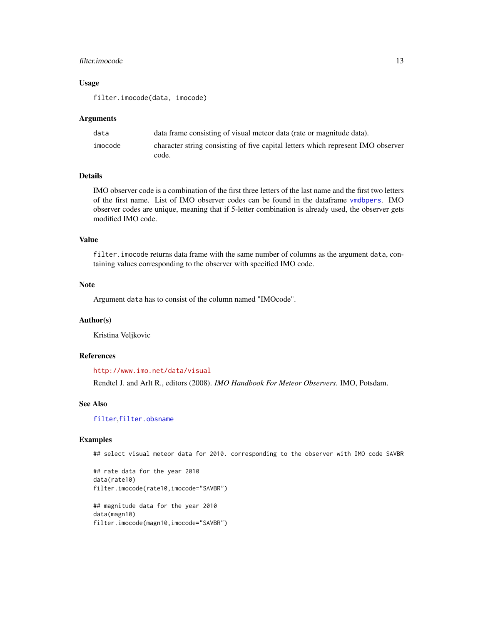## filter.imocode 13

## Usage

filter.imocode(data, imocode)

#### Arguments

| data    | data frame consisting of visual meteor data (rate or magnitude data).            |
|---------|----------------------------------------------------------------------------------|
| imocode | character string consisting of five capital letters which represent IMO observer |
|         | code.                                                                            |

## **Details**

IMO observer code is a combination of the first three letters of the last name and the first two letters of the first name. List of IMO observer codes can be found in the dataframe [vmdbpers](#page-88-2). IMO observer codes are unique, meaning that if 5-letter combination is already used, the observer gets modified IMO code.

## Value

filter.imocode returns data frame with the same number of columns as the argument data, containing values corresponding to the observer with specified IMO code.

#### **Note**

Argument data has to consist of the column named "IMOcode".

### Author(s)

Kristina Veljkovic

## References

<http://www.imo.net/data/visual>

Rendtel J. and Arlt R., editors (2008). *IMO Handbook For Meteor Observers*. IMO, Potsdam.

## See Also

[filter](#page-2-1),[filter.obsname](#page-14-1)

## Examples

## select visual meteor data for 2010. corresponding to the observer with IMO code SAVBR

## rate data for the year 2010 data(rate10) filter.imocode(rate10,imocode="SAVBR") ## magnitude data for the year 2010

data(magn10) filter.imocode(magn10,imocode="SAVBR")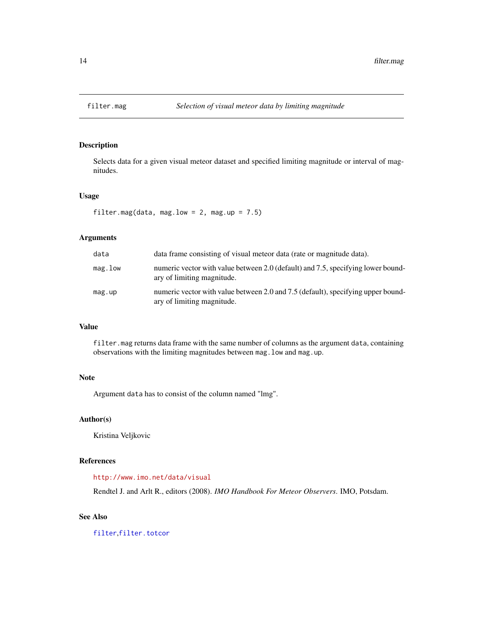<span id="page-13-1"></span><span id="page-13-0"></span>

## Description

Selects data for a given visual meteor dataset and specified limiting magnitude or interval of magnitudes.

## Usage

filter.mag(data, mag.low =  $2$ , mag.up =  $7.5$ )

## Arguments

| data    | data frame consisting of visual meteor data (rate or magnitude data).                                          |
|---------|----------------------------------------------------------------------------------------------------------------|
| mag.low | numeric vector with value between 2.0 (default) and 7.5, specifying lower bound-<br>ary of limiting magnitude. |
| mag.up  | numeric vector with value between 2.0 and 7.5 (default), specifying upper bound-<br>ary of limiting magnitude. |

## Value

filter.mag returns data frame with the same number of columns as the argument data, containing observations with the limiting magnitudes between mag.low and mag.up.

## Note

Argument data has to consist of the column named "lmg".

## Author(s)

Kristina Veljkovic

## References

## <http://www.imo.net/data/visual>

Rendtel J. and Arlt R., editors (2008). *IMO Handbook For Meteor Observers*. IMO, Potsdam.

## See Also

[filter](#page-2-1),[filter.totcor](#page-20-1)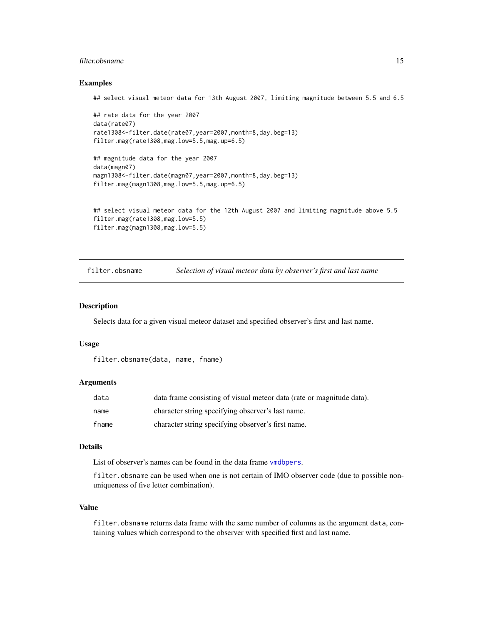## <span id="page-14-0"></span>filter.obsname 15

#### Examples

## select visual meteor data for 13th August 2007, limiting magnitude between 5.5 and 6.5

```
## rate data for the year 2007
data(rate07)
rate1308<-filter.date(rate07,year=2007,month=8,day.beg=13)
filter.mag(rate1308,mag.low=5.5,mag.up=6.5)
## magnitude data for the year 2007
data(magn07)
magn1308<-filter.date(magn07,year=2007,month=8,day.beg=13)
filter.mag(magn1308,mag.low=5.5,mag.up=6.5)
## select visual meteor data for the 12th August 2007 and limiting magnitude above 5.5
filter.mag(rate1308,mag.low=5.5)
```
filter.mag(magn1308,mag.low=5.5)

<span id="page-14-1"></span>filter.obsname *Selection of visual meteor data by observer's first and last name*

#### Description

Selects data for a given visual meteor dataset and specified observer's first and last name.

#### Usage

```
filter.obsname(data, name, fname)
```
## Arguments

| data  | data frame consisting of visual meteor data (rate or magnitude data). |
|-------|-----------------------------------------------------------------------|
| name  | character string specifying observer's last name.                     |
| fname | character string specifying observer's first name.                    |

## Details

List of observer's names can be found in the data frame [vmdbpers](#page-88-2).

filter.obsname can be used when one is not certain of IMO observer code (due to possible nonuniqueness of five letter combination).

## Value

filter.obsname returns data frame with the same number of columns as the argument data, containing values which correspond to the observer with specified first and last name.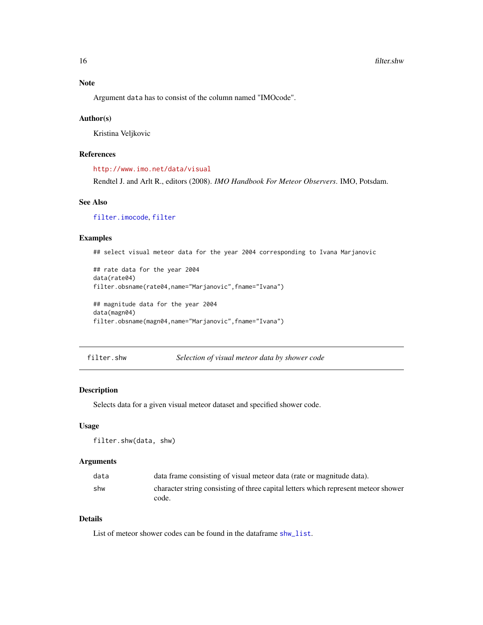#### <span id="page-15-0"></span>16 filter.shw

## Note

Argument data has to consist of the column named "IMOcode".

#### Author(s)

Kristina Veljkovic

## References

<http://www.imo.net/data/visual>

Rendtel J. and Arlt R., editors (2008). *IMO Handbook For Meteor Observers*. IMO, Potsdam.

## See Also

[filter.imocode](#page-11-1), [filter](#page-2-1)

### Examples

## select visual meteor data for the year 2004 corresponding to Ivana Marjanovic

```
## rate data for the year 2004
data(rate04)
filter.obsname(rate04,name="Marjanovic",fname="Ivana")
## magnitude data for the year 2004
data(magn04)
filter.obsname(magn04,name="Marjanovic",fname="Ivana")
```
<span id="page-15-1"></span>filter.shw *Selection of visual meteor data by shower code*

## Description

Selects data for a given visual meteor dataset and specified shower code.

## Usage

filter.shw(data, shw)

## Arguments

| data | data frame consisting of visual meteor data (rate or magnitude data).              |
|------|------------------------------------------------------------------------------------|
| shw  | character string consisting of three capital letters which represent meteor shower |
|      | code.                                                                              |

## Details

List of meteor shower codes can be found in the dataframe [shw\\_list](#page-86-1).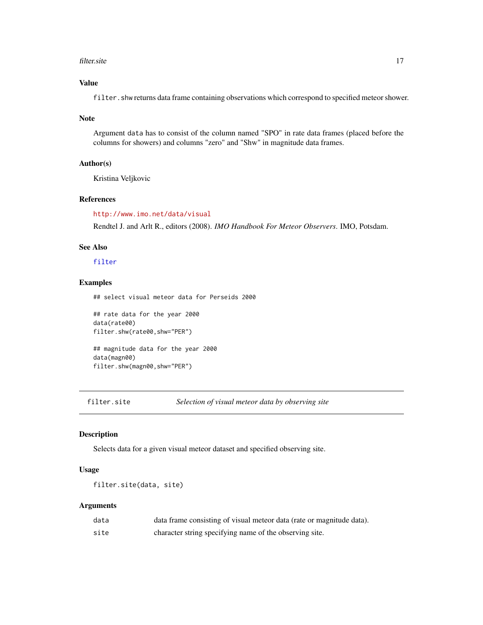#### <span id="page-16-0"></span>filter.site 17

## Value

filter.shw returns data frame containing observations which correspond to specified meteor shower.

#### Note

Argument data has to consist of the column named "SPO" in rate data frames (placed before the columns for showers) and columns "zero" and "Shw" in magnitude data frames.

### Author(s)

Kristina Veljkovic

## References

<http://www.imo.net/data/visual>

Rendtel J. and Arlt R., editors (2008). *IMO Handbook For Meteor Observers*. IMO, Potsdam.

## See Also

[filter](#page-2-1)

## Examples

## select visual meteor data for Perseids 2000

## rate data for the year 2000 data(rate00) filter.shw(rate00,shw="PER") ## magnitude data for the year 2000 data(magn00) filter.shw(magn00,shw="PER")

<span id="page-16-1"></span>filter.site *Selection of visual meteor data by observing site*

## Description

Selects data for a given visual meteor dataset and specified observing site.

## Usage

filter.site(data, site)

## Arguments

| data | data frame consisting of visual meteor data (rate or magnitude data). |
|------|-----------------------------------------------------------------------|
| site | character string specifying name of the observing site.               |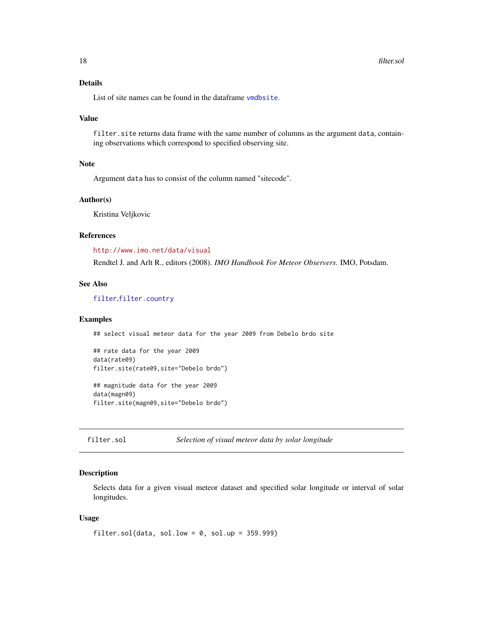## <span id="page-17-0"></span>Details

List of site names can be found in the dataframe [vmdbsite](#page-88-1).

#### Value

filter. site returns data frame with the same number of columns as the argument data, containing observations which correspond to specified observing site.

### Note

Argument data has to consist of the column named "sitecode".

## Author(s)

Kristina Veljkovic

#### References

<http://www.imo.net/data/visual>

Rendtel J. and Arlt R., editors (2008). *IMO Handbook For Meteor Observers*. IMO, Potsdam.

## See Also

[filter](#page-2-1),[filter.country](#page-5-1)

#### Examples

## select visual meteor data for the year 2009 from Debelo brdo site

```
## rate data for the year 2009
data(rate09)
filter.site(rate09,site="Debelo brdo")
```
## magnitude data for the year 2009 data(magn09) filter.site(magn09,site="Debelo brdo")

```
filter.sol Selection of visual meteor data by solar longitude
```
## Description

Selects data for a given visual meteor dataset and specified solar longitude or interval of solar longitudes.

## Usage

```
filter.sol(data, sol.low = 0, sol.up = 359.999)
```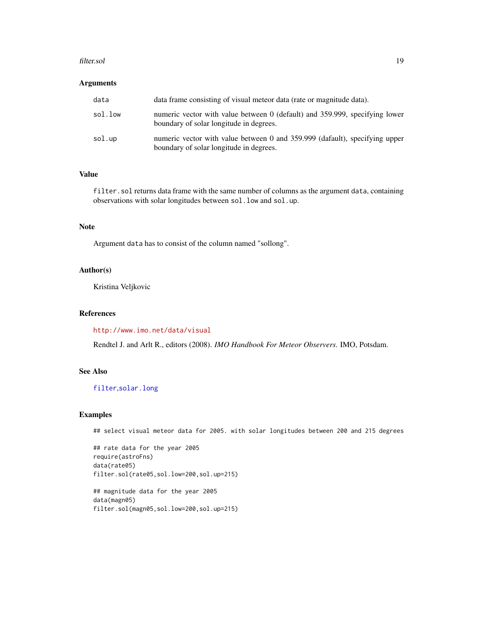#### filter.sol 19

## Arguments

| data    | data frame consisting of visual meteor data (rate or magnitude data).                                                  |
|---------|------------------------------------------------------------------------------------------------------------------------|
| sol.low | numeric vector with value between 0 (default) and 359.999, specifying lower<br>boundary of solar longitude in degrees. |
| sol.up  | numeric vector with value between 0 and 359.999 (dafault), specifying upper<br>boundary of solar longitude in degrees. |

## Value

filter.sol returns data frame with the same number of columns as the argument data, containing observations with solar longitudes between sol.low and sol.up.

## Note

Argument data has to consist of the column named "sollong".

## Author(s)

Kristina Veljkovic

## References

<http://www.imo.net/data/visual>

Rendtel J. and Arlt R., editors (2008). *IMO Handbook For Meteor Observers*. IMO, Potsdam.

## See Also

[filter](#page-2-1),[solar.long](#page-87-1)

#### Examples

## select visual meteor data for 2005. with solar longitudes between 200 and 215 degrees

## rate data for the year 2005 require(astroFns) data(rate05) filter.sol(rate05,sol.low=200,sol.up=215)

```
## magnitude data for the year 2005
data(magn05)
filter.sol(magn05,sol.low=200,sol.up=215)
```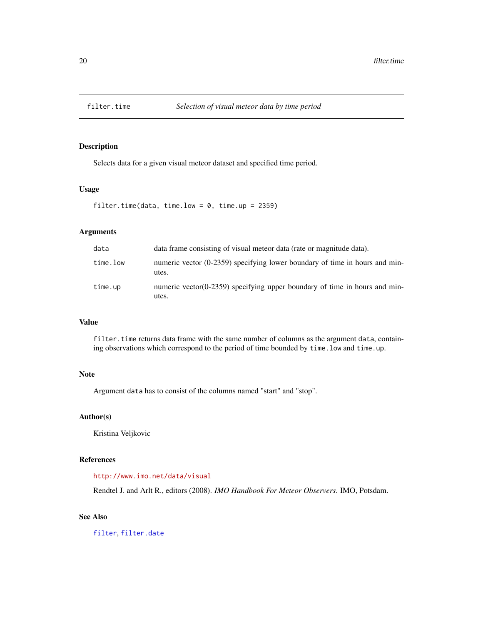<span id="page-19-1"></span><span id="page-19-0"></span>

## Description

Selects data for a given visual meteor dataset and specified time period.

## Usage

```
filter.time(data, time.low = 0, time.up = 2359)
```
## Arguments

| data     | data frame consisting of visual meteor data (rate or magnitude data).                |
|----------|--------------------------------------------------------------------------------------|
| time.low | numeric vector (0-2359) specifying lower boundary of time in hours and min-<br>utes. |
| time.up  | numeric vector (0-2359) specifying upper boundary of time in hours and min-<br>utes. |

## Value

filter.time returns data frame with the same number of columns as the argument data, containing observations which correspond to the period of time bounded by time.low and time.up.

## Note

Argument data has to consist of the columns named "start" and "stop".

## Author(s)

Kristina Veljkovic

## References

## <http://www.imo.net/data/visual>

Rendtel J. and Arlt R., editors (2008). *IMO Handbook For Meteor Observers*. IMO, Potsdam.

## See Also

[filter](#page-2-1), [filter.date](#page-6-1)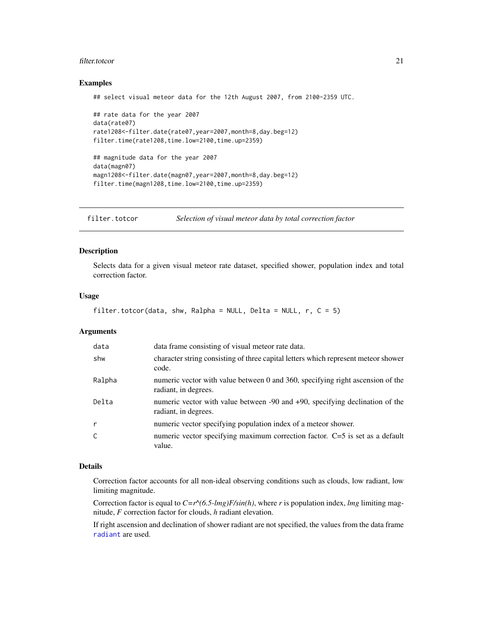#### <span id="page-20-0"></span>filter.totcor 21

## Examples

## select visual meteor data for the 12th August 2007, from 2100-2359 UTC.

```
## rate data for the year 2007
data(rate07)
rate1208<-filter.date(rate07,year=2007,month=8,day.beg=12)
filter.time(rate1208,time.low=2100,time.up=2359)
## magnitude data for the year 2007
data(magn07)
magn1208<-filter.date(magn07,year=2007,month=8,day.beg=12)
```
filter.time(magn1208,time.low=2100,time.up=2359)

<span id="page-20-1"></span>filter.totcor *Selection of visual meteor data by total correction factor*

#### Description

Selects data for a given visual meteor rate dataset, specified shower, population index and total correction factor.

## Usage

```
filter.totcor(data, shw, Ralpha = NULL, Delta = NULL, r, C = 5)
```
## **Arguments**

| data   | data frame consisting of visual meteor rate data.                                                      |
|--------|--------------------------------------------------------------------------------------------------------|
| shw    | character string consisting of three capital letters which represent meteor shower<br>code.            |
| Ralpha | numeric vector with value between 0 and 360, specifying right ascension of the<br>radiant, in degrees. |
| Delta  | numeric vector with value between -90 and +90, specifying declination of the<br>radiant, in degrees.   |
| r      | numeric vector specifying population index of a meteor shower.                                         |
| C      | numeric vector specifying maximum correction factor. C=5 is set as a default<br>value.                 |

#### Details

Correction factor accounts for all non-ideal observing conditions such as clouds, low radiant, low limiting magnitude.

Correction factor is equal to *C=r^(6.5-lmg)F/sin(h)*, where *r* is population index, *lmg* limiting magnitude, *F* correction factor for clouds, *h* radiant elevation.

If right ascension and declination of shower radiant are not specified, the values from the data frame [radiant](#page-47-1) are used.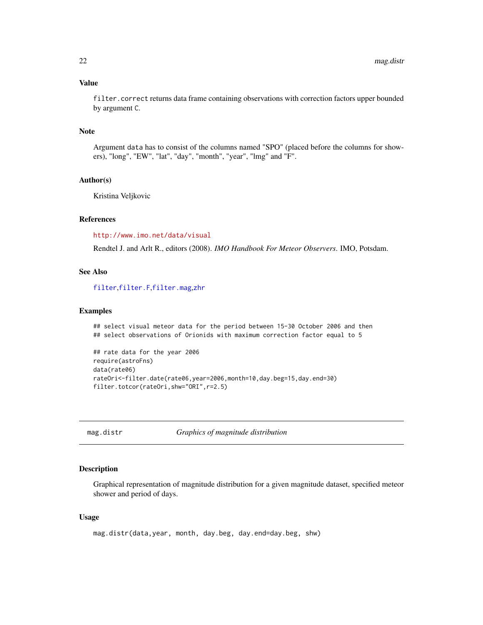## <span id="page-21-0"></span>Value

filter.correct returns data frame containing observations with correction factors upper bounded by argument C.

## Note

Argument data has to consist of the columns named "SPO" (placed before the columns for showers), "long", "EW", "lat", "day", "month", "year", "lmg" and "F".

## Author(s)

Kristina Veljkovic

## References

<http://www.imo.net/data/visual>

Rendtel J. and Arlt R., editors (2008). *IMO Handbook For Meteor Observers*. IMO, Potsdam.

## See Also

[filter](#page-2-1),[filter.F](#page-7-1),[filter.mag](#page-13-1),[zhr](#page-89-1)

#### Examples

```
## select visual meteor data for the period between 15-30 October 2006 and then
## select observations of Orionids with maximum correction factor equal to 5
```

```
## rate data for the year 2006
require(astroFns)
data(rate06)
rateOri<-filter.date(rate06,year=2006,month=10,day.beg=15,day.end=30)
filter.totcor(rateOri,shw="ORI",r=2.5)
```
mag.distr *Graphics of magnitude distribution*

## Description

Graphical representation of magnitude distribution for a given magnitude dataset, specified meteor shower and period of days.

## Usage

```
mag.distr(data,year, month, day.beg, day.end=day.beg, shw)
```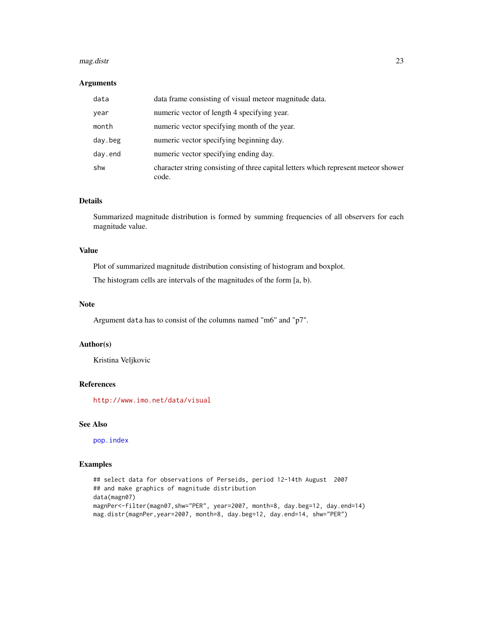#### mag.distr 23

## Arguments

| data    | data frame consisting of visual meteor magnitude data.                                      |
|---------|---------------------------------------------------------------------------------------------|
| year    | numeric vector of length 4 specifying year.                                                 |
| month   | numeric vector specifying month of the year.                                                |
| day.beg | numeric vector specifying beginning day.                                                    |
| day.end | numeric vector specifying ending day.                                                       |
| shw     | character string consisting of three capital letters which represent meteor shower<br>code. |

## Details

Summarized magnitude distribution is formed by summing frequencies of all observers for each magnitude value.

## Value

Plot of summarized magnitude distribution consisting of histogram and boxplot.

The histogram cells are intervals of the magnitudes of the form [a, b).

## Note

Argument data has to consist of the columns named "m6" and "p7".

## Author(s)

Kristina Veljkovic

## References

<http://www.imo.net/data/visual>

## See Also

[pop.index](#page-45-1)

## Examples

```
## select data for observations of Perseids, period 12-14th August 2007
## and make graphics of magnitude distribution
data(magn07)
magnPer<-filter(magn07,shw="PER", year=2007, month=8, day.beg=12, day.end=14)
mag.distr(magnPer,year=2007, month=8, day.beg=12, day.end=14, shw="PER")
```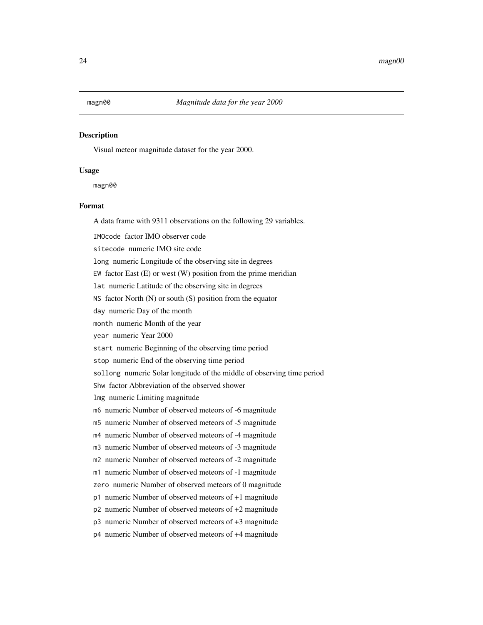## <span id="page-23-0"></span>Description

Visual meteor magnitude dataset for the year 2000.

## Usage

magn00

## Format

A data frame with 9311 observations on the following 29 variables.

IMOcode factor IMO observer code

sitecode numeric IMO site code

long numeric Longitude of the observing site in degrees

EW factor East  $(E)$  or west  $(W)$  position from the prime meridian

lat numeric Latitude of the observing site in degrees

NS factor North (N) or south (S) position from the equator

day numeric Day of the month

month numeric Month of the year

year numeric Year 2000

start numeric Beginning of the observing time period

stop numeric End of the observing time period

sollong numeric Solar longitude of the middle of observing time period

Shw factor Abbreviation of the observed shower

lmg numeric Limiting magnitude

m6 numeric Number of observed meteors of -6 magnitude

m5 numeric Number of observed meteors of -5 magnitude

m4 numeric Number of observed meteors of -4 magnitude

m3 numeric Number of observed meteors of -3 magnitude

m2 numeric Number of observed meteors of -2 magnitude

m1 numeric Number of observed meteors of -1 magnitude

zero numeric Number of observed meteors of 0 magnitude

p1 numeric Number of observed meteors of +1 magnitude

p2 numeric Number of observed meteors of +2 magnitude

p3 numeric Number of observed meteors of +3 magnitude

p4 numeric Number of observed meteors of +4 magnitude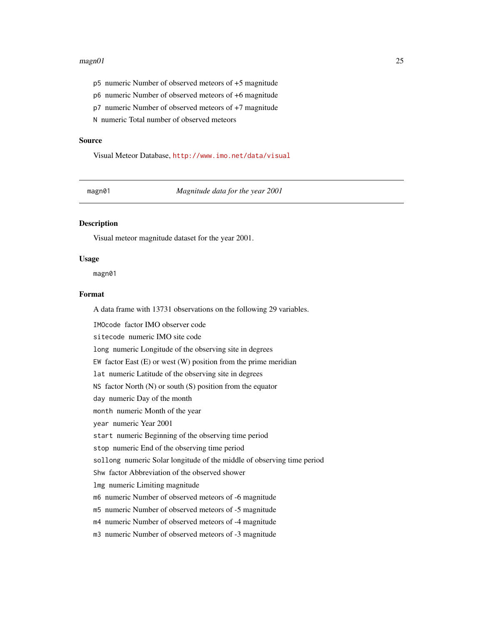#### <span id="page-24-0"></span> $magn01$  25

- p5 numeric Number of observed meteors of +5 magnitude
- p6 numeric Number of observed meteors of +6 magnitude
- p7 numeric Number of observed meteors of +7 magnitude

N numeric Total number of observed meteors

#### Source

Visual Meteor Database, <http://www.imo.net/data/visual>

magn01 *Magnitude data for the year 2001*

## Description

Visual meteor magnitude dataset for the year 2001.

#### Usage

magn01

## Format

A data frame with 13731 observations on the following 29 variables.

IMOcode factor IMO observer code sitecode numeric IMO site code long numeric Longitude of the observing site in degrees EW factor East  $(E)$  or west  $(W)$  position from the prime meridian lat numeric Latitude of the observing site in degrees NS factor North (N) or south (S) position from the equator day numeric Day of the month month numeric Month of the year year numeric Year 2001 start numeric Beginning of the observing time period stop numeric End of the observing time period sollong numeric Solar longitude of the middle of observing time period Shw factor Abbreviation of the observed shower lmg numeric Limiting magnitude m6 numeric Number of observed meteors of -6 magnitude m5 numeric Number of observed meteors of -5 magnitude m4 numeric Number of observed meteors of -4 magnitude m3 numeric Number of observed meteors of -3 magnitude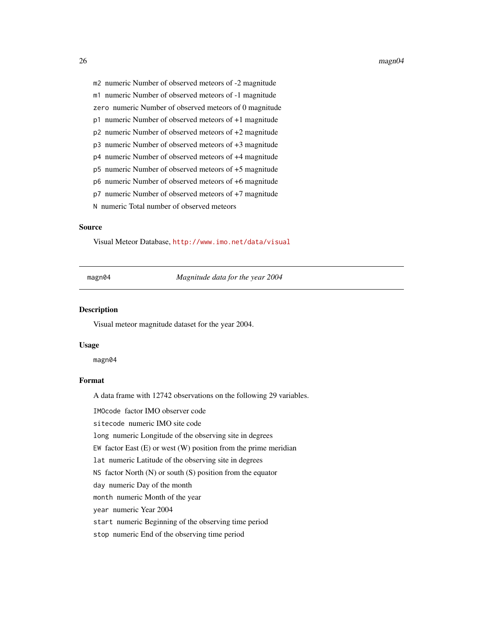#### <span id="page-25-0"></span>26 magn04

m1 numeric Number of observed meteors of -1 magnitude

zero numeric Number of observed meteors of 0 magnitude

p1 numeric Number of observed meteors of +1 magnitude

p2 numeric Number of observed meteors of +2 magnitude

- p3 numeric Number of observed meteors of +3 magnitude
- p4 numeric Number of observed meteors of +4 magnitude
- p5 numeric Number of observed meteors of +5 magnitude
- p6 numeric Number of observed meteors of +6 magnitude
- p7 numeric Number of observed meteors of +7 magnitude

N numeric Total number of observed meteors

## Source

Visual Meteor Database, <http://www.imo.net/data/visual>

magn04 *Magnitude data for the year 2004*

#### Description

Visual meteor magnitude dataset for the year 2004.

#### Usage

magn04

## Format

A data frame with 12742 observations on the following 29 variables.

IMOcode factor IMO observer code

sitecode numeric IMO site code

long numeric Longitude of the observing site in degrees

EW factor East  $(E)$  or west  $(W)$  position from the prime meridian

lat numeric Latitude of the observing site in degrees

NS factor North (N) or south (S) position from the equator

day numeric Day of the month

month numeric Month of the year

year numeric Year 2004

start numeric Beginning of the observing time period

stop numeric End of the observing time period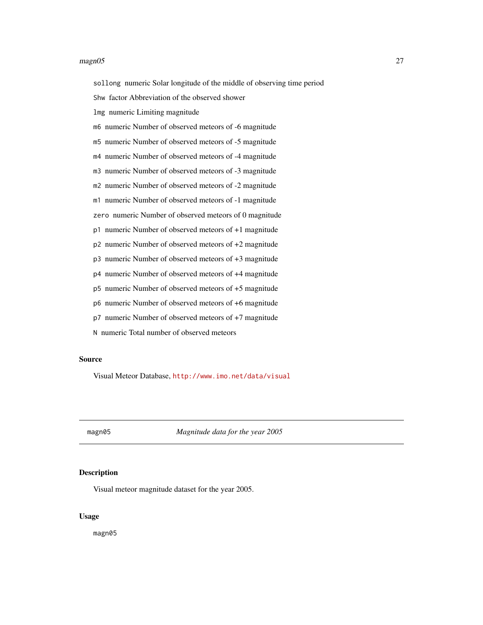#### <span id="page-26-0"></span> $magn05$  27

sollong numeric Solar longitude of the middle of observing time period

Shw factor Abbreviation of the observed shower

lmg numeric Limiting magnitude

m6 numeric Number of observed meteors of -6 magnitude

m5 numeric Number of observed meteors of -5 magnitude

m4 numeric Number of observed meteors of -4 magnitude

m3 numeric Number of observed meteors of -3 magnitude

m2 numeric Number of observed meteors of -2 magnitude

m1 numeric Number of observed meteors of -1 magnitude

zero numeric Number of observed meteors of 0 magnitude

p1 numeric Number of observed meteors of +1 magnitude

p2 numeric Number of observed meteors of +2 magnitude

p3 numeric Number of observed meteors of +3 magnitude

p4 numeric Number of observed meteors of +4 magnitude

p5 numeric Number of observed meteors of +5 magnitude

p6 numeric Number of observed meteors of +6 magnitude

p7 numeric Number of observed meteors of +7 magnitude

N numeric Total number of observed meteors

### Source

Visual Meteor Database, <http://www.imo.net/data/visual>

magn05 *Magnitude data for the year 2005*

## Description

Visual meteor magnitude dataset for the year 2005.

## Usage

magn05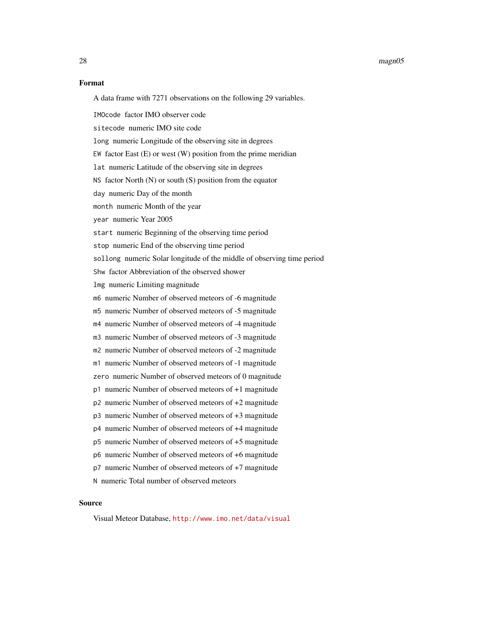#### 28 magn05

#### Format

A data frame with 7271 observations on the following 29 variables.

IMOcode factor IMO observer code

sitecode numeric IMO site code

long numeric Longitude of the observing site in degrees

EW factor East  $(E)$  or west  $(W)$  position from the prime meridian

lat numeric Latitude of the observing site in degrees

NS factor North (N) or south (S) position from the equator

day numeric Day of the month

month numeric Month of the year

year numeric Year 2005

start numeric Beginning of the observing time period

stop numeric End of the observing time period

sollong numeric Solar longitude of the middle of observing time period

Shw factor Abbreviation of the observed shower

lmg numeric Limiting magnitude

m6 numeric Number of observed meteors of -6 magnitude

m5 numeric Number of observed meteors of -5 magnitude

m4 numeric Number of observed meteors of -4 magnitude

m3 numeric Number of observed meteors of -3 magnitude

m2 numeric Number of observed meteors of -2 magnitude

m1 numeric Number of observed meteors of -1 magnitude

zero numeric Number of observed meteors of 0 magnitude

- p1 numeric Number of observed meteors of +1 magnitude
- p2 numeric Number of observed meteors of +2 magnitude
- p3 numeric Number of observed meteors of +3 magnitude

p4 numeric Number of observed meteors of +4 magnitude

p5 numeric Number of observed meteors of +5 magnitude

p6 numeric Number of observed meteors of +6 magnitude

p7 numeric Number of observed meteors of +7 magnitude

N numeric Total number of observed meteors

## Source

Visual Meteor Database, <http://www.imo.net/data/visual>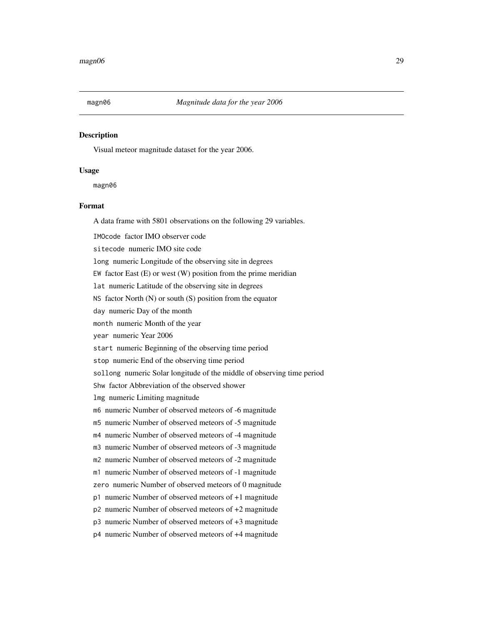<span id="page-28-0"></span>

## Description

Visual meteor magnitude dataset for the year 2006.

#### Usage

magn06

## Format

A data frame with 5801 observations on the following 29 variables.

IMOcode factor IMO observer code

sitecode numeric IMO site code

long numeric Longitude of the observing site in degrees

EW factor East  $(E)$  or west  $(W)$  position from the prime meridian

lat numeric Latitude of the observing site in degrees

NS factor North (N) or south (S) position from the equator

day numeric Day of the month

month numeric Month of the year

year numeric Year 2006

start numeric Beginning of the observing time period

stop numeric End of the observing time period

sollong numeric Solar longitude of the middle of observing time period

Shw factor Abbreviation of the observed shower

lmg numeric Limiting magnitude

m6 numeric Number of observed meteors of -6 magnitude

m5 numeric Number of observed meteors of -5 magnitude

m4 numeric Number of observed meteors of -4 magnitude

m3 numeric Number of observed meteors of -3 magnitude

m2 numeric Number of observed meteors of -2 magnitude

m1 numeric Number of observed meteors of -1 magnitude

zero numeric Number of observed meteors of 0 magnitude

p1 numeric Number of observed meteors of +1 magnitude

p2 numeric Number of observed meteors of +2 magnitude

p3 numeric Number of observed meteors of +3 magnitude

p4 numeric Number of observed meteors of +4 magnitude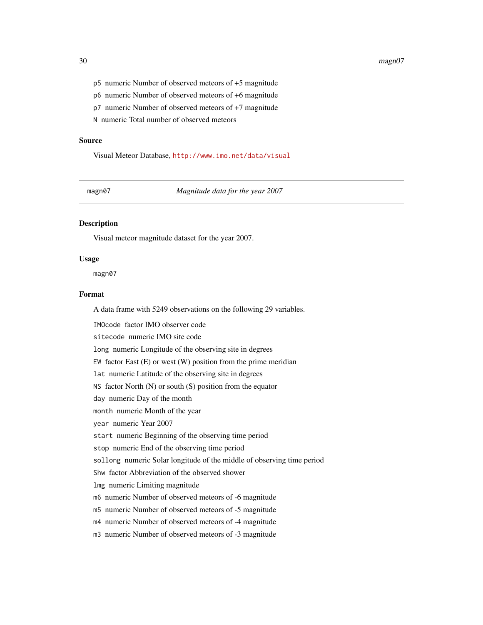#### 30 magn07

- p5 numeric Number of observed meteors of +5 magnitude
- p6 numeric Number of observed meteors of +6 magnitude
- p7 numeric Number of observed meteors of +7 magnitude

N numeric Total number of observed meteors

#### Source

Visual Meteor Database, <http://www.imo.net/data/visual>

magn07 *Magnitude data for the year 2007*

## Description

Visual meteor magnitude dataset for the year 2007.

#### Usage

magn07

## Format

A data frame with 5249 observations on the following 29 variables.

IMOcode factor IMO observer code sitecode numeric IMO site code long numeric Longitude of the observing site in degrees EW factor East  $(E)$  or west  $(W)$  position from the prime meridian lat numeric Latitude of the observing site in degrees NS factor North (N) or south (S) position from the equator day numeric Day of the month month numeric Month of the year year numeric Year 2007 start numeric Beginning of the observing time period stop numeric End of the observing time period sollong numeric Solar longitude of the middle of observing time period Shw factor Abbreviation of the observed shower lmg numeric Limiting magnitude m6 numeric Number of observed meteors of -6 magnitude m5 numeric Number of observed meteors of -5 magnitude m4 numeric Number of observed meteors of -4 magnitude m3 numeric Number of observed meteors of -3 magnitude

<span id="page-29-0"></span>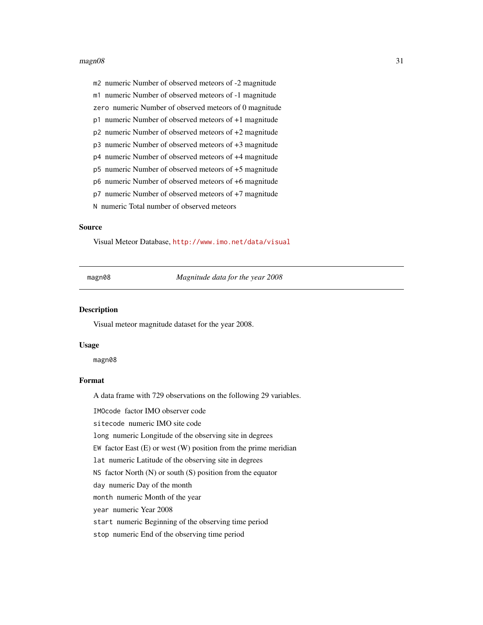#### <span id="page-30-0"></span> $magn08$  31

m2 numeric Number of observed meteors of -2 magnitude

m1 numeric Number of observed meteors of -1 magnitude

zero numeric Number of observed meteors of 0 magnitude

p1 numeric Number of observed meteors of +1 magnitude

p2 numeric Number of observed meteors of +2 magnitude

p3 numeric Number of observed meteors of +3 magnitude

p4 numeric Number of observed meteors of +4 magnitude

p5 numeric Number of observed meteors of +5 magnitude

p6 numeric Number of observed meteors of +6 magnitude

p7 numeric Number of observed meteors of +7 magnitude

N numeric Total number of observed meteors

## Source

Visual Meteor Database, <http://www.imo.net/data/visual>

magn08 *Magnitude data for the year 2008*

#### Description

Visual meteor magnitude dataset for the year 2008.

#### Usage

magn08

## Format

A data frame with 729 observations on the following 29 variables.

IMOcode factor IMO observer code

sitecode numeric IMO site code

long numeric Longitude of the observing site in degrees

EW factor East  $(E)$  or west  $(W)$  position from the prime meridian

lat numeric Latitude of the observing site in degrees

NS factor North (N) or south (S) position from the equator

day numeric Day of the month

month numeric Month of the year

year numeric Year 2008

start numeric Beginning of the observing time period

stop numeric End of the observing time period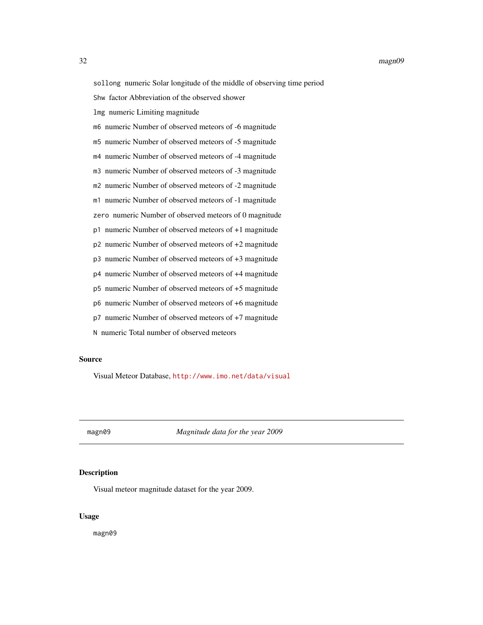<span id="page-31-0"></span>sollong numeric Solar longitude of the middle of observing time period

Shw factor Abbreviation of the observed shower

lmg numeric Limiting magnitude

m6 numeric Number of observed meteors of -6 magnitude

m5 numeric Number of observed meteors of -5 magnitude

m4 numeric Number of observed meteors of -4 magnitude

m3 numeric Number of observed meteors of -3 magnitude

m2 numeric Number of observed meteors of -2 magnitude

m1 numeric Number of observed meteors of -1 magnitude

zero numeric Number of observed meteors of 0 magnitude

p1 numeric Number of observed meteors of +1 magnitude

p2 numeric Number of observed meteors of +2 magnitude

p3 numeric Number of observed meteors of +3 magnitude

p4 numeric Number of observed meteors of +4 magnitude

p5 numeric Number of observed meteors of +5 magnitude

p6 numeric Number of observed meteors of +6 magnitude

p7 numeric Number of observed meteors of +7 magnitude

N numeric Total number of observed meteors

### Source

Visual Meteor Database, <http://www.imo.net/data/visual>

magn09 *Magnitude data for the year 2009*

## Description

Visual meteor magnitude dataset for the year 2009.

## Usage

magn09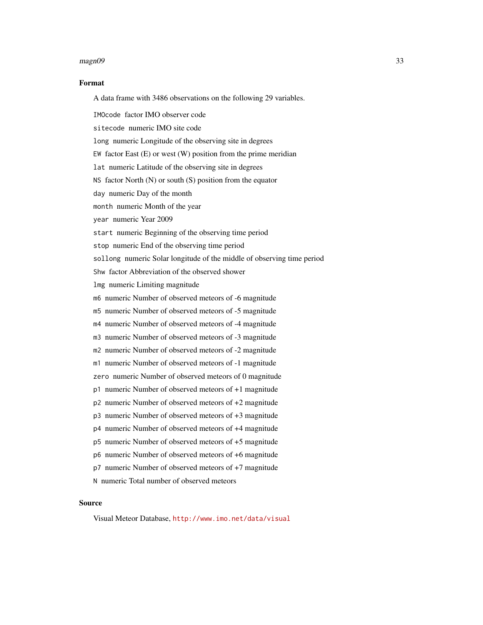#### $magn09$  33

#### Format

A data frame with 3486 observations on the following 29 variables.

IMOcode factor IMO observer code

sitecode numeric IMO site code

long numeric Longitude of the observing site in degrees

EW factor East  $(E)$  or west  $(W)$  position from the prime meridian

lat numeric Latitude of the observing site in degrees

NS factor North (N) or south (S) position from the equator

day numeric Day of the month

month numeric Month of the year

year numeric Year 2009

start numeric Beginning of the observing time period

stop numeric End of the observing time period

sollong numeric Solar longitude of the middle of observing time period

Shw factor Abbreviation of the observed shower

lmg numeric Limiting magnitude

m6 numeric Number of observed meteors of -6 magnitude

m5 numeric Number of observed meteors of -5 magnitude

m4 numeric Number of observed meteors of -4 magnitude

m3 numeric Number of observed meteors of -3 magnitude

m2 numeric Number of observed meteors of -2 magnitude

m1 numeric Number of observed meteors of -1 magnitude

zero numeric Number of observed meteors of 0 magnitude

- p1 numeric Number of observed meteors of +1 magnitude
- p2 numeric Number of observed meteors of +2 magnitude
- p3 numeric Number of observed meteors of +3 magnitude

p4 numeric Number of observed meteors of +4 magnitude

p5 numeric Number of observed meteors of +5 magnitude

p6 numeric Number of observed meteors of +6 magnitude

p7 numeric Number of observed meteors of +7 magnitude

N numeric Total number of observed meteors

## Source

Visual Meteor Database, <http://www.imo.net/data/visual>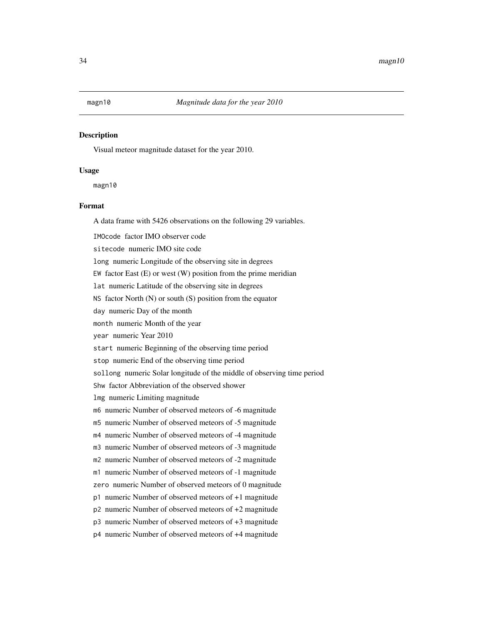## <span id="page-33-0"></span>Description

Visual meteor magnitude dataset for the year 2010.

## Usage

magn10

## Format

A data frame with 5426 observations on the following 29 variables.

IMOcode factor IMO observer code

sitecode numeric IMO site code

long numeric Longitude of the observing site in degrees

EW factor East  $(E)$  or west  $(W)$  position from the prime meridian

lat numeric Latitude of the observing site in degrees

NS factor North (N) or south (S) position from the equator

day numeric Day of the month

month numeric Month of the year

year numeric Year 2010

start numeric Beginning of the observing time period

stop numeric End of the observing time period

sollong numeric Solar longitude of the middle of observing time period

Shw factor Abbreviation of the observed shower

lmg numeric Limiting magnitude

m6 numeric Number of observed meteors of -6 magnitude

m5 numeric Number of observed meteors of -5 magnitude

m4 numeric Number of observed meteors of -4 magnitude

m3 numeric Number of observed meteors of -3 magnitude

m2 numeric Number of observed meteors of -2 magnitude

m1 numeric Number of observed meteors of -1 magnitude

zero numeric Number of observed meteors of 0 magnitude

p1 numeric Number of observed meteors of +1 magnitude

p2 numeric Number of observed meteors of +2 magnitude

p3 numeric Number of observed meteors of +3 magnitude

p4 numeric Number of observed meteors of +4 magnitude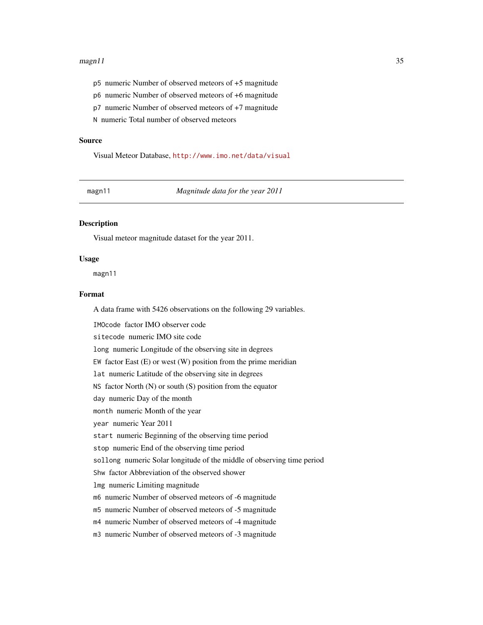#### <span id="page-34-0"></span> $magn11$  35

- p5 numeric Number of observed meteors of +5 magnitude
- p6 numeric Number of observed meteors of +6 magnitude
- p7 numeric Number of observed meteors of +7 magnitude

N numeric Total number of observed meteors

#### Source

Visual Meteor Database, <http://www.imo.net/data/visual>

magn11 *Magnitude data for the year 2011*

## Description

Visual meteor magnitude dataset for the year 2011.

#### Usage

magn11

## Format

A data frame with 5426 observations on the following 29 variables.

IMOcode factor IMO observer code sitecode numeric IMO site code long numeric Longitude of the observing site in degrees EW factor East  $(E)$  or west  $(W)$  position from the prime meridian lat numeric Latitude of the observing site in degrees NS factor North (N) or south (S) position from the equator day numeric Day of the month month numeric Month of the year year numeric Year 2011 start numeric Beginning of the observing time period stop numeric End of the observing time period sollong numeric Solar longitude of the middle of observing time period Shw factor Abbreviation of the observed shower lmg numeric Limiting magnitude m6 numeric Number of observed meteors of -6 magnitude m5 numeric Number of observed meteors of -5 magnitude m4 numeric Number of observed meteors of -4 magnitude m3 numeric Number of observed meteors of -3 magnitude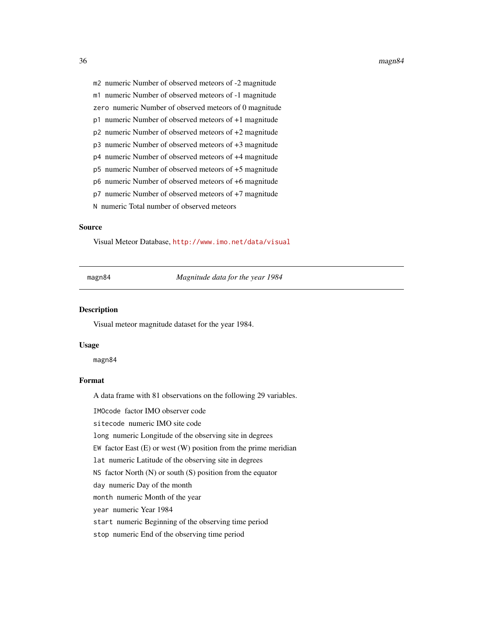#### <span id="page-35-0"></span>36 magn84

m1 numeric Number of observed meteors of -1 magnitude

zero numeric Number of observed meteors of 0 magnitude

- p1 numeric Number of observed meteors of +1 magnitude
- p2 numeric Number of observed meteors of +2 magnitude
- p3 numeric Number of observed meteors of +3 magnitude
- p4 numeric Number of observed meteors of +4 magnitude
- p5 numeric Number of observed meteors of +5 magnitude
- p6 numeric Number of observed meteors of +6 magnitude
- p7 numeric Number of observed meteors of +7 magnitude
- N numeric Total number of observed meteors

## Source

Visual Meteor Database, <http://www.imo.net/data/visual>

magn84 *Magnitude data for the year 1984*

#### Description

Visual meteor magnitude dataset for the year 1984.

#### Usage

magn84

## Format

A data frame with 81 observations on the following 29 variables.

IMOcode factor IMO observer code

sitecode numeric IMO site code

long numeric Longitude of the observing site in degrees

EW factor East  $(E)$  or west  $(W)$  position from the prime meridian

lat numeric Latitude of the observing site in degrees

NS factor North (N) or south (S) position from the equator

day numeric Day of the month

month numeric Month of the year

year numeric Year 1984

start numeric Beginning of the observing time period

stop numeric End of the observing time period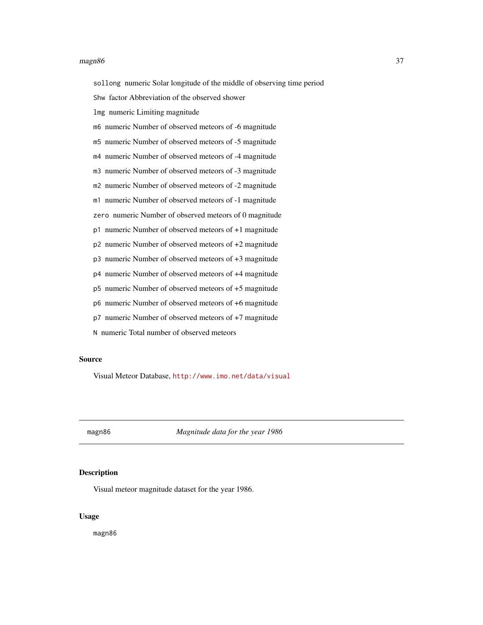### $magn86$  37

sollong numeric Solar longitude of the middle of observing time period

Shw factor Abbreviation of the observed shower

lmg numeric Limiting magnitude

m6 numeric Number of observed meteors of -6 magnitude

m5 numeric Number of observed meteors of -5 magnitude

m4 numeric Number of observed meteors of -4 magnitude

m3 numeric Number of observed meteors of -3 magnitude

m2 numeric Number of observed meteors of -2 magnitude

m1 numeric Number of observed meteors of -1 magnitude

zero numeric Number of observed meteors of 0 magnitude

p1 numeric Number of observed meteors of +1 magnitude

p2 numeric Number of observed meteors of +2 magnitude

p3 numeric Number of observed meteors of +3 magnitude

p4 numeric Number of observed meteors of +4 magnitude

p5 numeric Number of observed meteors of +5 magnitude

p6 numeric Number of observed meteors of +6 magnitude

p7 numeric Number of observed meteors of +7 magnitude

N numeric Total number of observed meteors

## Source

Visual Meteor Database, <http://www.imo.net/data/visual>

magn86 *Magnitude data for the year 1986*

# Description

Visual meteor magnitude dataset for the year 1986.

# Usage

magn86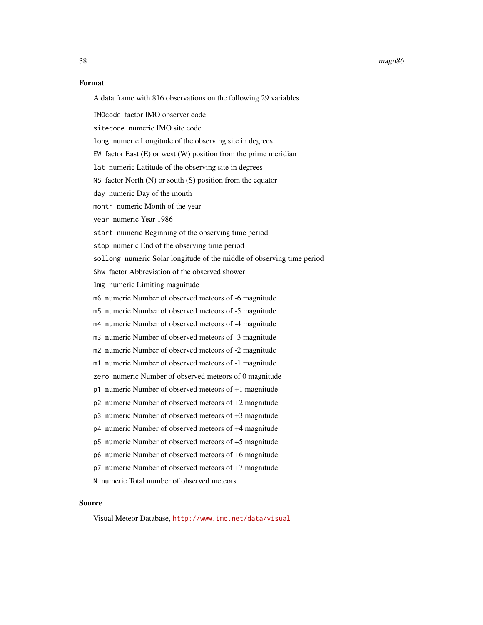### 38 magn86

#### Format

A data frame with 816 observations on the following 29 variables.

IMOcode factor IMO observer code

sitecode numeric IMO site code

long numeric Longitude of the observing site in degrees

EW factor East  $(E)$  or west  $(W)$  position from the prime meridian

lat numeric Latitude of the observing site in degrees

NS factor North (N) or south (S) position from the equator

day numeric Day of the month

month numeric Month of the year

year numeric Year 1986

start numeric Beginning of the observing time period

stop numeric End of the observing time period

sollong numeric Solar longitude of the middle of observing time period

Shw factor Abbreviation of the observed shower

lmg numeric Limiting magnitude

m6 numeric Number of observed meteors of -6 magnitude

m5 numeric Number of observed meteors of -5 magnitude

m4 numeric Number of observed meteors of -4 magnitude

m3 numeric Number of observed meteors of -3 magnitude

m2 numeric Number of observed meteors of -2 magnitude

m1 numeric Number of observed meteors of -1 magnitude

zero numeric Number of observed meteors of 0 magnitude

- p1 numeric Number of observed meteors of +1 magnitude
- p2 numeric Number of observed meteors of +2 magnitude
- p3 numeric Number of observed meteors of +3 magnitude

p4 numeric Number of observed meteors of +4 magnitude

p5 numeric Number of observed meteors of +5 magnitude

p6 numeric Number of observed meteors of +6 magnitude

p7 numeric Number of observed meteors of +7 magnitude

N numeric Total number of observed meteors

# Source

Visual Meteor Database, <http://www.imo.net/data/visual>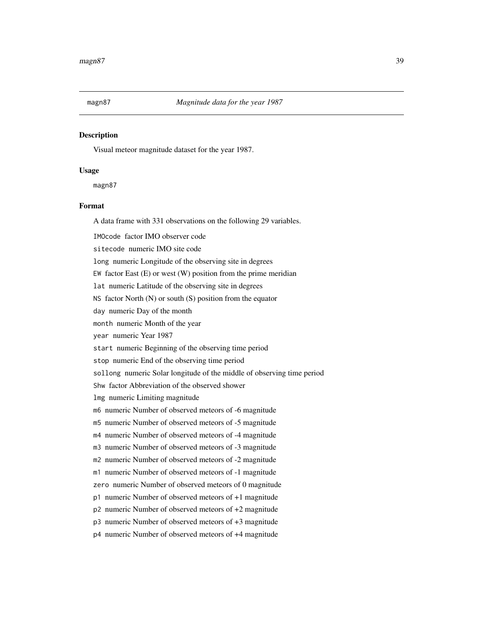# Description

Visual meteor magnitude dataset for the year 1987.

# Usage

magn87

# Format

A data frame with 331 observations on the following 29 variables.

IMOcode factor IMO observer code

sitecode numeric IMO site code

long numeric Longitude of the observing site in degrees

EW factor East  $(E)$  or west  $(W)$  position from the prime meridian

lat numeric Latitude of the observing site in degrees

NS factor North (N) or south (S) position from the equator

day numeric Day of the month

month numeric Month of the year

year numeric Year 1987

start numeric Beginning of the observing time period

stop numeric End of the observing time period

sollong numeric Solar longitude of the middle of observing time period

Shw factor Abbreviation of the observed shower

lmg numeric Limiting magnitude

m6 numeric Number of observed meteors of -6 magnitude

m5 numeric Number of observed meteors of -5 magnitude

m4 numeric Number of observed meteors of -4 magnitude

m3 numeric Number of observed meteors of -3 magnitude

m2 numeric Number of observed meteors of -2 magnitude

m1 numeric Number of observed meteors of -1 magnitude

zero numeric Number of observed meteors of 0 magnitude

p1 numeric Number of observed meteors of +1 magnitude

p2 numeric Number of observed meteors of +2 magnitude

p3 numeric Number of observed meteors of +3 magnitude

p4 numeric Number of observed meteors of +4 magnitude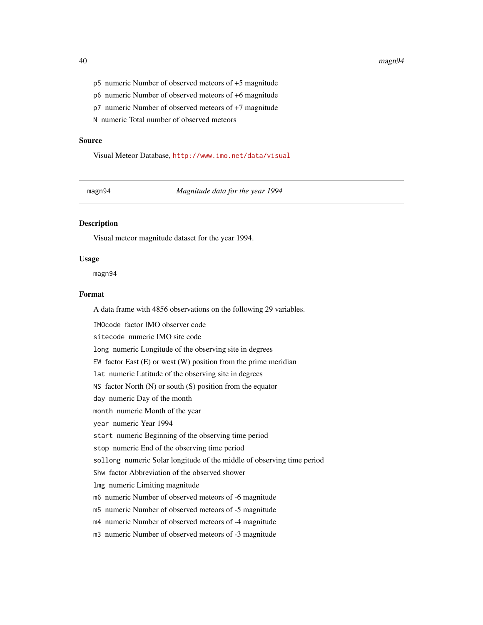### 40 magn94

- p5 numeric Number of observed meteors of +5 magnitude
- p6 numeric Number of observed meteors of +6 magnitude
- p7 numeric Number of observed meteors of +7 magnitude

N numeric Total number of observed meteors

#### Source

Visual Meteor Database, <http://www.imo.net/data/visual>

magn94 *Magnitude data for the year 1994*

# Description

Visual meteor magnitude dataset for the year 1994.

#### Usage

magn94

# Format

A data frame with 4856 observations on the following 29 variables.

IMOcode factor IMO observer code sitecode numeric IMO site code long numeric Longitude of the observing site in degrees EW factor East  $(E)$  or west  $(W)$  position from the prime meridian lat numeric Latitude of the observing site in degrees NS factor North (N) or south (S) position from the equator day numeric Day of the month month numeric Month of the year year numeric Year 1994 start numeric Beginning of the observing time period stop numeric End of the observing time period sollong numeric Solar longitude of the middle of observing time period Shw factor Abbreviation of the observed shower lmg numeric Limiting magnitude m6 numeric Number of observed meteors of -6 magnitude m5 numeric Number of observed meteors of -5 magnitude m4 numeric Number of observed meteors of -4 magnitude m3 numeric Number of observed meteors of -3 magnitude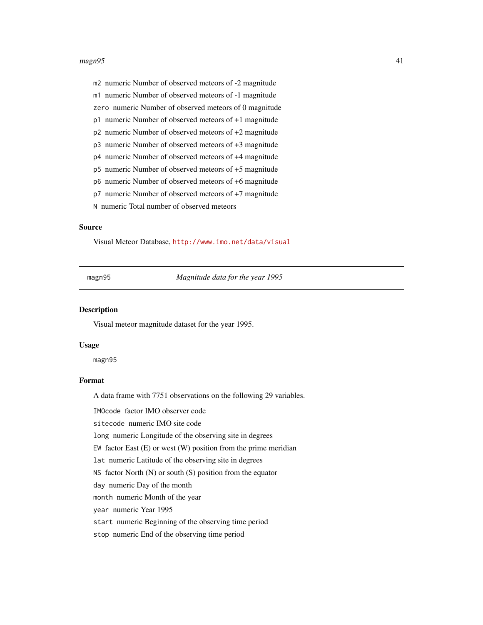### $magn95$  and  $41$

m2 numeric Number of observed meteors of -2 magnitude

m1 numeric Number of observed meteors of -1 magnitude

zero numeric Number of observed meteors of 0 magnitude

p1 numeric Number of observed meteors of +1 magnitude

p2 numeric Number of observed meteors of +2 magnitude

p3 numeric Number of observed meteors of +3 magnitude

p4 numeric Number of observed meteors of +4 magnitude

p5 numeric Number of observed meteors of +5 magnitude

p6 numeric Number of observed meteors of +6 magnitude

p7 numeric Number of observed meteors of +7 magnitude

N numeric Total number of observed meteors

# Source

Visual Meteor Database, <http://www.imo.net/data/visual>

magn95 *Magnitude data for the year 1995*

#### Description

Visual meteor magnitude dataset for the year 1995.

#### Usage

magn95

# Format

A data frame with 7751 observations on the following 29 variables.

IMOcode factor IMO observer code

sitecode numeric IMO site code

long numeric Longitude of the observing site in degrees

EW factor East  $(E)$  or west  $(W)$  position from the prime meridian

lat numeric Latitude of the observing site in degrees

NS factor North  $(N)$  or south  $(S)$  position from the equator

day numeric Day of the month

month numeric Month of the year

year numeric Year 1995

start numeric Beginning of the observing time period

stop numeric End of the observing time period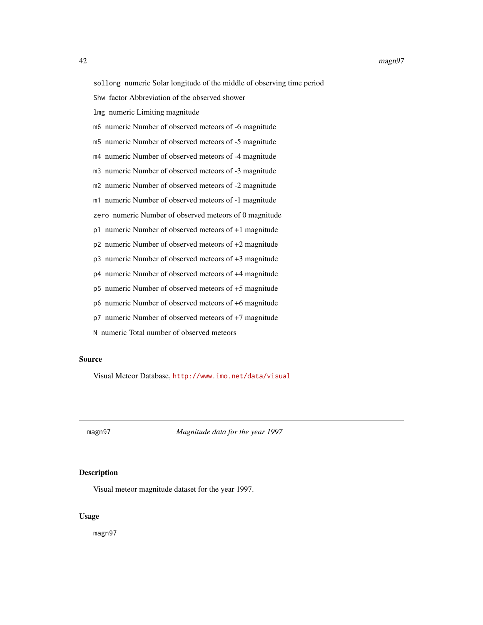sollong numeric Solar longitude of the middle of observing time period

Shw factor Abbreviation of the observed shower

lmg numeric Limiting magnitude

m6 numeric Number of observed meteors of -6 magnitude

m5 numeric Number of observed meteors of -5 magnitude

m4 numeric Number of observed meteors of -4 magnitude

m3 numeric Number of observed meteors of -3 magnitude

m2 numeric Number of observed meteors of -2 magnitude

m1 numeric Number of observed meteors of -1 magnitude

zero numeric Number of observed meteors of 0 magnitude

p1 numeric Number of observed meteors of +1 magnitude

p2 numeric Number of observed meteors of +2 magnitude

p3 numeric Number of observed meteors of +3 magnitude

p4 numeric Number of observed meteors of +4 magnitude

p5 numeric Number of observed meteors of +5 magnitude

p6 numeric Number of observed meteors of +6 magnitude

p7 numeric Number of observed meteors of +7 magnitude

N numeric Total number of observed meteors

## Source

Visual Meteor Database, <http://www.imo.net/data/visual>

magn97 *Magnitude data for the year 1997*

# Description

Visual meteor magnitude dataset for the year 1997.

# Usage

magn97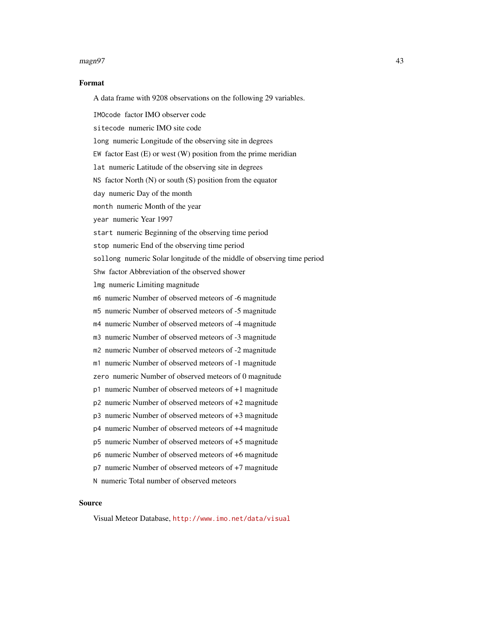### magn97 43

## Format

A data frame with 9208 observations on the following 29 variables.

IMOcode factor IMO observer code

sitecode numeric IMO site code

long numeric Longitude of the observing site in degrees

EW factor East  $(E)$  or west  $(W)$  position from the prime meridian

lat numeric Latitude of the observing site in degrees

NS factor North (N) or south (S) position from the equator

day numeric Day of the month

month numeric Month of the year

year numeric Year 1997

start numeric Beginning of the observing time period

stop numeric End of the observing time period

sollong numeric Solar longitude of the middle of observing time period

Shw factor Abbreviation of the observed shower

lmg numeric Limiting magnitude

m6 numeric Number of observed meteors of -6 magnitude

m5 numeric Number of observed meteors of -5 magnitude

m4 numeric Number of observed meteors of -4 magnitude

m3 numeric Number of observed meteors of -3 magnitude

m2 numeric Number of observed meteors of -2 magnitude

m1 numeric Number of observed meteors of -1 magnitude

zero numeric Number of observed meteors of 0 magnitude

- p1 numeric Number of observed meteors of +1 magnitude
- p2 numeric Number of observed meteors of +2 magnitude
- p3 numeric Number of observed meteors of +3 magnitude

p4 numeric Number of observed meteors of +4 magnitude

p5 numeric Number of observed meteors of +5 magnitude

p6 numeric Number of observed meteors of +6 magnitude

p7 numeric Number of observed meteors of +7 magnitude

N numeric Total number of observed meteors

# Source

Visual Meteor Database, <http://www.imo.net/data/visual>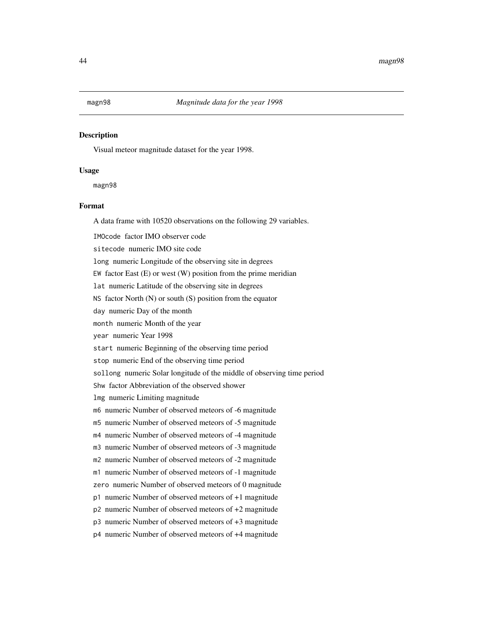# Description

Visual meteor magnitude dataset for the year 1998.

#### Usage

magn98

# Format

A data frame with 10520 observations on the following 29 variables.

IMOcode factor IMO observer code

sitecode numeric IMO site code

long numeric Longitude of the observing site in degrees

EW factor East  $(E)$  or west  $(W)$  position from the prime meridian

lat numeric Latitude of the observing site in degrees

NS factor North (N) or south (S) position from the equator

day numeric Day of the month

month numeric Month of the year

year numeric Year 1998

start numeric Beginning of the observing time period

stop numeric End of the observing time period

sollong numeric Solar longitude of the middle of observing time period

Shw factor Abbreviation of the observed shower

lmg numeric Limiting magnitude

m6 numeric Number of observed meteors of -6 magnitude

m5 numeric Number of observed meteors of -5 magnitude

m4 numeric Number of observed meteors of -4 magnitude

m3 numeric Number of observed meteors of -3 magnitude

m2 numeric Number of observed meteors of -2 magnitude

m1 numeric Number of observed meteors of -1 magnitude

zero numeric Number of observed meteors of 0 magnitude

p1 numeric Number of observed meteors of +1 magnitude

p2 numeric Number of observed meteors of +2 magnitude

p3 numeric Number of observed meteors of +3 magnitude

p4 numeric Number of observed meteors of +4 magnitude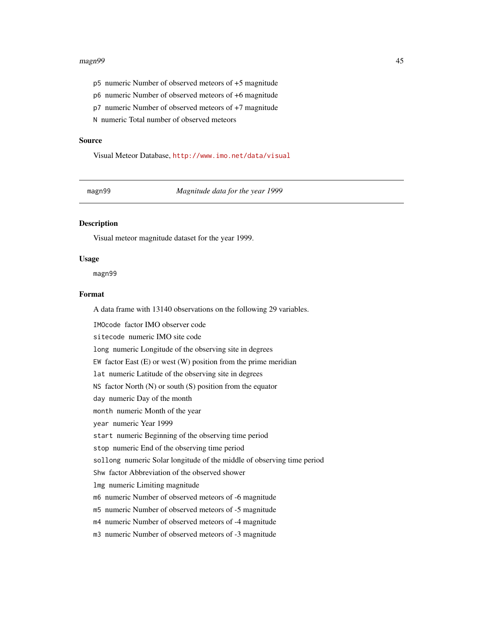### magn99 45

- p5 numeric Number of observed meteors of +5 magnitude
- p6 numeric Number of observed meteors of +6 magnitude
- p7 numeric Number of observed meteors of +7 magnitude

N numeric Total number of observed meteors

### Source

Visual Meteor Database, <http://www.imo.net/data/visual>

magn99 *Magnitude data for the year 1999*

# Description

Visual meteor magnitude dataset for the year 1999.

## Usage

magn99

# Format

A data frame with 13140 observations on the following 29 variables.

IMOcode factor IMO observer code sitecode numeric IMO site code long numeric Longitude of the observing site in degrees EW factor East  $(E)$  or west  $(W)$  position from the prime meridian lat numeric Latitude of the observing site in degrees NS factor North (N) or south (S) position from the equator day numeric Day of the month month numeric Month of the year year numeric Year 1999 start numeric Beginning of the observing time period stop numeric End of the observing time period sollong numeric Solar longitude of the middle of observing time period Shw factor Abbreviation of the observed shower lmg numeric Limiting magnitude m6 numeric Number of observed meteors of -6 magnitude m5 numeric Number of observed meteors of -5 magnitude m4 numeric Number of observed meteors of -4 magnitude m3 numeric Number of observed meteors of -3 magnitude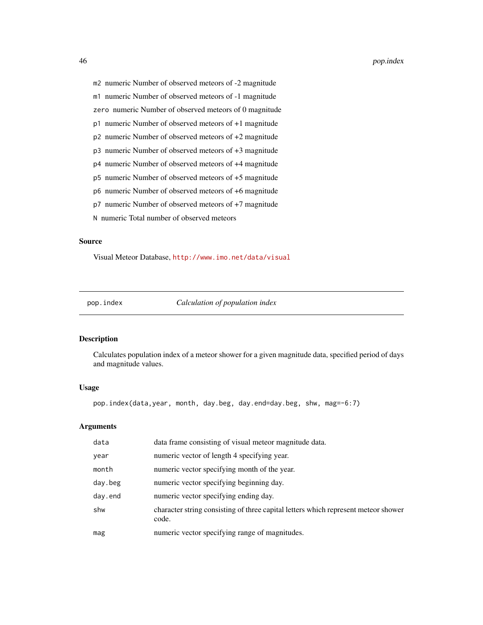m2 numeric Number of observed meteors of -2 magnitude

m1 numeric Number of observed meteors of -1 magnitude

zero numeric Number of observed meteors of 0 magnitude

p1 numeric Number of observed meteors of +1 magnitude

p2 numeric Number of observed meteors of +2 magnitude

p3 numeric Number of observed meteors of +3 magnitude

p4 numeric Number of observed meteors of +4 magnitude

p5 numeric Number of observed meteors of +5 magnitude

p6 numeric Number of observed meteors of +6 magnitude

p7 numeric Number of observed meteors of +7 magnitude

N numeric Total number of observed meteors

#### Source

Visual Meteor Database, <http://www.imo.net/data/visual>

pop.index *Calculation of population index*

# Description

Calculates population index of a meteor shower for a given magnitude data, specified period of days and magnitude values.

## Usage

pop.index(data,year, month, day.beg, day.end=day.beg, shw, mag=-6:7)

## Arguments

| data    | data frame consisting of visual meteor magnitude data.                                      |
|---------|---------------------------------------------------------------------------------------------|
| year    | numeric vector of length 4 specifying year.                                                 |
| month   | numeric vector specifying month of the year.                                                |
| day.beg | numeric vector specifying beginning day.                                                    |
| day.end | numeric vector specifying ending day.                                                       |
| shw     | character string consisting of three capital letters which represent meteor shower<br>code. |
| mag     | numeric vector specifying range of magnitudes.                                              |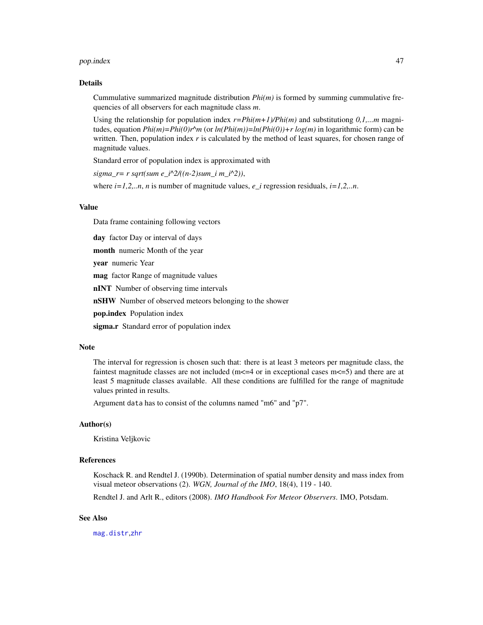### pop.index 47

### Details

Cummulative summarized magnitude distribution  $Phi(m)$  is formed by summing cummulative frequencies of all observers for each magnitude class *m*.

Using the relationship for population index  $r = Phi(m+1)/Phi(m)$  and substitutiong  $0,1,...m$  magnitudes, equation  $Phi(im)=Phi(i)\cdot r^m$  (or  $ln(Phi(im))=ln(Phi(i0))+r \log(m)$  in logarithmic form) can be written. Then, population index *r* is calculated by the method of least squares, for chosen range of magnitude values.

Standard error of population index is approximated with

*sigma\_r= r sqrt(sum e\_i^2/((n-2)sum\_i m\_i^2))*,

where *i=1,2,..n*, *n* is number of magnitude values, *e\_i* regression residuals, *i=1,2,..n*.

# Value

Data frame containing following vectors

day factor Day or interval of days

month numeric Month of the year

year numeric Year

mag factor Range of magnitude values

nINT Number of observing time intervals

nSHW Number of observed meteors belonging to the shower

pop.index Population index

sigma.r Standard error of population index

# Note

The interval for regression is chosen such that: there is at least 3 meteors per magnitude class, the faintest magnitude classes are not included ( $m < 1$  or in exceptional cases  $m < 5$ ) and there are at least 5 magnitude classes available. All these conditions are fulfilled for the range of magnitude values printed in results.

Argument data has to consist of the columns named "m6" and "p7".

# Author(s)

Kristina Veljkovic

# References

Koschack R. and Rendtel J. (1990b). Determination of spatial number density and mass index from visual meteor observations (2). *WGN, Journal of the IMO*, 18(4), 119 - 140.

Rendtel J. and Arlt R., editors (2008). *IMO Handbook For Meteor Observers*. IMO, Potsdam.

### See Also

[mag.distr](#page-21-0),[zhr](#page-89-0)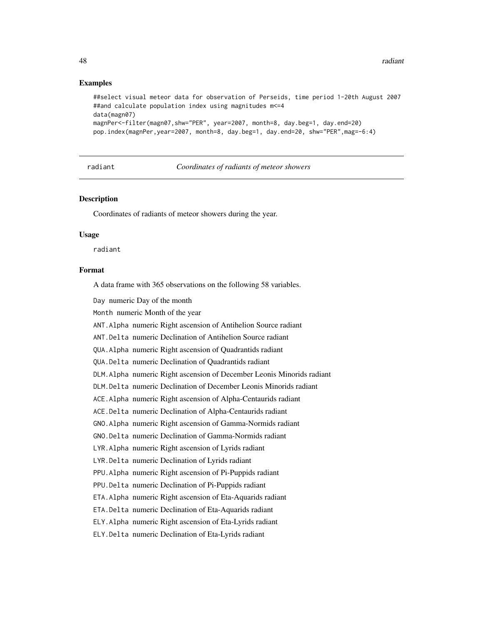# Examples

```
##select visual meteor data for observation of Perseids, time period 1-20th August 2007
##and calculate population index using magnitudes m<=4
data(magn07)
magnPer<-filter(magn07,shw="PER", year=2007, month=8, day.beg=1, day.end=20)
pop.index(magnPer,year=2007, month=8, day.beg=1, day.end=20, shw="PER",mag=-6:4)
```
radiant *Coordinates of radiants of meteor showers*

# Description

Coordinates of radiants of meteor showers during the year.

#### Usage

radiant

# Format

A data frame with 365 observations on the following 58 variables.

Day numeric Day of the month

Month numeric Month of the year

ANT.Alpha numeric Right ascension of Antihelion Source radiant

ANT.Delta numeric Declination of Antihelion Source radiant

QUA.Alpha numeric Right ascension of Quadrantids radiant

QUA.Delta numeric Declination of Quadrantids radiant

DLM.Alpha numeric Right ascension of December Leonis Minorids radiant

DLM.Delta numeric Declination of December Leonis Minorids radiant

ACE.Alpha numeric Right ascension of Alpha-Centaurids radiant

ACE.Delta numeric Declination of Alpha-Centaurids radiant

GNO.Alpha numeric Right ascension of Gamma-Normids radiant

GNO.Delta numeric Declination of Gamma-Normids radiant

LYR.Alpha numeric Right ascension of Lyrids radiant

LYR.Delta numeric Declination of Lyrids radiant

PPU.Alpha numeric Right ascension of Pi-Puppids radiant

PPU.Delta numeric Declination of Pi-Puppids radiant

ETA.Alpha numeric Right ascension of Eta-Aquarids radiant

ETA.Delta numeric Declination of Eta-Aquarids radiant

ELY.Alpha numeric Right ascension of Eta-Lyrids radiant

ELY.Delta numeric Declination of Eta-Lyrids radiant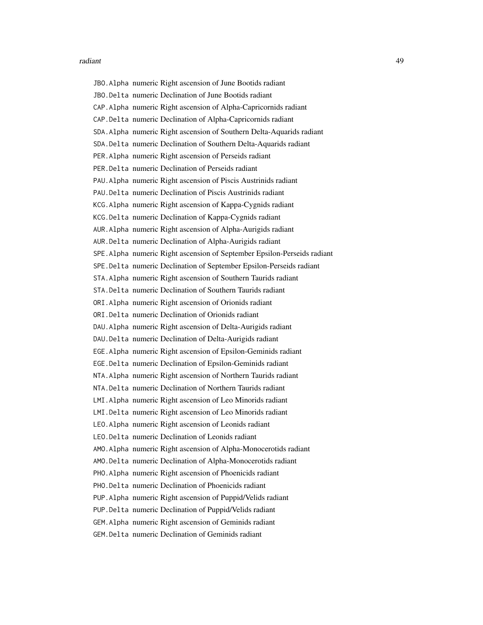### radiant **49**

JBO.Alpha numeric Right ascension of June Bootids radiant JBO.Delta numeric Declination of June Bootids radiant CAP.Alpha numeric Right ascension of Alpha-Capricornids radiant CAP.Delta numeric Declination of Alpha-Capricornids radiant SDA.Alpha numeric Right ascension of Southern Delta-Aquarids radiant SDA.Delta numeric Declination of Southern Delta-Aquarids radiant PER.Alpha numeric Right ascension of Perseids radiant PER.Delta numeric Declination of Perseids radiant PAU.Alpha numeric Right ascension of Piscis Austrinids radiant PAU.Delta numeric Declination of Piscis Austrinids radiant KCG.Alpha numeric Right ascension of Kappa-Cygnids radiant KCG.Delta numeric Declination of Kappa-Cygnids radiant AUR.Alpha numeric Right ascension of Alpha-Aurigids radiant AUR.Delta numeric Declination of Alpha-Aurigids radiant SPE.Alpha numeric Right ascension of September Epsilon-Perseids radiant SPE.Delta numeric Declination of September Epsilon-Perseids radiant STA.Alpha numeric Right ascension of Southern Taurids radiant STA.Delta numeric Declination of Southern Taurids radiant ORI.Alpha numeric Right ascension of Orionids radiant ORI.Delta numeric Declination of Orionids radiant DAU.Alpha numeric Right ascension of Delta-Aurigids radiant DAU.Delta numeric Declination of Delta-Aurigids radiant EGE.Alpha numeric Right ascension of Epsilon-Geminids radiant EGE.Delta numeric Declination of Epsilon-Geminids radiant NTA.Alpha numeric Right ascension of Northern Taurids radiant NTA.Delta numeric Declination of Northern Taurids radiant LMI.Alpha numeric Right ascension of Leo Minorids radiant LMI.Delta numeric Right ascension of Leo Minorids radiant LEO.Alpha numeric Right ascension of Leonids radiant LEO.Delta numeric Declination of Leonids radiant AMO.Alpha numeric Right ascension of Alpha-Monocerotids radiant AMO.Delta numeric Declination of Alpha-Monocerotids radiant PHO.Alpha numeric Right ascension of Phoenicids radiant PHO.Delta numeric Declination of Phoenicids radiant PUP.Alpha numeric Right ascension of Puppid/Velids radiant PUP.Delta numeric Declination of Puppid/Velids radiant GEM.Alpha numeric Right ascension of Geminids radiant GEM.Delta numeric Declination of Geminids radiant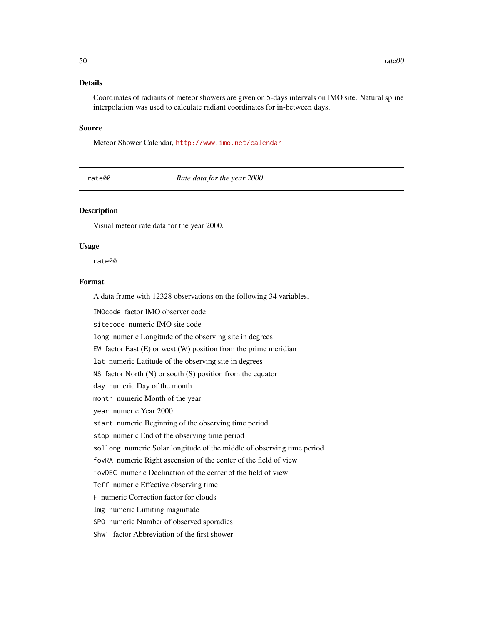# Details

Coordinates of radiants of meteor showers are given on 5-days intervals on IMO site. Natural spline interpolation was used to calculate radiant coordinates for in-between days.

#### Source

Meteor Shower Calendar, <http://www.imo.net/calendar>

rate00 *Rate data for the year 2000*

# Description

Visual meteor rate data for the year 2000.

#### Usage

rate00

# Format

A data frame with 12328 observations on the following 34 variables.

IMOcode factor IMO observer code sitecode numeric IMO site code long numeric Longitude of the observing site in degrees EW factor East  $(E)$  or west  $(W)$  position from the prime meridian lat numeric Latitude of the observing site in degrees NS factor North (N) or south (S) position from the equator day numeric Day of the month month numeric Month of the year year numeric Year 2000 start numeric Beginning of the observing time period stop numeric End of the observing time period sollong numeric Solar longitude of the middle of observing time period fovRA numeric Right ascension of the center of the field of view fovDEC numeric Declination of the center of the field of view Teff numeric Effective observing time F numeric Correction factor for clouds lmg numeric Limiting magnitude SPO numeric Number of observed sporadics Shw1 factor Abbreviation of the first shower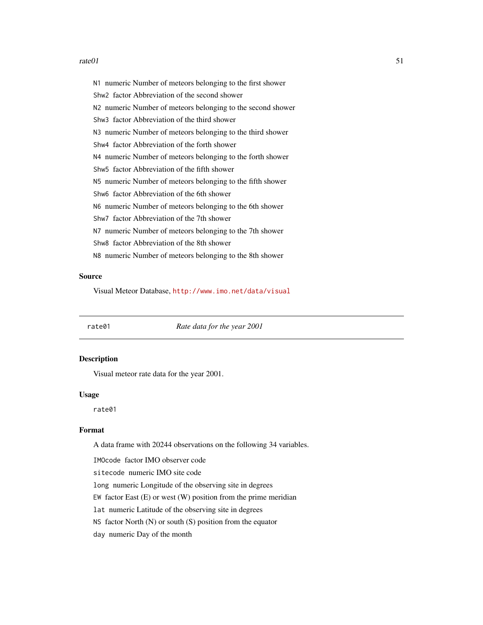### $rate01$  51

N1 numeric Number of meteors belonging to the first shower Shw2 factor Abbreviation of the second shower N2 numeric Number of meteors belonging to the second shower Shw3 factor Abbreviation of the third shower N3 numeric Number of meteors belonging to the third shower Shw4 factor Abbreviation of the forth shower N4 numeric Number of meteors belonging to the forth shower Shw5 factor Abbreviation of the fifth shower N5 numeric Number of meteors belonging to the fifth shower Shw6 factor Abbreviation of the 6th shower N6 numeric Number of meteors belonging to the 6th shower Shw7 factor Abbreviation of the 7th shower N7 numeric Number of meteors belonging to the 7th shower Shw8 factor Abbreviation of the 8th shower N8 numeric Number of meteors belonging to the 8th shower

# Source

Visual Meteor Database, <http://www.imo.net/data/visual>

rate01 *Rate data for the year 2001*

## Description

Visual meteor rate data for the year 2001.

## Usage

rate01

# Format

A data frame with 20244 observations on the following 34 variables.

IMOcode factor IMO observer code

sitecode numeric IMO site code

long numeric Longitude of the observing site in degrees

EW factor East  $(E)$  or west  $(W)$  position from the prime meridian

lat numeric Latitude of the observing site in degrees

NS factor North (N) or south (S) position from the equator

day numeric Day of the month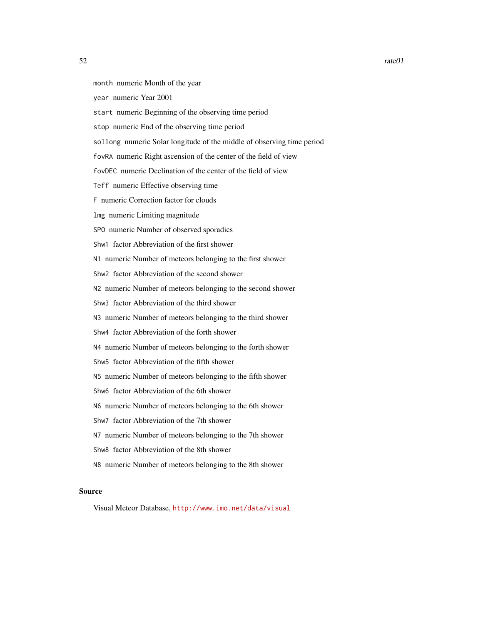- month numeric Month of the year
- year numeric Year 2001
- start numeric Beginning of the observing time period
- stop numeric End of the observing time period
- sollong numeric Solar longitude of the middle of observing time period
- fovRA numeric Right ascension of the center of the field of view
- fovDEC numeric Declination of the center of the field of view
- Teff numeric Effective observing time
- F numeric Correction factor for clouds
- lmg numeric Limiting magnitude
- SPO numeric Number of observed sporadics
- Shw1 factor Abbreviation of the first shower
- N1 numeric Number of meteors belonging to the first shower
- Shw2 factor Abbreviation of the second shower
- N2 numeric Number of meteors belonging to the second shower
- Shw3 factor Abbreviation of the third shower
- N3 numeric Number of meteors belonging to the third shower
- Shw4 factor Abbreviation of the forth shower
- N4 numeric Number of meteors belonging to the forth shower
- Shw5 factor Abbreviation of the fifth shower
- N5 numeric Number of meteors belonging to the fifth shower
- Shw6 factor Abbreviation of the 6th shower
- N6 numeric Number of meteors belonging to the 6th shower
- Shw7 factor Abbreviation of the 7th shower
- N7 numeric Number of meteors belonging to the 7th shower
- Shw8 factor Abbreviation of the 8th shower
- N8 numeric Number of meteors belonging to the 8th shower

#### Source

Visual Meteor Database, <http://www.imo.net/data/visual>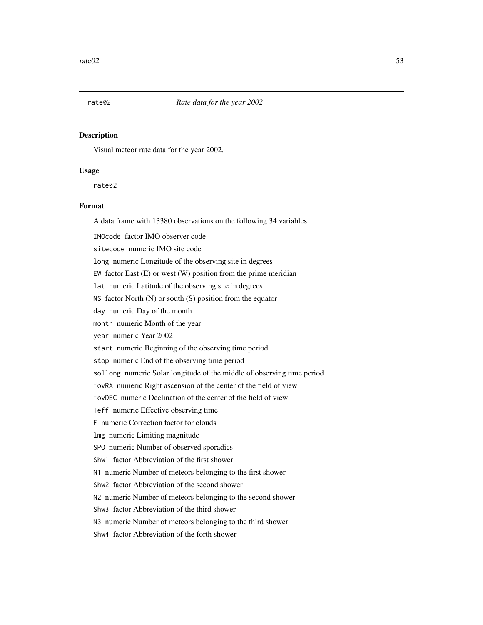# Description

Visual meteor rate data for the year 2002.

# Usage

rate02

# Format

A data frame with 13380 observations on the following 34 variables.

IMOcode factor IMO observer code

sitecode numeric IMO site code

long numeric Longitude of the observing site in degrees

EW factor East  $(E)$  or west  $(W)$  position from the prime meridian

lat numeric Latitude of the observing site in degrees

NS factor North (N) or south (S) position from the equator

day numeric Day of the month

month numeric Month of the year

year numeric Year 2002

start numeric Beginning of the observing time period

stop numeric End of the observing time period

sollong numeric Solar longitude of the middle of observing time period

fovRA numeric Right ascension of the center of the field of view

fovDEC numeric Declination of the center of the field of view

Teff numeric Effective observing time

F numeric Correction factor for clouds

lmg numeric Limiting magnitude

SPO numeric Number of observed sporadics

Shw1 factor Abbreviation of the first shower

N1 numeric Number of meteors belonging to the first shower

Shw2 factor Abbreviation of the second shower

N2 numeric Number of meteors belonging to the second shower

Shw3 factor Abbreviation of the third shower

N3 numeric Number of meteors belonging to the third shower

Shw4 factor Abbreviation of the forth shower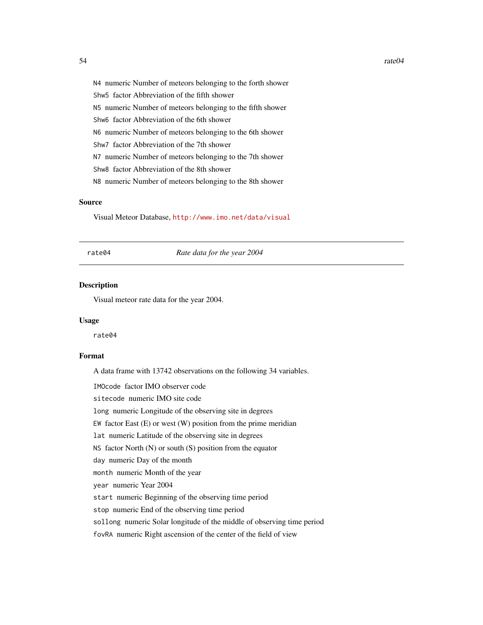N4 numeric Number of meteors belonging to the forth shower Shw5 factor Abbreviation of the fifth shower N5 numeric Number of meteors belonging to the fifth shower Shw6 factor Abbreviation of the 6th shower N6 numeric Number of meteors belonging to the 6th shower Shw7 factor Abbreviation of the 7th shower N7 numeric Number of meteors belonging to the 7th shower Shw8 factor Abbreviation of the 8th shower N8 numeric Number of meteors belonging to the 8th shower

# Source

Visual Meteor Database, <http://www.imo.net/data/visual>

rate04 *Rate data for the year 2004*

# Description

Visual meteor rate data for the year 2004.

#### Usage

rate04

# Format

A data frame with 13742 observations on the following 34 variables.

IMOcode factor IMO observer code

sitecode numeric IMO site code

long numeric Longitude of the observing site in degrees

EW factor East  $(E)$  or west  $(W)$  position from the prime meridian

lat numeric Latitude of the observing site in degrees

NS factor North  $(N)$  or south  $(S)$  position from the equator

day numeric Day of the month

month numeric Month of the year

year numeric Year 2004

start numeric Beginning of the observing time period

stop numeric End of the observing time period

sollong numeric Solar longitude of the middle of observing time period

fovRA numeric Right ascension of the center of the field of view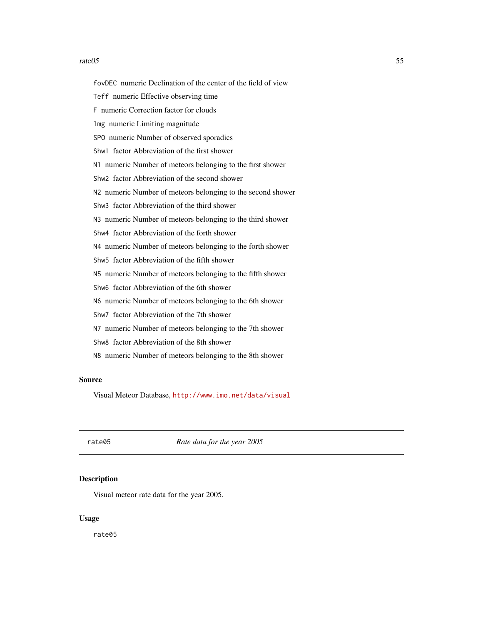### rate 05 55

fovDEC numeric Declination of the center of the field of view Teff numeric Effective observing time F numeric Correction factor for clouds lmg numeric Limiting magnitude SPO numeric Number of observed sporadics Shw1 factor Abbreviation of the first shower N1 numeric Number of meteors belonging to the first shower Shw2 factor Abbreviation of the second shower N2 numeric Number of meteors belonging to the second shower Shw3 factor Abbreviation of the third shower N3 numeric Number of meteors belonging to the third shower Shw4 factor Abbreviation of the forth shower N4 numeric Number of meteors belonging to the forth shower Shw5 factor Abbreviation of the fifth shower N5 numeric Number of meteors belonging to the fifth shower Shw6 factor Abbreviation of the 6th shower N6 numeric Number of meteors belonging to the 6th shower Shw7 factor Abbreviation of the 7th shower N7 numeric Number of meteors belonging to the 7th shower Shw8 factor Abbreviation of the 8th shower N8 numeric Number of meteors belonging to the 8th shower

# Source

Visual Meteor Database, <http://www.imo.net/data/visual>

rate05 *Rate data for the year 2005*

#### **Description**

Visual meteor rate data for the year 2005.

#### Usage

rate05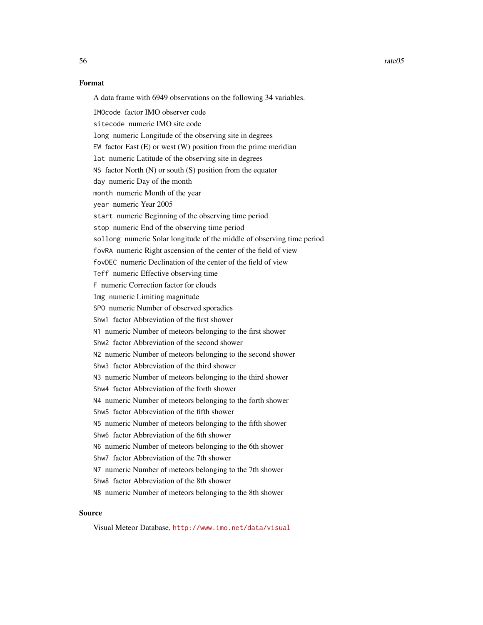$56$  rate $05$ 

## Format

A data frame with 6949 observations on the following 34 variables.

IMOcode factor IMO observer code sitecode numeric IMO site code long numeric Longitude of the observing site in degrees EW factor East (E) or west (W) position from the prime meridian lat numeric Latitude of the observing site in degrees NS factor North (N) or south (S) position from the equator day numeric Day of the month month numeric Month of the year year numeric Year 2005 start numeric Beginning of the observing time period stop numeric End of the observing time period sollong numeric Solar longitude of the middle of observing time period fovRA numeric Right ascension of the center of the field of view fovDEC numeric Declination of the center of the field of view Teff numeric Effective observing time F numeric Correction factor for clouds lmg numeric Limiting magnitude SPO numeric Number of observed sporadics Shw1 factor Abbreviation of the first shower N1 numeric Number of meteors belonging to the first shower Shw2 factor Abbreviation of the second shower N2 numeric Number of meteors belonging to the second shower Shw3 factor Abbreviation of the third shower N3 numeric Number of meteors belonging to the third shower Shw4 factor Abbreviation of the forth shower N4 numeric Number of meteors belonging to the forth shower Shw5 factor Abbreviation of the fifth shower N5 numeric Number of meteors belonging to the fifth shower Shw6 factor Abbreviation of the 6th shower N6 numeric Number of meteors belonging to the 6th shower Shw7 factor Abbreviation of the 7th shower N7 numeric Number of meteors belonging to the 7th shower Shw8 factor Abbreviation of the 8th shower N8 numeric Number of meteors belonging to the 8th shower

# Source

Visual Meteor Database, <http://www.imo.net/data/visual>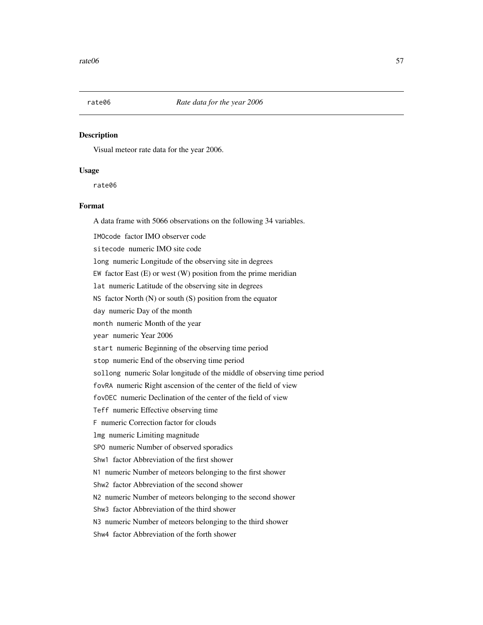# Description

Visual meteor rate data for the year 2006.

# Usage

rate06

# Format

A data frame with 5066 observations on the following 34 variables.

IMOcode factor IMO observer code

sitecode numeric IMO site code

long numeric Longitude of the observing site in degrees

EW factor East  $(E)$  or west  $(W)$  position from the prime meridian

lat numeric Latitude of the observing site in degrees

NS factor North (N) or south (S) position from the equator

day numeric Day of the month

month numeric Month of the year

year numeric Year 2006

start numeric Beginning of the observing time period

stop numeric End of the observing time period

sollong numeric Solar longitude of the middle of observing time period

fovRA numeric Right ascension of the center of the field of view

fovDEC numeric Declination of the center of the field of view

Teff numeric Effective observing time

F numeric Correction factor for clouds

lmg numeric Limiting magnitude

SPO numeric Number of observed sporadics

Shw1 factor Abbreviation of the first shower

N1 numeric Number of meteors belonging to the first shower

Shw2 factor Abbreviation of the second shower

N2 numeric Number of meteors belonging to the second shower

Shw3 factor Abbreviation of the third shower

N3 numeric Number of meteors belonging to the third shower

Shw4 factor Abbreviation of the forth shower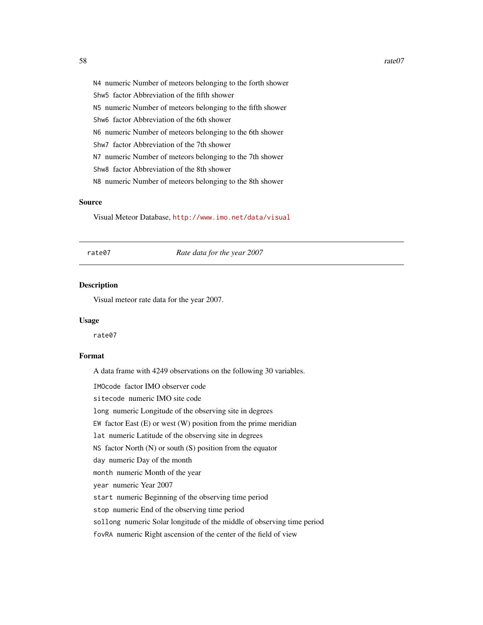N4 numeric Number of meteors belonging to the forth shower Shw5 factor Abbreviation of the fifth shower N5 numeric Number of meteors belonging to the fifth shower Shw6 factor Abbreviation of the 6th shower N6 numeric Number of meteors belonging to the 6th shower Shw7 factor Abbreviation of the 7th shower N7 numeric Number of meteors belonging to the 7th shower Shw8 factor Abbreviation of the 8th shower N8 numeric Number of meteors belonging to the 8th shower

## Source

Visual Meteor Database, <http://www.imo.net/data/visual>

rate07 *Rate data for the year 2007*

# Description

Visual meteor rate data for the year 2007.

#### Usage

rate07

# Format

A data frame with 4249 observations on the following 30 variables.

IMOcode factor IMO observer code

sitecode numeric IMO site code

long numeric Longitude of the observing site in degrees

EW factor East  $(E)$  or west  $(W)$  position from the prime meridian

lat numeric Latitude of the observing site in degrees

NS factor North  $(N)$  or south  $(S)$  position from the equator

day numeric Day of the month

month numeric Month of the year

year numeric Year 2007

start numeric Beginning of the observing time period

stop numeric End of the observing time period

sollong numeric Solar longitude of the middle of observing time period

fovRA numeric Right ascension of the center of the field of view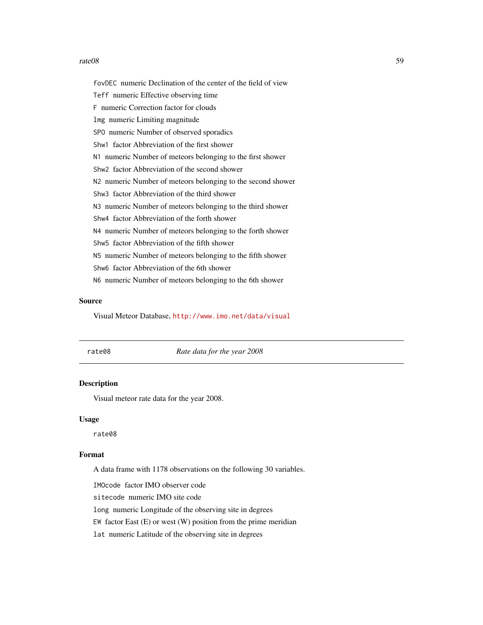### rate 08 59

fovDEC numeric Declination of the center of the field of view Teff numeric Effective observing time F numeric Correction factor for clouds lmg numeric Limiting magnitude SPO numeric Number of observed sporadics Shw1 factor Abbreviation of the first shower N1 numeric Number of meteors belonging to the first shower Shw2 factor Abbreviation of the second shower N2 numeric Number of meteors belonging to the second shower Shw3 factor Abbreviation of the third shower N3 numeric Number of meteors belonging to the third shower Shw4 factor Abbreviation of the forth shower N4 numeric Number of meteors belonging to the forth shower Shw5 factor Abbreviation of the fifth shower N5 numeric Number of meteors belonging to the fifth shower Shw6 factor Abbreviation of the 6th shower N6 numeric Number of meteors belonging to the 6th shower

## Source

Visual Meteor Database, <http://www.imo.net/data/visual>

rate08 *Rate data for the year 2008*

# Description

Visual meteor rate data for the year 2008.

#### Usage

rate08

# Format

A data frame with 1178 observations on the following 30 variables.

IMOcode factor IMO observer code

sitecode numeric IMO site code

long numeric Longitude of the observing site in degrees

EW factor East  $(E)$  or west  $(W)$  position from the prime meridian

lat numeric Latitude of the observing site in degrees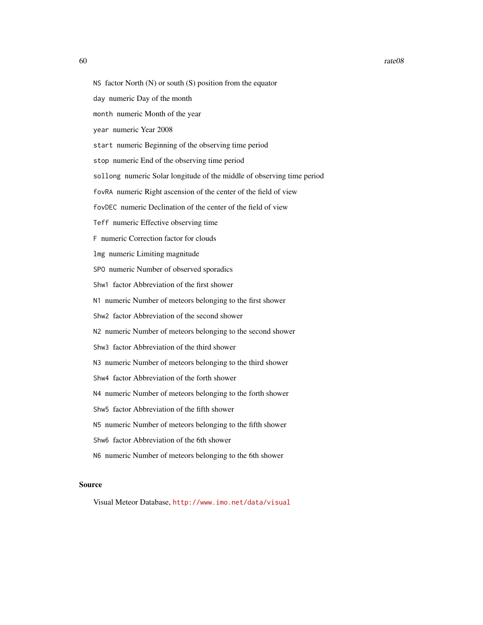- NS factor North  $(N)$  or south  $(S)$  position from the equator
- day numeric Day of the month
- month numeric Month of the year
- year numeric Year 2008
- start numeric Beginning of the observing time period
- stop numeric End of the observing time period
- sollong numeric Solar longitude of the middle of observing time period
- fovRA numeric Right ascension of the center of the field of view
- fovDEC numeric Declination of the center of the field of view
- Teff numeric Effective observing time
- F numeric Correction factor for clouds
- lmg numeric Limiting magnitude
- SPO numeric Number of observed sporadics
- Shw1 factor Abbreviation of the first shower
- N1 numeric Number of meteors belonging to the first shower
- Shw2 factor Abbreviation of the second shower
- N2 numeric Number of meteors belonging to the second shower
- Shw3 factor Abbreviation of the third shower
- N3 numeric Number of meteors belonging to the third shower
- Shw4 factor Abbreviation of the forth shower
- N4 numeric Number of meteors belonging to the forth shower
- Shw5 factor Abbreviation of the fifth shower
- N5 numeric Number of meteors belonging to the fifth shower
- Shw6 factor Abbreviation of the 6th shower
- N6 numeric Number of meteors belonging to the 6th shower

## Source

Visual Meteor Database, <http://www.imo.net/data/visual>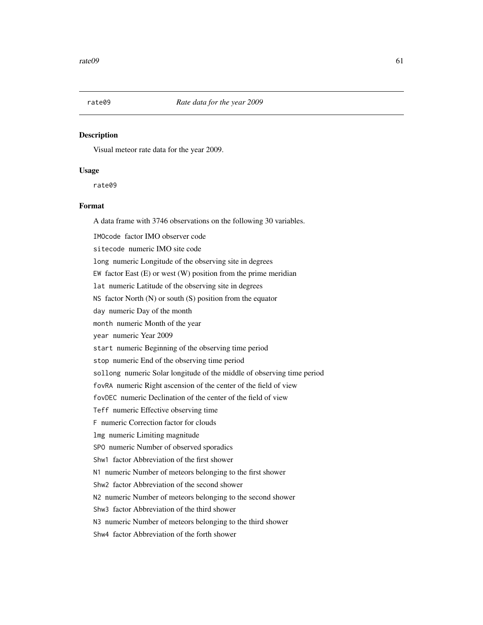# Description

Visual meteor rate data for the year 2009.

# Usage

rate09

# Format

A data frame with 3746 observations on the following 30 variables.

IMOcode factor IMO observer code

sitecode numeric IMO site code

long numeric Longitude of the observing site in degrees

EW factor East  $(E)$  or west  $(W)$  position from the prime meridian

lat numeric Latitude of the observing site in degrees

NS factor North (N) or south (S) position from the equator

day numeric Day of the month

month numeric Month of the year

year numeric Year 2009

start numeric Beginning of the observing time period

stop numeric End of the observing time period

sollong numeric Solar longitude of the middle of observing time period

fovRA numeric Right ascension of the center of the field of view

fovDEC numeric Declination of the center of the field of view

Teff numeric Effective observing time

F numeric Correction factor for clouds

lmg numeric Limiting magnitude

SPO numeric Number of observed sporadics

Shw1 factor Abbreviation of the first shower

N1 numeric Number of meteors belonging to the first shower

Shw2 factor Abbreviation of the second shower

N2 numeric Number of meteors belonging to the second shower

Shw3 factor Abbreviation of the third shower

N3 numeric Number of meteors belonging to the third shower

Shw4 factor Abbreviation of the forth shower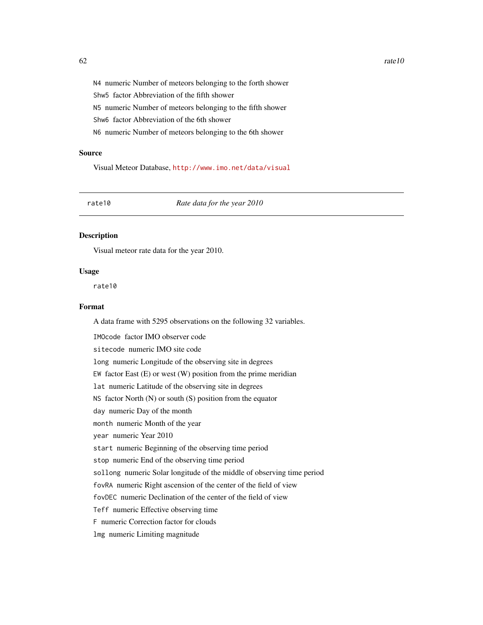N4 numeric Number of meteors belonging to the forth shower Shw5 factor Abbreviation of the fifth shower N5 numeric Number of meteors belonging to the fifth shower Shw6 factor Abbreviation of the 6th shower N6 numeric Number of meteors belonging to the 6th shower

#### Source

Visual Meteor Database, <http://www.imo.net/data/visual>

rate10 *Rate data for the year 2010*

### Description

Visual meteor rate data for the year 2010.

## Usage

rate10

# Format

A data frame with 5295 observations on the following 32 variables.

IMOcode factor IMO observer code sitecode numeric IMO site code long numeric Longitude of the observing site in degrees EW factor East  $(E)$  or west  $(W)$  position from the prime meridian lat numeric Latitude of the observing site in degrees NS factor North (N) or south (S) position from the equator day numeric Day of the month month numeric Month of the year year numeric Year 2010 start numeric Beginning of the observing time period stop numeric End of the observing time period sollong numeric Solar longitude of the middle of observing time period fovRA numeric Right ascension of the center of the field of view fovDEC numeric Declination of the center of the field of view Teff numeric Effective observing time F numeric Correction factor for clouds lmg numeric Limiting magnitude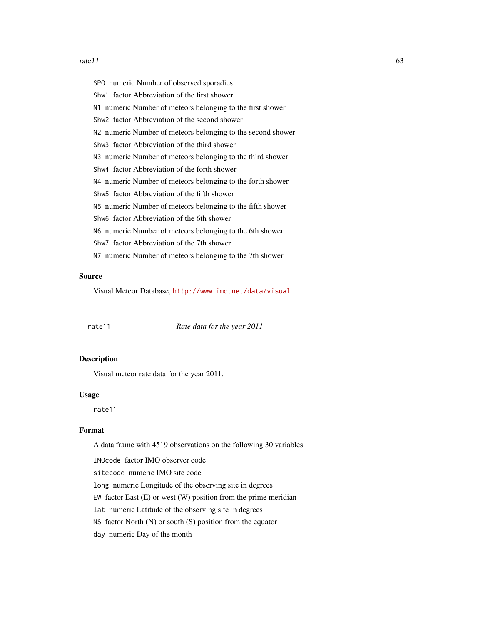### $rate11$  63

SPO numeric Number of observed sporadics Shw1 factor Abbreviation of the first shower N1 numeric Number of meteors belonging to the first shower Shw2 factor Abbreviation of the second shower N2 numeric Number of meteors belonging to the second shower Shw3 factor Abbreviation of the third shower N3 numeric Number of meteors belonging to the third shower Shw4 factor Abbreviation of the forth shower N4 numeric Number of meteors belonging to the forth shower Shw5 factor Abbreviation of the fifth shower N5 numeric Number of meteors belonging to the fifth shower Shw6 factor Abbreviation of the 6th shower N6 numeric Number of meteors belonging to the 6th shower Shw7 factor Abbreviation of the 7th shower N7 numeric Number of meteors belonging to the 7th shower

## Source

Visual Meteor Database, <http://www.imo.net/data/visual>

rate11 *Rate data for the year 2011*

## Description

Visual meteor rate data for the year 2011.

#### Usage

rate11

# Format

A data frame with 4519 observations on the following 30 variables.

IMOcode factor IMO observer code

sitecode numeric IMO site code

long numeric Longitude of the observing site in degrees

EW factor East  $(E)$  or west  $(W)$  position from the prime meridian

lat numeric Latitude of the observing site in degrees

NS factor North (N) or south (S) position from the equator

day numeric Day of the month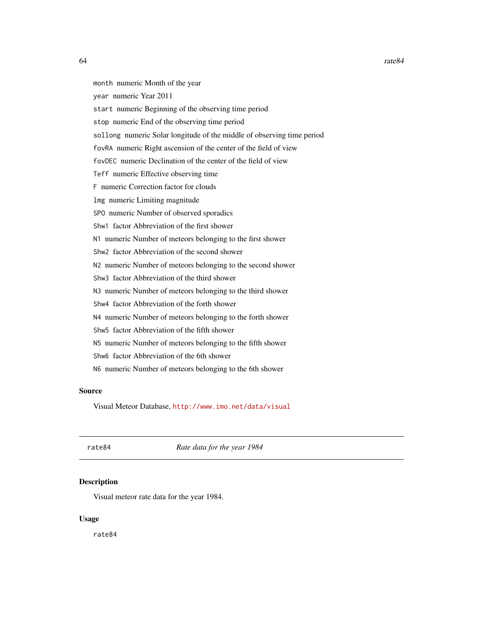month numeric Month of the year year numeric Year 2011 start numeric Beginning of the observing time period stop numeric End of the observing time period sollong numeric Solar longitude of the middle of observing time period fovRA numeric Right ascension of the center of the field of view fovDEC numeric Declination of the center of the field of view Teff numeric Effective observing time F numeric Correction factor for clouds lmg numeric Limiting magnitude SPO numeric Number of observed sporadics Shw1 factor Abbreviation of the first shower N1 numeric Number of meteors belonging to the first shower Shw2 factor Abbreviation of the second shower N2 numeric Number of meteors belonging to the second shower Shw3 factor Abbreviation of the third shower N3 numeric Number of meteors belonging to the third shower Shw4 factor Abbreviation of the forth shower N4 numeric Number of meteors belonging to the forth shower Shw5 factor Abbreviation of the fifth shower N5 numeric Number of meteors belonging to the fifth shower Shw6 factor Abbreviation of the 6th shower N6 numeric Number of meteors belonging to the 6th shower

# Source

Visual Meteor Database, <http://www.imo.net/data/visual>

rate84 *Rate data for the year 1984*

# Description

Visual meteor rate data for the year 1984.

# Usage

rate84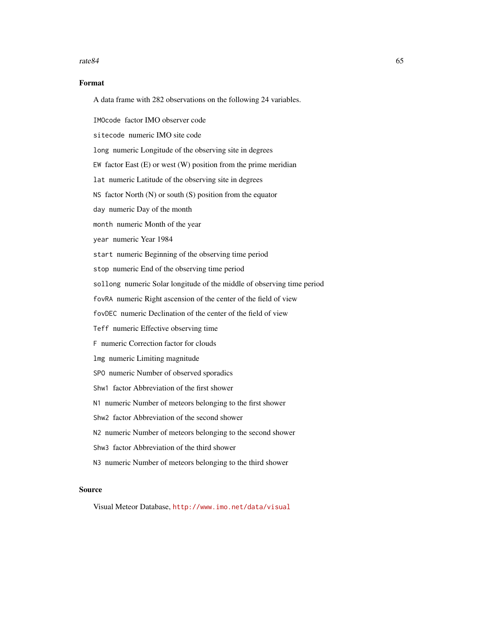### $rate84$  65

# Format

A data frame with 282 observations on the following 24 variables.

IMOcode factor IMO observer code

sitecode numeric IMO site code

long numeric Longitude of the observing site in degrees

EW factor East (E) or west (W) position from the prime meridian

lat numeric Latitude of the observing site in degrees

NS factor North (N) or south (S) position from the equator

day numeric Day of the month

month numeric Month of the year

year numeric Year 1984

start numeric Beginning of the observing time period

stop numeric End of the observing time period

sollong numeric Solar longitude of the middle of observing time period

fovRA numeric Right ascension of the center of the field of view

fovDEC numeric Declination of the center of the field of view

Teff numeric Effective observing time

F numeric Correction factor for clouds

lmg numeric Limiting magnitude

SPO numeric Number of observed sporadics

Shw1 factor Abbreviation of the first shower

N1 numeric Number of meteors belonging to the first shower

Shw2 factor Abbreviation of the second shower

N2 numeric Number of meteors belonging to the second shower

Shw3 factor Abbreviation of the third shower

N3 numeric Number of meteors belonging to the third shower

# Source

Visual Meteor Database, <http://www.imo.net/data/visual>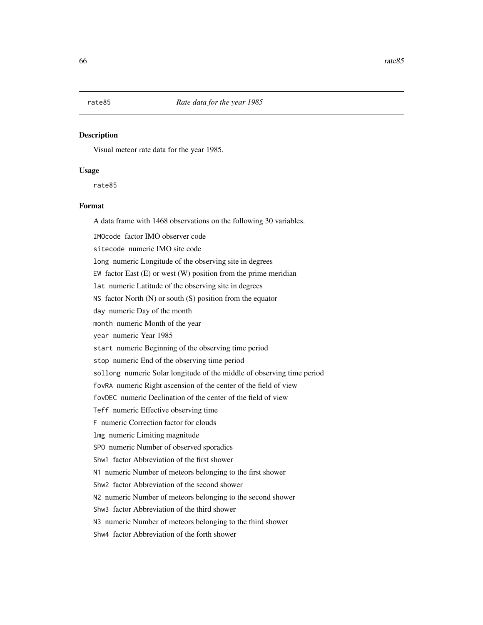# Description

Visual meteor rate data for the year 1985.

# Usage

rate85

# Format

A data frame with 1468 observations on the following 30 variables.

IMOcode factor IMO observer code

sitecode numeric IMO site code

long numeric Longitude of the observing site in degrees

EW factor East  $(E)$  or west  $(W)$  position from the prime meridian

lat numeric Latitude of the observing site in degrees

NS factor North (N) or south (S) position from the equator

day numeric Day of the month

month numeric Month of the year

year numeric Year 1985

start numeric Beginning of the observing time period

stop numeric End of the observing time period

sollong numeric Solar longitude of the middle of observing time period

fovRA numeric Right ascension of the center of the field of view

fovDEC numeric Declination of the center of the field of view

Teff numeric Effective observing time

F numeric Correction factor for clouds

lmg numeric Limiting magnitude

SPO numeric Number of observed sporadics

Shw1 factor Abbreviation of the first shower

N1 numeric Number of meteors belonging to the first shower

Shw2 factor Abbreviation of the second shower

N2 numeric Number of meteors belonging to the second shower

Shw3 factor Abbreviation of the third shower

N3 numeric Number of meteors belonging to the third shower

Shw4 factor Abbreviation of the forth shower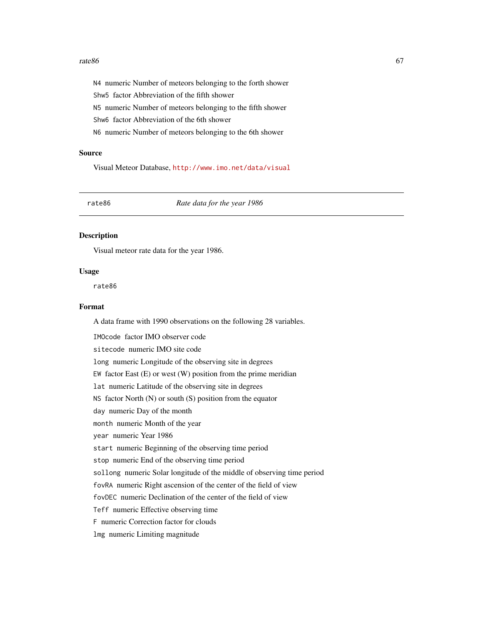### $rate86$  67

N4 numeric Number of meteors belonging to the forth shower Shw5 factor Abbreviation of the fifth shower N5 numeric Number of meteors belonging to the fifth shower Shw6 factor Abbreviation of the 6th shower N6 numeric Number of meteors belonging to the 6th shower

# Source

Visual Meteor Database, <http://www.imo.net/data/visual>

rate86 *Rate data for the year 1986*

### Description

Visual meteor rate data for the year 1986.

## Usage

rate86

# Format

A data frame with 1990 observations on the following 28 variables.

IMOcode factor IMO observer code sitecode numeric IMO site code long numeric Longitude of the observing site in degrees EW factor East  $(E)$  or west  $(W)$  position from the prime meridian lat numeric Latitude of the observing site in degrees NS factor North (N) or south (S) position from the equator day numeric Day of the month month numeric Month of the year year numeric Year 1986 start numeric Beginning of the observing time period stop numeric End of the observing time period sollong numeric Solar longitude of the middle of observing time period fovRA numeric Right ascension of the center of the field of view fovDEC numeric Declination of the center of the field of view Teff numeric Effective observing time F numeric Correction factor for clouds lmg numeric Limiting magnitude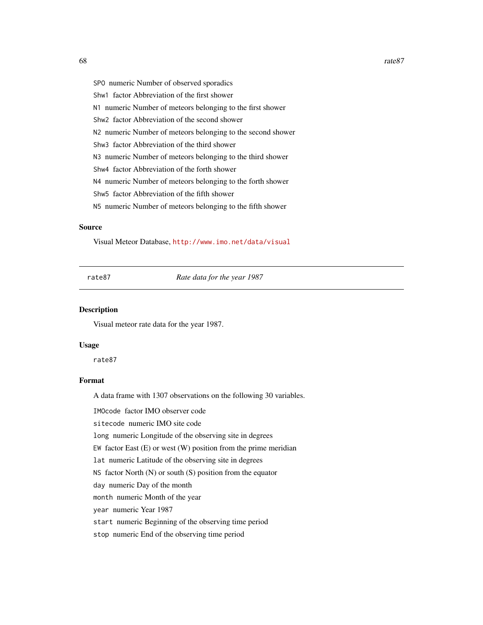68 rate87

SPO numeric Number of observed sporadics Shw1 factor Abbreviation of the first shower N1 numeric Number of meteors belonging to the first shower Shw2 factor Abbreviation of the second shower N2 numeric Number of meteors belonging to the second shower Shw3 factor Abbreviation of the third shower N3 numeric Number of meteors belonging to the third shower Shw4 factor Abbreviation of the forth shower N4 numeric Number of meteors belonging to the forth shower Shw5 factor Abbreviation of the fifth shower N5 numeric Number of meteors belonging to the fifth shower

# Source

Visual Meteor Database, <http://www.imo.net/data/visual>

rate87 *Rate data for the year 1987*

#### Description

Visual meteor rate data for the year 1987.

#### Usage

rate87

# Format

A data frame with 1307 observations on the following 30 variables.

IMOcode factor IMO observer code

sitecode numeric IMO site code

long numeric Longitude of the observing site in degrees

EW factor East  $(E)$  or west  $(W)$  position from the prime meridian

lat numeric Latitude of the observing site in degrees

NS factor North (N) or south (S) position from the equator

day numeric Day of the month

month numeric Month of the year

year numeric Year 1987

start numeric Beginning of the observing time period

stop numeric End of the observing time period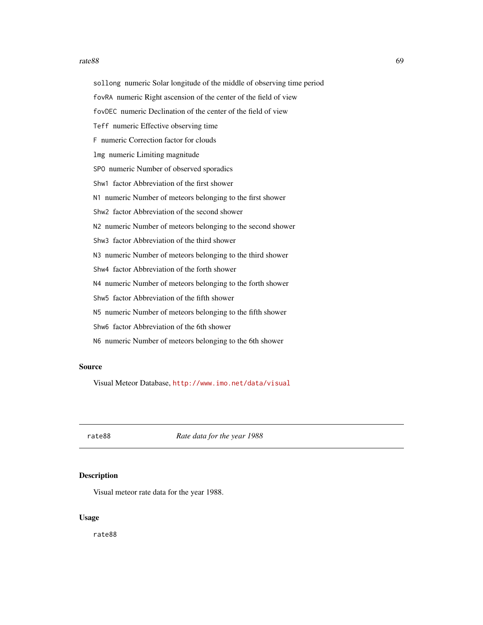### $rate88$  69

sollong numeric Solar longitude of the middle of observing time period fovRA numeric Right ascension of the center of the field of view fovDEC numeric Declination of the center of the field of view Teff numeric Effective observing time F numeric Correction factor for clouds lmg numeric Limiting magnitude SPO numeric Number of observed sporadics Shw1 factor Abbreviation of the first shower N1 numeric Number of meteors belonging to the first shower Shw2 factor Abbreviation of the second shower N2 numeric Number of meteors belonging to the second shower Shw3 factor Abbreviation of the third shower N3 numeric Number of meteors belonging to the third shower Shw4 factor Abbreviation of the forth shower N4 numeric Number of meteors belonging to the forth shower Shw5 factor Abbreviation of the fifth shower N5 numeric Number of meteors belonging to the fifth shower Shw6 factor Abbreviation of the 6th shower N6 numeric Number of meteors belonging to the 6th shower

## Source

Visual Meteor Database, <http://www.imo.net/data/visual>

rate88 *Rate data for the year 1988*

# Description

Visual meteor rate data for the year 1988.

#### Usage

rate88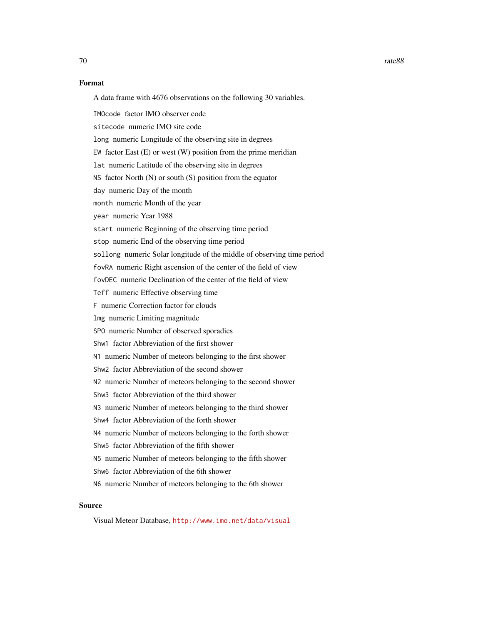# Format

A data frame with 4676 observations on the following 30 variables.

IMOcode factor IMO observer code

sitecode numeric IMO site code

long numeric Longitude of the observing site in degrees

EW factor East  $(E)$  or west  $(W)$  position from the prime meridian

lat numeric Latitude of the observing site in degrees

NS factor North (N) or south (S) position from the equator

day numeric Day of the month

month numeric Month of the year

year numeric Year 1988

start numeric Beginning of the observing time period

stop numeric End of the observing time period

sollong numeric Solar longitude of the middle of observing time period

fovRA numeric Right ascension of the center of the field of view

fovDEC numeric Declination of the center of the field of view

Teff numeric Effective observing time

F numeric Correction factor for clouds

lmg numeric Limiting magnitude

SPO numeric Number of observed sporadics

Shw1 factor Abbreviation of the first shower

N1 numeric Number of meteors belonging to the first shower

Shw2 factor Abbreviation of the second shower

N2 numeric Number of meteors belonging to the second shower

Shw3 factor Abbreviation of the third shower

N3 numeric Number of meteors belonging to the third shower

Shw4 factor Abbreviation of the forth shower

N4 numeric Number of meteors belonging to the forth shower

Shw5 factor Abbreviation of the fifth shower

N5 numeric Number of meteors belonging to the fifth shower

Shw6 factor Abbreviation of the 6th shower

N6 numeric Number of meteors belonging to the 6th shower

## Source

Visual Meteor Database, <http://www.imo.net/data/visual>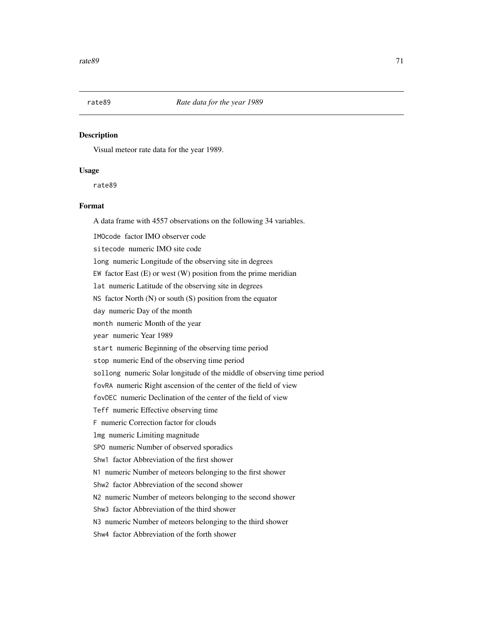# Description

Visual meteor rate data for the year 1989.

# Usage

rate89

# Format

A data frame with 4557 observations on the following 34 variables.

IMOcode factor IMO observer code

sitecode numeric IMO site code

long numeric Longitude of the observing site in degrees

EW factor East  $(E)$  or west  $(W)$  position from the prime meridian

lat numeric Latitude of the observing site in degrees

NS factor North (N) or south (S) position from the equator

day numeric Day of the month

month numeric Month of the year

year numeric Year 1989

start numeric Beginning of the observing time period

stop numeric End of the observing time period

sollong numeric Solar longitude of the middle of observing time period

fovRA numeric Right ascension of the center of the field of view

fovDEC numeric Declination of the center of the field of view

Teff numeric Effective observing time

F numeric Correction factor for clouds

lmg numeric Limiting magnitude

SPO numeric Number of observed sporadics

Shw1 factor Abbreviation of the first shower

N1 numeric Number of meteors belonging to the first shower

Shw2 factor Abbreviation of the second shower

N2 numeric Number of meteors belonging to the second shower

Shw3 factor Abbreviation of the third shower

N3 numeric Number of meteors belonging to the third shower

Shw4 factor Abbreviation of the forth shower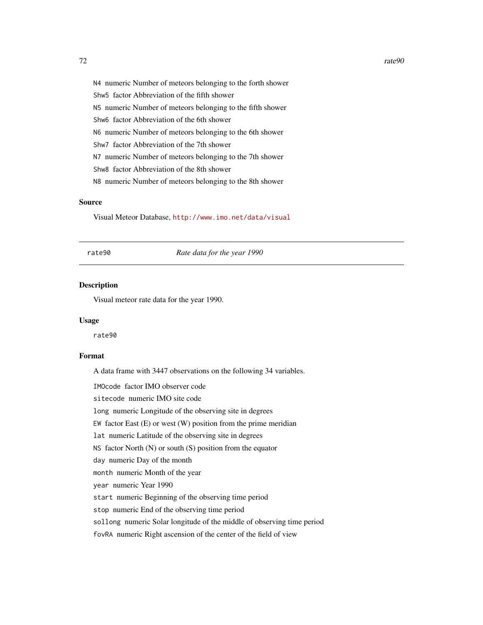N4 numeric Number of meteors belonging to the forth shower Shw5 factor Abbreviation of the fifth shower N5 numeric Number of meteors belonging to the fifth shower Shw6 factor Abbreviation of the 6th shower N6 numeric Number of meteors belonging to the 6th shower Shw7 factor Abbreviation of the 7th shower N7 numeric Number of meteors belonging to the 7th shower Shw8 factor Abbreviation of the 8th shower N8 numeric Number of meteors belonging to the 8th shower

# Source

Visual Meteor Database, <http://www.imo.net/data/visual>

rate90 *Rate data for the year 1990*

# Description

Visual meteor rate data for the year 1990.

#### Usage

rate90

# Format

A data frame with 3447 observations on the following 34 variables.

IMOcode factor IMO observer code

sitecode numeric IMO site code

long numeric Longitude of the observing site in degrees

EW factor East  $(E)$  or west  $(W)$  position from the prime meridian

lat numeric Latitude of the observing site in degrees

NS factor North (N) or south (S) position from the equator

day numeric Day of the month

month numeric Month of the year

year numeric Year 1990

start numeric Beginning of the observing time period

stop numeric End of the observing time period

sollong numeric Solar longitude of the middle of observing time period

fovRA numeric Right ascension of the center of the field of view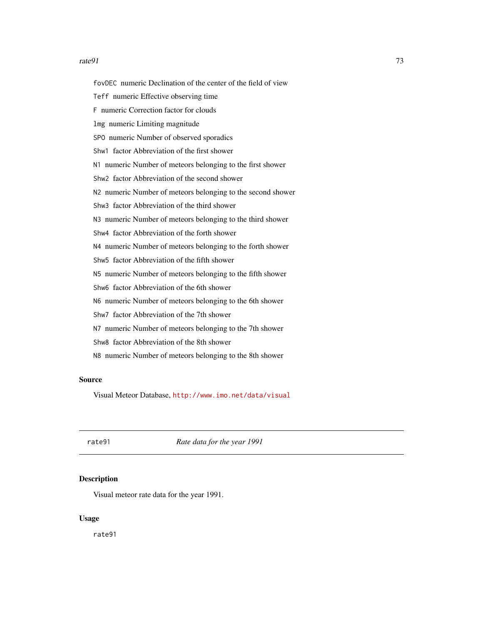#### <span id="page-72-0"></span> $rate91$   $73$

fovDEC numeric Declination of the center of the field of view Teff numeric Effective observing time F numeric Correction factor for clouds lmg numeric Limiting magnitude SPO numeric Number of observed sporadics Shw1 factor Abbreviation of the first shower N1 numeric Number of meteors belonging to the first shower Shw2 factor Abbreviation of the second shower N2 numeric Number of meteors belonging to the second shower Shw3 factor Abbreviation of the third shower N3 numeric Number of meteors belonging to the third shower Shw4 factor Abbreviation of the forth shower N4 numeric Number of meteors belonging to the forth shower Shw5 factor Abbreviation of the fifth shower N5 numeric Number of meteors belonging to the fifth shower Shw6 factor Abbreviation of the 6th shower N6 numeric Number of meteors belonging to the 6th shower Shw7 factor Abbreviation of the 7th shower N7 numeric Number of meteors belonging to the 7th shower Shw8 factor Abbreviation of the 8th shower N8 numeric Number of meteors belonging to the 8th shower

## Source

Visual Meteor Database, <http://www.imo.net/data/visual>

rate91 *Rate data for the year 1991*

#### **Description**

Visual meteor rate data for the year 1991.

# Usage

rate91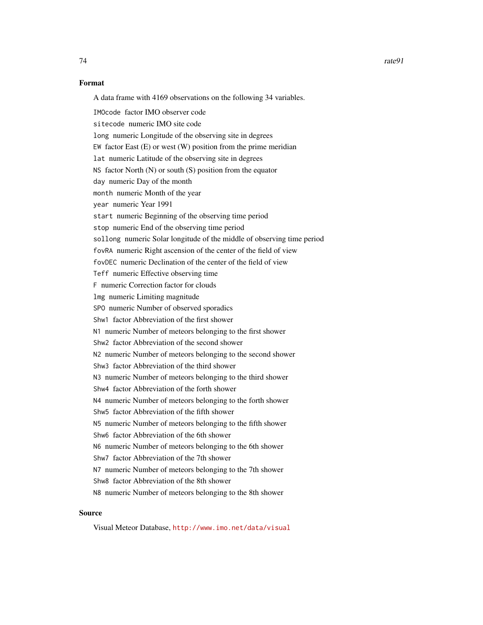## Format

A data frame with 4169 observations on the following 34 variables.

IMOcode factor IMO observer code sitecode numeric IMO site code long numeric Longitude of the observing site in degrees EW factor East (E) or west (W) position from the prime meridian lat numeric Latitude of the observing site in degrees NS factor North  $(N)$  or south  $(S)$  position from the equator day numeric Day of the month month numeric Month of the year year numeric Year 1991 start numeric Beginning of the observing time period stop numeric End of the observing time period sollong numeric Solar longitude of the middle of observing time period fovRA numeric Right ascension of the center of the field of view fovDEC numeric Declination of the center of the field of view Teff numeric Effective observing time F numeric Correction factor for clouds lmg numeric Limiting magnitude SPO numeric Number of observed sporadics Shw1 factor Abbreviation of the first shower N1 numeric Number of meteors belonging to the first shower Shw2 factor Abbreviation of the second shower N2 numeric Number of meteors belonging to the second shower Shw3 factor Abbreviation of the third shower N3 numeric Number of meteors belonging to the third shower Shw4 factor Abbreviation of the forth shower N4 numeric Number of meteors belonging to the forth shower Shw5 factor Abbreviation of the fifth shower N5 numeric Number of meteors belonging to the fifth shower Shw6 factor Abbreviation of the 6th shower N6 numeric Number of meteors belonging to the 6th shower Shw7 factor Abbreviation of the 7th shower N7 numeric Number of meteors belonging to the 7th shower Shw8 factor Abbreviation of the 8th shower N8 numeric Number of meteors belonging to the 8th shower

## Source

Visual Meteor Database, <http://www.imo.net/data/visual>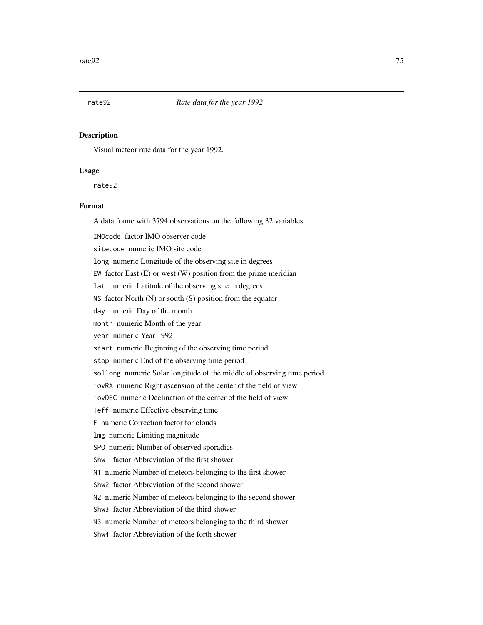<span id="page-74-0"></span>

Visual meteor rate data for the year 1992.

## Usage

rate92

# Format

A data frame with 3794 observations on the following 32 variables.

IMOcode factor IMO observer code

sitecode numeric IMO site code

long numeric Longitude of the observing site in degrees

EW factor East  $(E)$  or west  $(W)$  position from the prime meridian

lat numeric Latitude of the observing site in degrees

NS factor North (N) or south (S) position from the equator

day numeric Day of the month

month numeric Month of the year

year numeric Year 1992

start numeric Beginning of the observing time period

stop numeric End of the observing time period

sollong numeric Solar longitude of the middle of observing time period

fovRA numeric Right ascension of the center of the field of view

fovDEC numeric Declination of the center of the field of view

Teff numeric Effective observing time

F numeric Correction factor for clouds

lmg numeric Limiting magnitude

SPO numeric Number of observed sporadics

Shw1 factor Abbreviation of the first shower

N1 numeric Number of meteors belonging to the first shower

Shw2 factor Abbreviation of the second shower

N2 numeric Number of meteors belonging to the second shower

Shw3 factor Abbreviation of the third shower

N3 numeric Number of meteors belonging to the third shower

Shw4 factor Abbreviation of the forth shower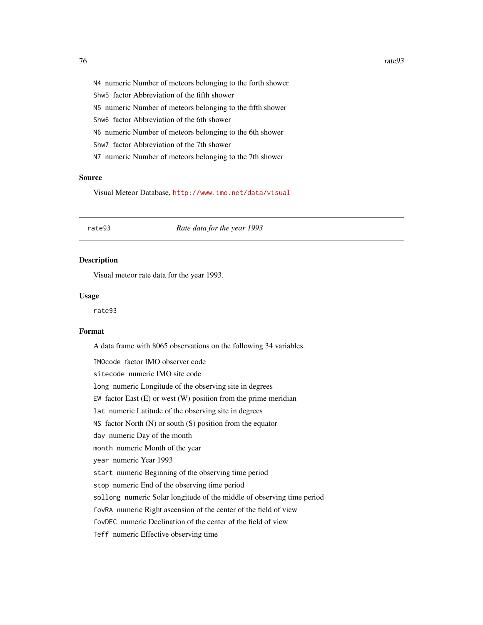<span id="page-75-0"></span>N4 numeric Number of meteors belonging to the forth shower Shw5 factor Abbreviation of the fifth shower N5 numeric Number of meteors belonging to the fifth shower Shw6 factor Abbreviation of the 6th shower N6 numeric Number of meteors belonging to the 6th shower Shw7 factor Abbreviation of the 7th shower N7 numeric Number of meteors belonging to the 7th shower

#### Source

Visual Meteor Database, <http://www.imo.net/data/visual>

#### rate93 *Rate data for the year 1993*

#### Description

Visual meteor rate data for the year 1993.

## Usage

rate93

## Format

A data frame with 8065 observations on the following 34 variables.

IMOcode factor IMO observer code sitecode numeric IMO site code long numeric Longitude of the observing site in degrees EW factor East  $(E)$  or west  $(W)$  position from the prime meridian lat numeric Latitude of the observing site in degrees NS factor North  $(N)$  or south  $(S)$  position from the equator day numeric Day of the month month numeric Month of the year year numeric Year 1993 start numeric Beginning of the observing time period stop numeric End of the observing time period sollong numeric Solar longitude of the middle of observing time period fovRA numeric Right ascension of the center of the field of view fovDEC numeric Declination of the center of the field of view Teff numeric Effective observing time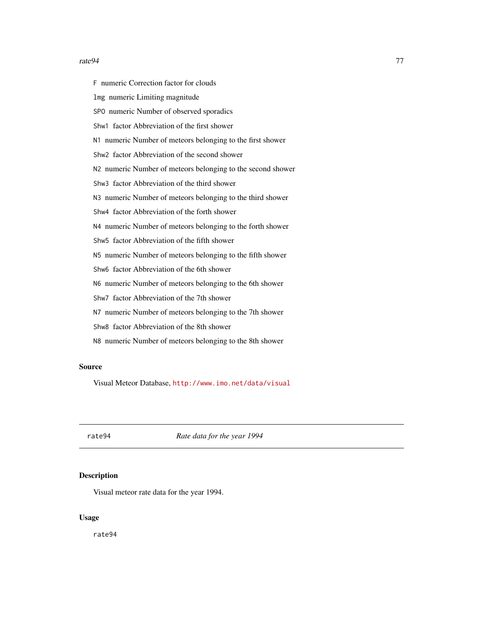#### <span id="page-76-0"></span>rate94 77

F numeric Correction factor for clouds lmg numeric Limiting magnitude SPO numeric Number of observed sporadics Shw1 factor Abbreviation of the first shower N1 numeric Number of meteors belonging to the first shower Shw2 factor Abbreviation of the second shower N2 numeric Number of meteors belonging to the second shower Shw3 factor Abbreviation of the third shower N3 numeric Number of meteors belonging to the third shower Shw4 factor Abbreviation of the forth shower N4 numeric Number of meteors belonging to the forth shower Shw5 factor Abbreviation of the fifth shower N5 numeric Number of meteors belonging to the fifth shower Shw6 factor Abbreviation of the 6th shower N6 numeric Number of meteors belonging to the 6th shower Shw7 factor Abbreviation of the 7th shower N7 numeric Number of meteors belonging to the 7th shower Shw8 factor Abbreviation of the 8th shower

N8 numeric Number of meteors belonging to the 8th shower

## Source

Visual Meteor Database, <http://www.imo.net/data/visual>

rate94 *Rate data for the year 1994*

# Description

Visual meteor rate data for the year 1994.

## Usage

rate94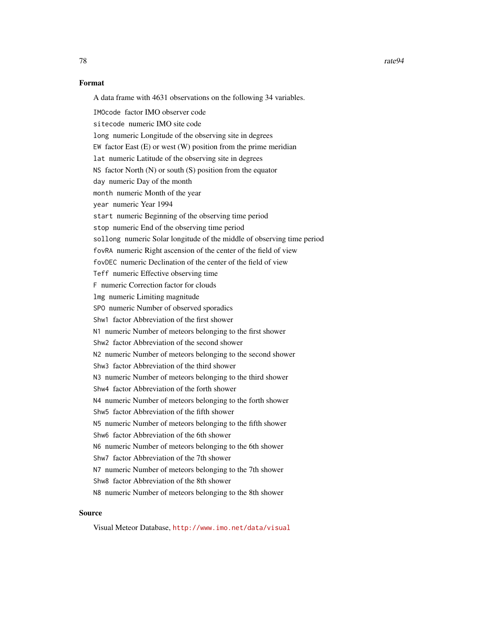78 rate94

## Format

A data frame with 4631 observations on the following 34 variables.

IMOcode factor IMO observer code sitecode numeric IMO site code long numeric Longitude of the observing site in degrees EW factor East (E) or west (W) position from the prime meridian lat numeric Latitude of the observing site in degrees NS factor North  $(N)$  or south  $(S)$  position from the equator day numeric Day of the month month numeric Month of the year year numeric Year 1994 start numeric Beginning of the observing time period stop numeric End of the observing time period sollong numeric Solar longitude of the middle of observing time period fovRA numeric Right ascension of the center of the field of view fovDEC numeric Declination of the center of the field of view Teff numeric Effective observing time F numeric Correction factor for clouds lmg numeric Limiting magnitude SPO numeric Number of observed sporadics Shw1 factor Abbreviation of the first shower N1 numeric Number of meteors belonging to the first shower Shw2 factor Abbreviation of the second shower N2 numeric Number of meteors belonging to the second shower Shw3 factor Abbreviation of the third shower N3 numeric Number of meteors belonging to the third shower Shw4 factor Abbreviation of the forth shower N4 numeric Number of meteors belonging to the forth shower Shw5 factor Abbreviation of the fifth shower N5 numeric Number of meteors belonging to the fifth shower Shw6 factor Abbreviation of the 6th shower N6 numeric Number of meteors belonging to the 6th shower Shw7 factor Abbreviation of the 7th shower N7 numeric Number of meteors belonging to the 7th shower Shw8 factor Abbreviation of the 8th shower N8 numeric Number of meteors belonging to the 8th shower

# Source

Visual Meteor Database, <http://www.imo.net/data/visual>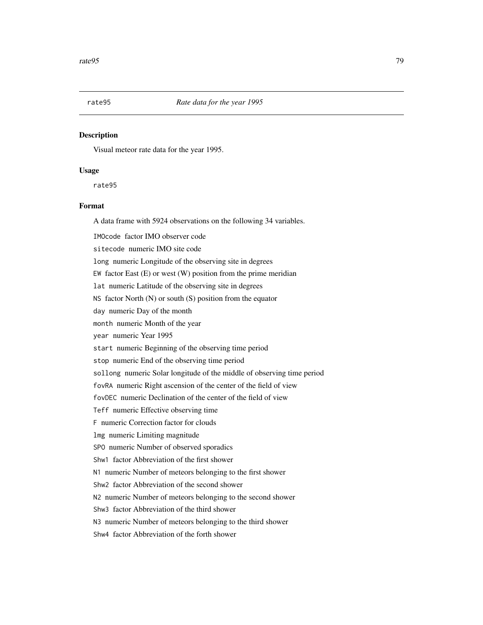<span id="page-78-0"></span>

Visual meteor rate data for the year 1995.

#### Usage

rate95

## Format

A data frame with 5924 observations on the following 34 variables.

IMOcode factor IMO observer code

sitecode numeric IMO site code

long numeric Longitude of the observing site in degrees

EW factor East  $(E)$  or west  $(W)$  position from the prime meridian

lat numeric Latitude of the observing site in degrees

NS factor North (N) or south (S) position from the equator

day numeric Day of the month

month numeric Month of the year

year numeric Year 1995

start numeric Beginning of the observing time period

stop numeric End of the observing time period

sollong numeric Solar longitude of the middle of observing time period

fovRA numeric Right ascension of the center of the field of view

fovDEC numeric Declination of the center of the field of view

Teff numeric Effective observing time

F numeric Correction factor for clouds

lmg numeric Limiting magnitude

SPO numeric Number of observed sporadics

Shw1 factor Abbreviation of the first shower

N1 numeric Number of meteors belonging to the first shower

Shw2 factor Abbreviation of the second shower

N2 numeric Number of meteors belonging to the second shower

Shw3 factor Abbreviation of the third shower

N3 numeric Number of meteors belonging to the third shower

Shw4 factor Abbreviation of the forth shower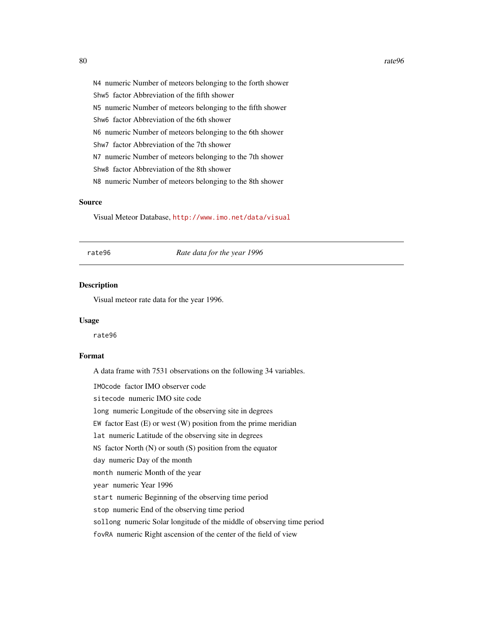<span id="page-79-0"></span>N4 numeric Number of meteors belonging to the forth shower Shw5 factor Abbreviation of the fifth shower N5 numeric Number of meteors belonging to the fifth shower Shw6 factor Abbreviation of the 6th shower N6 numeric Number of meteors belonging to the 6th shower Shw7 factor Abbreviation of the 7th shower N7 numeric Number of meteors belonging to the 7th shower Shw8 factor Abbreviation of the 8th shower N8 numeric Number of meteors belonging to the 8th shower

## Source

Visual Meteor Database, <http://www.imo.net/data/visual>

rate96 *Rate data for the year 1996*

## Description

Visual meteor rate data for the year 1996.

#### Usage

rate96

# Format

A data frame with 7531 observations on the following 34 variables.

IMOcode factor IMO observer code

sitecode numeric IMO site code

long numeric Longitude of the observing site in degrees

EW factor East  $(E)$  or west  $(W)$  position from the prime meridian

lat numeric Latitude of the observing site in degrees

NS factor North  $(N)$  or south  $(S)$  position from the equator

day numeric Day of the month

month numeric Month of the year

year numeric Year 1996

start numeric Beginning of the observing time period

stop numeric End of the observing time period

sollong numeric Solar longitude of the middle of observing time period

fovRA numeric Right ascension of the center of the field of view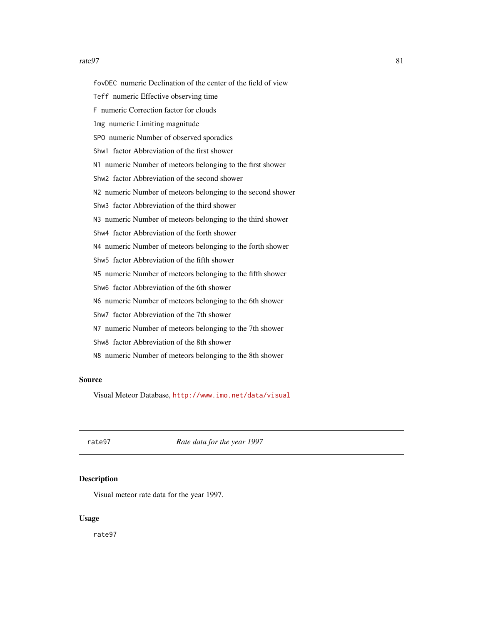#### <span id="page-80-0"></span>rate97 81

fovDEC numeric Declination of the center of the field of view Teff numeric Effective observing time F numeric Correction factor for clouds lmg numeric Limiting magnitude SPO numeric Number of observed sporadics Shw1 factor Abbreviation of the first shower N1 numeric Number of meteors belonging to the first shower Shw2 factor Abbreviation of the second shower N2 numeric Number of meteors belonging to the second shower Shw3 factor Abbreviation of the third shower N3 numeric Number of meteors belonging to the third shower Shw4 factor Abbreviation of the forth shower N4 numeric Number of meteors belonging to the forth shower Shw5 factor Abbreviation of the fifth shower N5 numeric Number of meteors belonging to the fifth shower Shw6 factor Abbreviation of the 6th shower N6 numeric Number of meteors belonging to the 6th shower Shw7 factor Abbreviation of the 7th shower N7 numeric Number of meteors belonging to the 7th shower Shw8 factor Abbreviation of the 8th shower N8 numeric Number of meteors belonging to the 8th shower

## Source

Visual Meteor Database, <http://www.imo.net/data/visual>

rate97 *Rate data for the year 1997*

#### **Description**

Visual meteor rate data for the year 1997.

## Usage

rate97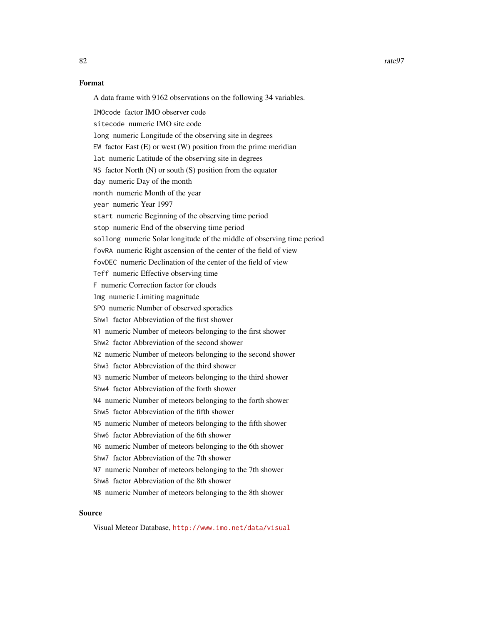## Format

A data frame with 9162 observations on the following 34 variables.

IMOcode factor IMO observer code sitecode numeric IMO site code long numeric Longitude of the observing site in degrees EW factor East (E) or west (W) position from the prime meridian lat numeric Latitude of the observing site in degrees NS factor North  $(N)$  or south  $(S)$  position from the equator day numeric Day of the month month numeric Month of the year year numeric Year 1997 start numeric Beginning of the observing time period stop numeric End of the observing time period sollong numeric Solar longitude of the middle of observing time period fovRA numeric Right ascension of the center of the field of view fovDEC numeric Declination of the center of the field of view Teff numeric Effective observing time F numeric Correction factor for clouds lmg numeric Limiting magnitude SPO numeric Number of observed sporadics Shw1 factor Abbreviation of the first shower N1 numeric Number of meteors belonging to the first shower Shw2 factor Abbreviation of the second shower N2 numeric Number of meteors belonging to the second shower Shw3 factor Abbreviation of the third shower N3 numeric Number of meteors belonging to the third shower Shw4 factor Abbreviation of the forth shower N4 numeric Number of meteors belonging to the forth shower Shw5 factor Abbreviation of the fifth shower N5 numeric Number of meteors belonging to the fifth shower Shw6 factor Abbreviation of the 6th shower N6 numeric Number of meteors belonging to the 6th shower Shw7 factor Abbreviation of the 7th shower N7 numeric Number of meteors belonging to the 7th shower Shw8 factor Abbreviation of the 8th shower N8 numeric Number of meteors belonging to the 8th shower

## Source

Visual Meteor Database, <http://www.imo.net/data/visual>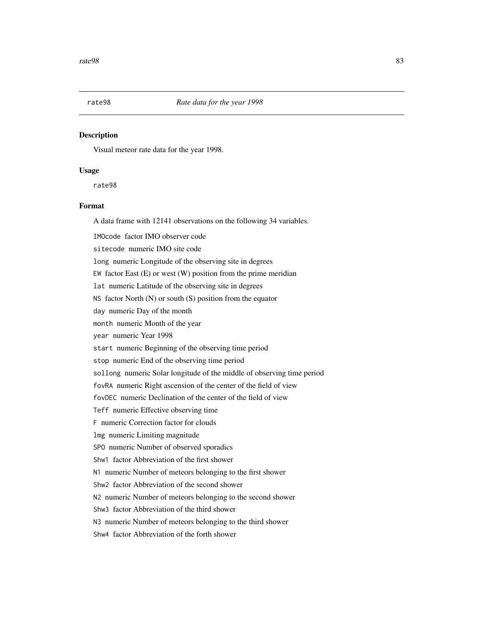<span id="page-82-0"></span>

Visual meteor rate data for the year 1998.

## Usage

rate98

## Format

A data frame with 12141 observations on the following 34 variables.

IMOcode factor IMO observer code

sitecode numeric IMO site code

long numeric Longitude of the observing site in degrees

EW factor East  $(E)$  or west  $(W)$  position from the prime meridian

lat numeric Latitude of the observing site in degrees

NS factor North (N) or south (S) position from the equator

day numeric Day of the month

month numeric Month of the year

year numeric Year 1998

start numeric Beginning of the observing time period

stop numeric End of the observing time period

sollong numeric Solar longitude of the middle of observing time period

fovRA numeric Right ascension of the center of the field of view

fovDEC numeric Declination of the center of the field of view

Teff numeric Effective observing time

F numeric Correction factor for clouds

lmg numeric Limiting magnitude

SPO numeric Number of observed sporadics

Shw1 factor Abbreviation of the first shower

N1 numeric Number of meteors belonging to the first shower

Shw2 factor Abbreviation of the second shower

N2 numeric Number of meteors belonging to the second shower

Shw3 factor Abbreviation of the third shower

N3 numeric Number of meteors belonging to the third shower

Shw4 factor Abbreviation of the forth shower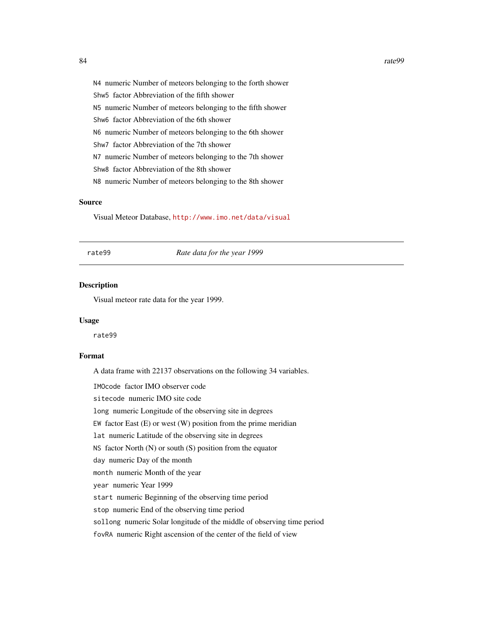<span id="page-83-0"></span>N4 numeric Number of meteors belonging to the forth shower Shw5 factor Abbreviation of the fifth shower N5 numeric Number of meteors belonging to the fifth shower Shw6 factor Abbreviation of the 6th shower N6 numeric Number of meteors belonging to the 6th shower Shw7 factor Abbreviation of the 7th shower N7 numeric Number of meteors belonging to the 7th shower Shw8 factor Abbreviation of the 8th shower N8 numeric Number of meteors belonging to the 8th shower

## Source

Visual Meteor Database, <http://www.imo.net/data/visual>

rate99 *Rate data for the year 1999*

## Description

Visual meteor rate data for the year 1999.

#### Usage

rate99

# Format

A data frame with 22137 observations on the following 34 variables.

IMOcode factor IMO observer code

sitecode numeric IMO site code

long numeric Longitude of the observing site in degrees

EW factor East  $(E)$  or west  $(W)$  position from the prime meridian

lat numeric Latitude of the observing site in degrees

NS factor North  $(N)$  or south  $(S)$  position from the equator

day numeric Day of the month

month numeric Month of the year

year numeric Year 1999

start numeric Beginning of the observing time period

stop numeric End of the observing time period

sollong numeric Solar longitude of the middle of observing time period

fovRA numeric Right ascension of the center of the field of view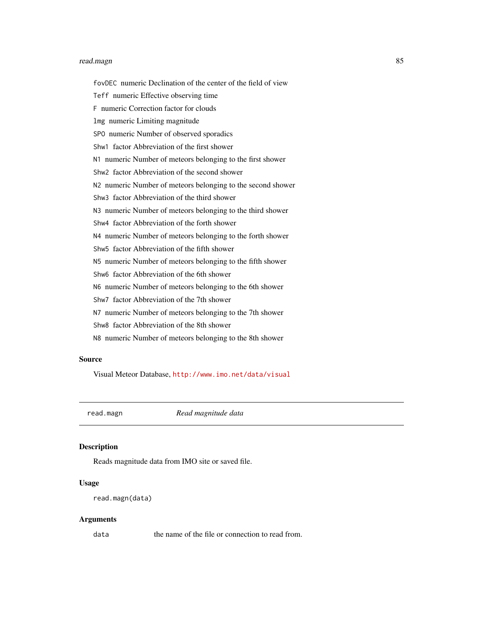#### <span id="page-84-1"></span>read.magn 85

fovDEC numeric Declination of the center of the field of view Teff numeric Effective observing time F numeric Correction factor for clouds lmg numeric Limiting magnitude SPO numeric Number of observed sporadics Shw1 factor Abbreviation of the first shower N1 numeric Number of meteors belonging to the first shower Shw2 factor Abbreviation of the second shower N2 numeric Number of meteors belonging to the second shower Shw3 factor Abbreviation of the third shower N3 numeric Number of meteors belonging to the third shower Shw4 factor Abbreviation of the forth shower N4 numeric Number of meteors belonging to the forth shower Shw5 factor Abbreviation of the fifth shower N5 numeric Number of meteors belonging to the fifth shower Shw6 factor Abbreviation of the 6th shower N6 numeric Number of meteors belonging to the 6th shower Shw7 factor Abbreviation of the 7th shower N7 numeric Number of meteors belonging to the 7th shower Shw8 factor Abbreviation of the 8th shower N8 numeric Number of meteors belonging to the 8th shower

## Source

Visual Meteor Database, <http://www.imo.net/data/visual>

<span id="page-84-0"></span>read.magn *Read magnitude data*

# Description

Reads magnitude data from IMO site or saved file.

# Usage

```
read.magn(data)
```
#### Arguments

data the name of the file or connection to read from.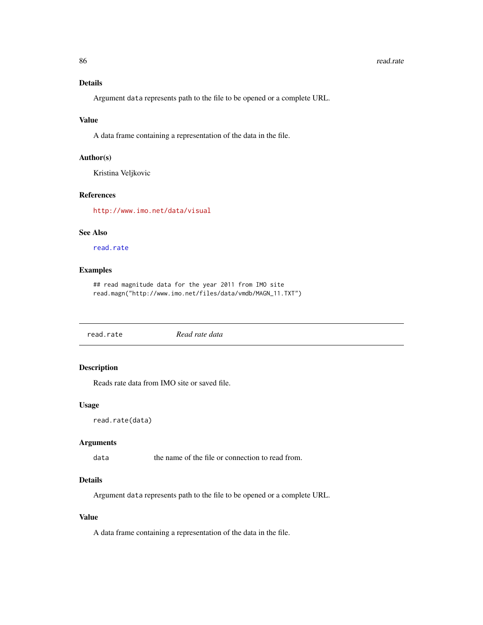# <span id="page-85-1"></span>Details

Argument data represents path to the file to be opened or a complete URL.

#### Value

A data frame containing a representation of the data in the file.

#### Author(s)

Kristina Veljkovic

# References

<http://www.imo.net/data/visual>

# See Also

[read.rate](#page-85-0)

# Examples

## read magnitude data for the year 2011 from IMO site read.magn("http://www.imo.net/files/data/vmdb/MAGN\_11.TXT")

<span id="page-85-0"></span>read.rate *Read rate data*

# Description

Reads rate data from IMO site or saved file.

# Usage

```
read.rate(data)
```
## Arguments

data the name of the file or connection to read from.

# Details

Argument data represents path to the file to be opened or a complete URL.

# Value

A data frame containing a representation of the data in the file.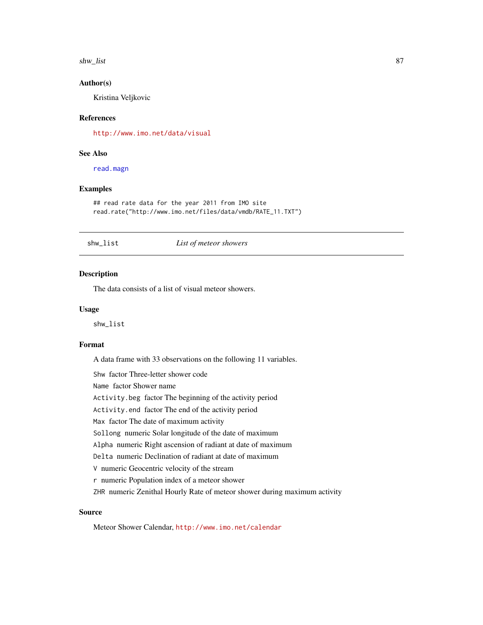<span id="page-86-0"></span>shw\_list 87

## Author(s)

Kristina Veljkovic

## References

<http://www.imo.net/data/visual>

# See Also

[read.magn](#page-84-0)

## Examples

```
## read rate data for the year 2011 from IMO site
read.rate("http://www.imo.net/files/data/vmdb/RATE_11.TXT")
```
## shw\_list *List of meteor showers*

# Description

The data consists of a list of visual meteor showers.

## Usage

shw\_list

#### Format

A data frame with 33 observations on the following 11 variables.

Shw factor Three-letter shower code Name factor Shower name Activity.beg factor The beginning of the activity period Activity.end factor The end of the activity period Max factor The date of maximum activity Sollong numeric Solar longitude of the date of maximum Alpha numeric Right ascension of radiant at date of maximum Delta numeric Declination of radiant at date of maximum

V numeric Geocentric velocity of the stream

r numeric Population index of a meteor shower

ZHR numeric Zenithal Hourly Rate of meteor shower during maximum activity

## Source

Meteor Shower Calendar, <http://www.imo.net/calendar>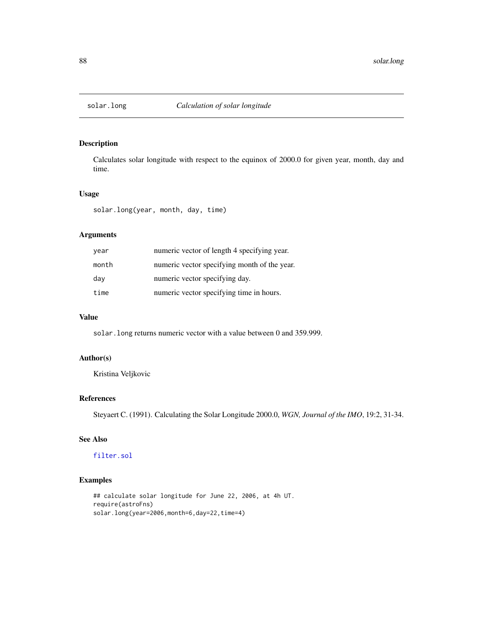<span id="page-87-0"></span>

Calculates solar longitude with respect to the equinox of 2000.0 for given year, month, day and time.

## Usage

solar.long(year, month, day, time)

# Arguments

| year  | numeric vector of length 4 specifying year.  |
|-------|----------------------------------------------|
| month | numeric vector specifying month of the year. |
| day   | numeric vector specifying day.               |
| time  | numeric vector specifying time in hours.     |

# Value

solar.long returns numeric vector with a value between 0 and 359.999.

# Author(s)

Kristina Veljkovic

# References

Steyaert C. (1991). Calculating the Solar Longitude 2000.0, *WGN, Journal of the IMO*, 19:2, 31-34.

# See Also

# [filter.sol](#page-17-0)

# Examples

```
## calculate solar longitude for June 22, 2006, at 4h UT.
require(astroFns)
solar.long(year=2006,month=6,day=22,time=4)
```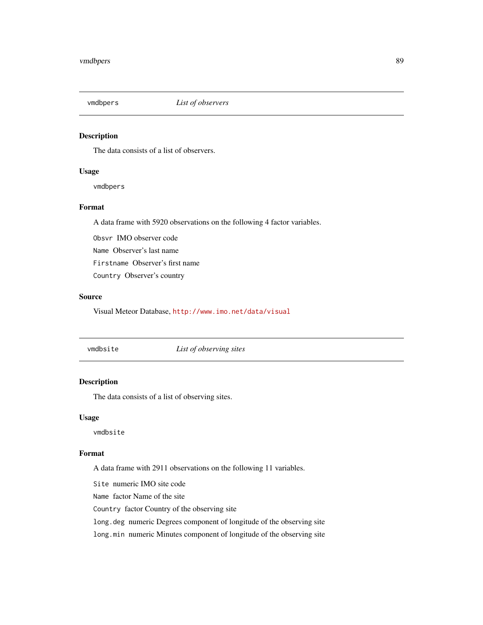<span id="page-88-0"></span>

The data consists of a list of observers.

## Usage

vmdbpers

# Format

A data frame with 5920 observations on the following 4 factor variables.

Obsvr IMO observer code Name Observer's last name

Firstname Observer's first name

Country Observer's country

# Source

Visual Meteor Database, <http://www.imo.net/data/visual>

vmdbsite *List of observing sites*

# Description

The data consists of a list of observing sites.

## Usage

vmdbsite

# Format

A data frame with 2911 observations on the following 11 variables.

Site numeric IMO site code

Name factor Name of the site

Country factor Country of the observing site

long.deg numeric Degrees component of longitude of the observing site

long.min numeric Minutes component of longitude of the observing site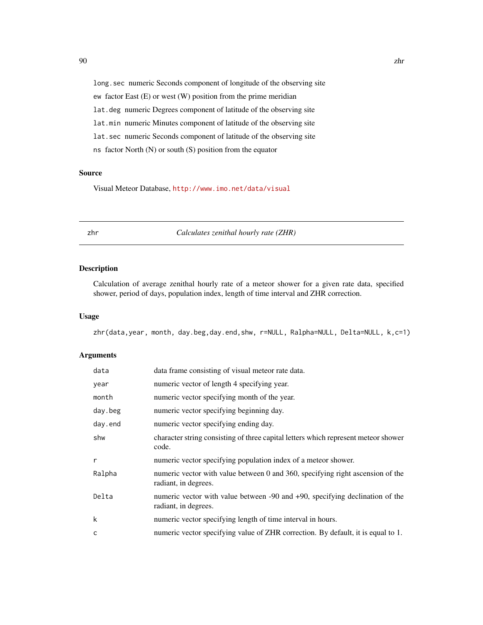long. sec numeric Seconds component of longitude of the observing site ew factor East (E) or west (W) position from the prime meridian

lat.deg numeric Degrees component of latitude of the observing site

lat.min numeric Minutes component of latitude of the observing site

lat.sec numeric Seconds component of latitude of the observing site

ns factor North (N) or south (S) position from the equator

## Source

Visual Meteor Database, <http://www.imo.net/data/visual>

<span id="page-89-0"></span>

zhr *Calculates zenithal hourly rate (ZHR)*

# Description

Calculation of average zenithal hourly rate of a meteor shower for a given rate data, specified shower, period of days, population index, length of time interval and ZHR correction.

#### Usage

zhr(data,year, month, day.beg,day.end,shw, r=NULL, Ralpha=NULL, Delta=NULL, k,c=1)

## Arguments

| data    | data frame consisting of visual meteor rate data.                                                      |
|---------|--------------------------------------------------------------------------------------------------------|
| year    | numeric vector of length 4 specifying year.                                                            |
| month   | numeric vector specifying month of the year.                                                           |
| day.beg | numeric vector specifying beginning day.                                                               |
| day.end | numeric vector specifying ending day.                                                                  |
| shw     | character string consisting of three capital letters which represent meteor shower<br>code.            |
| r       | numeric vector specifying population index of a meteor shower.                                         |
| Ralpha  | numeric vector with value between 0 and 360, specifying right ascension of the<br>radiant, in degrees. |
| Delta   | numeric vector with value between -90 and +90, specifying declination of the<br>radiant, in degrees.   |
| k       | numeric vector specifying length of time interval in hours.                                            |
| C       | numeric vector specifying value of ZHR correction. By default, it is equal to 1.                       |

<span id="page-89-1"></span>90 zhr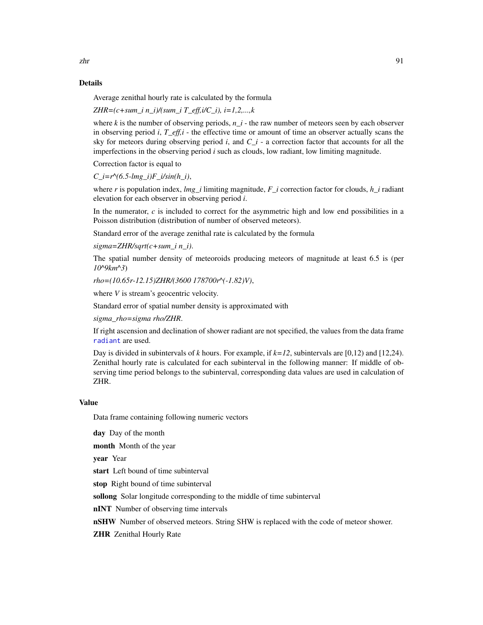## <span id="page-90-0"></span>Details

Average zenithal hourly rate is calculated by the formula

*ZHR=(c+sum\_i n\_i)/(sum\_i T\_eff,i/C\_i), i=1,2,...,k*

where  $k$  is the number of observing periods,  $n_i$  i - the raw number of meteors seen by each observer in observing period *i*, *T\_eff,i* - the effective time or amount of time an observer actually scans the sky for meteors during observing period *i*, and *C\_i* - a correction factor that accounts for all the imperfections in the observing period *i* such as clouds, low radiant, low limiting magnitude.

Correction factor is equal to

 $C_i = r^{\wedge} (6.5 - lmg_i)F_i/sin(h_i),$ 

where *r* is population index, *lmg\_i* limiting magnitude, *F\_i* correction factor for clouds, *h\_i* radiant elevation for each observer in observing period *i*.

In the numerator, *c* is included to correct for the asymmetric high and low end possibilities in a Poisson distribution (distribution of number of observed meteors).

Standard error of the average zenithal rate is calculated by the formula

*sigma=ZHR/sqrt(c+sum\_i n\_i)*.

The spatial number density of meteoroids producing meteors of magnitude at least 6.5 is (per *10^9km^3*)

*rho=(10.65r-12.15)ZHR/(3600 178700r^(-1.82)V)*,

where *V* is stream's geocentric velocity.

Standard error of spatial number density is approximated with

*sigma\_rho=sigma rho/ZHR*.

If right ascension and declination of shower radiant are not specified, the values from the data frame [radiant](#page-47-0) are used.

Day is divided in subintervals of *k* hours. For example, if  $k=12$ , subintervals are [0,12) and [12,24). Zenithal hourly rate is calculated for each subinterval in the following manner: If middle of observing time period belongs to the subinterval, corresponding data values are used in calculation of ZHR.

# Value

Data frame containing following numeric vectors

day Day of the month

month Month of the year

year Year

start Left bound of time subinterval

stop Right bound of time subinterval

sollong Solar longitude corresponding to the middle of time subinterval

nINT Number of observing time intervals

**nSHW** Number of observed meteors. String SHW is replaced with the code of meteor shower.

**ZHR** Zenithal Hourly Rate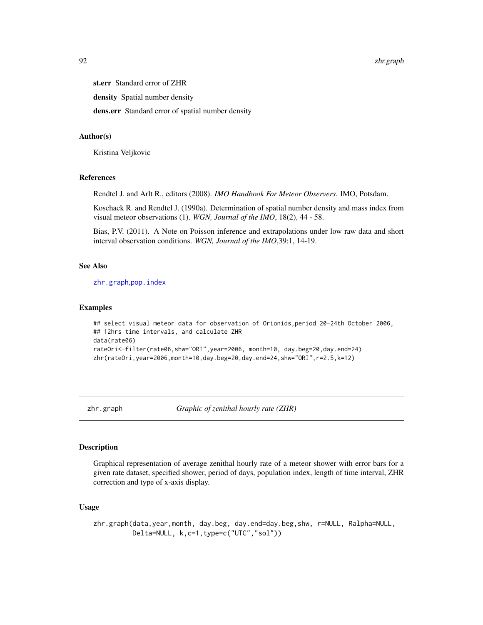<span id="page-91-1"></span>st.err Standard error of ZHR

density Spatial number density

dens.err Standard error of spatial number density

#### Author(s)

Kristina Veljkovic

# References

Rendtel J. and Arlt R., editors (2008). *IMO Handbook For Meteor Observers*. IMO, Potsdam.

Koschack R. and Rendtel J. (1990a). Determination of spatial number density and mass index from visual meteor observations (1). *WGN, Journal of the IMO*, 18(2), 44 - 58.

Bias, P.V. (2011). A Note on Poisson inference and extrapolations under low raw data and short interval observation conditions. *WGN, Journal of the IMO*,39:1, 14-19.

## See Also

[zhr.graph](#page-91-0),[pop.index](#page-45-0)

#### Examples

```
## select visual meteor data for observation of Orionids,period 20-24th October 2006,
## 12hrs time intervals, and calculate ZHR
data(rate06)
rateOri<-filter(rate06,shw="ORI",year=2006, month=10, day.beg=20,day.end=24)
zhr(rateOri,year=2006,month=10,day.beg=20,day.end=24,shw="ORI",r=2.5,k=12)
```
<span id="page-91-0"></span>

zhr.graph *Graphic of zenithal hourly rate (ZHR)* 

# Description

Graphical representation of average zenithal hourly rate of a meteor shower with error bars for a given rate dataset, specified shower, period of days, population index, length of time interval, ZHR correction and type of x-axis display.

# Usage

```
zhr.graph(data,year,month, day.beg, day.end=day.beg,shw, r=NULL, Ralpha=NULL,
         Delta=NULL, k,c=1,type=c("UTC","sol"))
```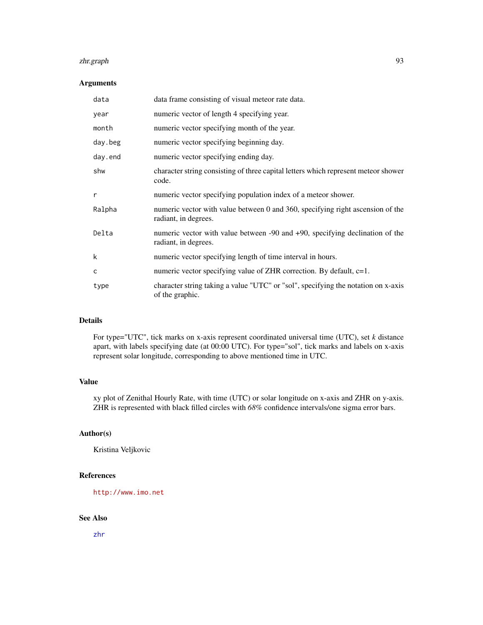#### <span id="page-92-0"></span>zhr.graph 93

## Arguments

| data    | data frame consisting of visual meteor rate data.                                                      |
|---------|--------------------------------------------------------------------------------------------------------|
| year    | numeric vector of length 4 specifying year.                                                            |
| month   | numeric vector specifying month of the year.                                                           |
| day.beg | numeric vector specifying beginning day.                                                               |
| day.end | numeric vector specifying ending day.                                                                  |
| shw     | character string consisting of three capital letters which represent meteor shower<br>code.            |
| r       | numeric vector specifying population index of a meteor shower.                                         |
| Ralpha  | numeric vector with value between 0 and 360, specifying right ascension of the<br>radiant, in degrees. |
| Delta   | numeric vector with value between -90 and +90, specifying declination of the<br>radiant, in degrees.   |
| k       | numeric vector specifying length of time interval in hours.                                            |
| C       | numeric vector specifying value of ZHR correction. By default, $c=1$ .                                 |
| type    | character string taking a value "UTC" or "sol", specifying the notation on x-axis<br>of the graphic.   |

## Details

For type="UTC", tick marks on x-axis represent coordinated universal time (UTC), set *k* distance apart, with labels specifying date (at 00:00 UTC). For type="sol", tick marks and labels on x-axis represent solar longitude, corresponding to above mentioned time in UTC.

# Value

xy plot of Zenithal Hourly Rate, with time (UTC) or solar longitude on x-axis and ZHR on y-axis. ZHR is represented with black filled circles with *68%* confidence intervals/one sigma error bars.

# Author(s)

Kristina Veljkovic

## References

<http://www.imo.net>

# See Also

[zhr](#page-89-0)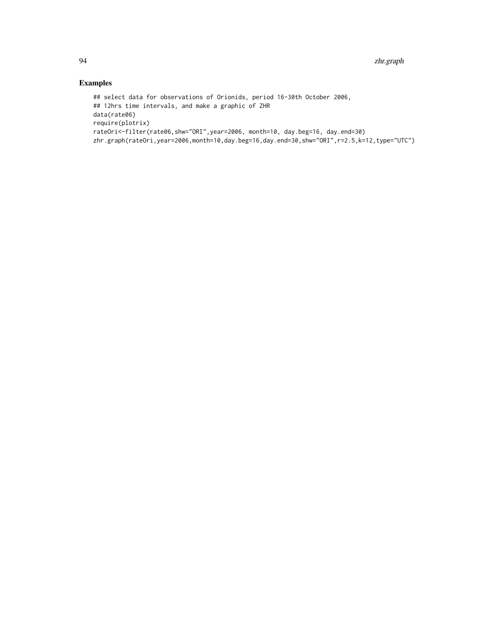# Examples

```
## select data for observations of Orionids, period 16-30th October 2006,
## 12hrs time intervals, and make a graphic of ZHR
data(rate06)
require(plotrix)
rateOri<-filter(rate06,shw="ORI",year=2006, month=10, day.beg=16, day.end=30)
zhr.graph(rateOri,year=2006,month=10,day.beg=16,day.end=30,shw="ORI",r=2.5,k=12,type="UTC")
```